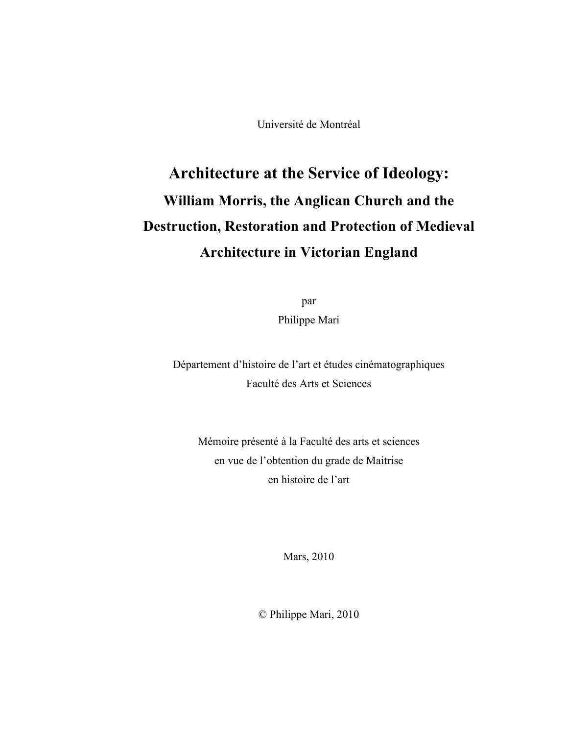Université de Montréal

# **Architecture at the Service of Ideology: William Morris, the Anglican Church and the Destruction, Restoration and Protection of Medieval Architecture in Victorian England**

par Philippe Mari

Département d'histoire de l'art et études cinématographiques Faculté des Arts et Sciences

Mémoire présenté à la Faculté des arts et sciences en vue de l'obtention du grade de Maitrise en histoire de l'art

Mars, 2010

© Philippe Mari, 2010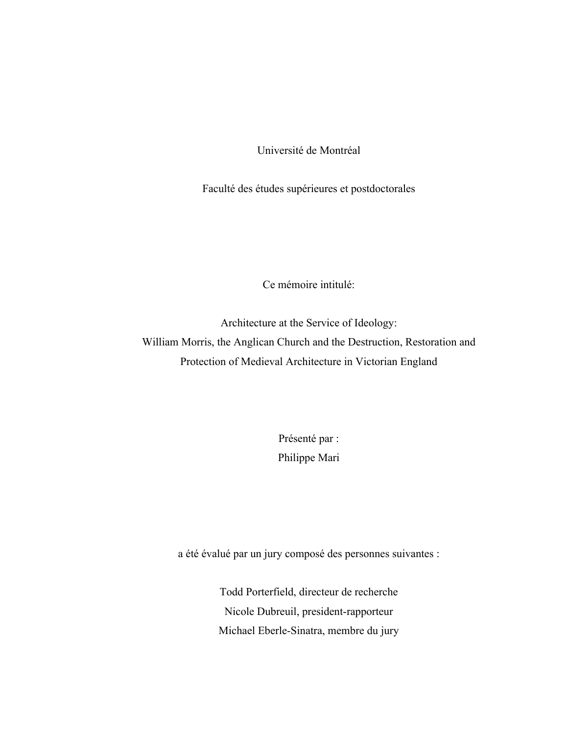Université de Montréal

Faculté des études supérieures et postdoctorales

Ce mémoire intitulé:

Architecture at the Service of Ideology: William Morris, the Anglican Church and the Destruction, Restoration and Protection of Medieval Architecture in Victorian England

> Présenté par : Philippe Mari

a été évalué par un jury composé des personnes suivantes :

Todd Porterfield, directeur de recherche Nicole Dubreuil, president-rapporteur Michael Eberle-Sinatra, membre du jury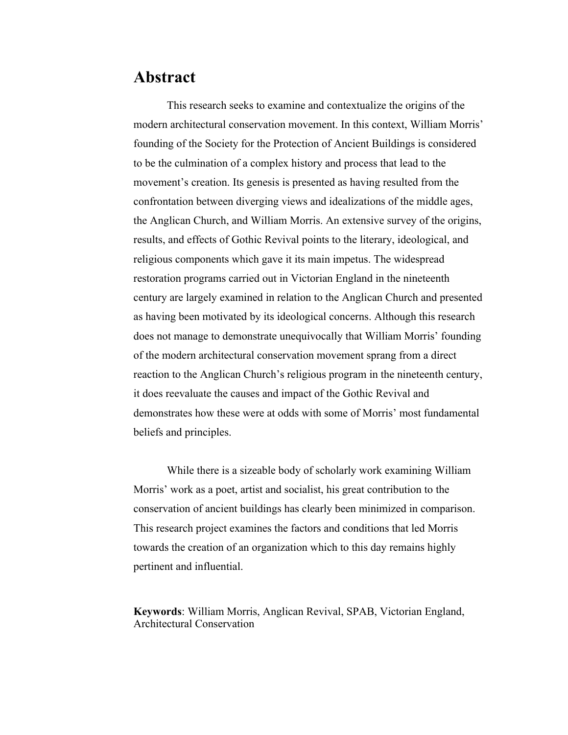## **Abstract**

This research seeks to examine and contextualize the origins of the modern architectural conservation movement. In this context, William Morris' founding of the Society for the Protection of Ancient Buildings is considered to be the culmination of a complex history and process that lead to the movement's creation. Its genesis is presented as having resulted from the confrontation between diverging views and idealizations of the middle ages, the Anglican Church, and William Morris. An extensive survey of the origins, results, and effects of Gothic Revival points to the literary, ideological, and religious components which gave it its main impetus. The widespread restoration programs carried out in Victorian England in the nineteenth century are largely examined in relation to the Anglican Church and presented as having been motivated by its ideological concerns. Although this research does not manage to demonstrate unequivocally that William Morris' founding of the modern architectural conservation movement sprang from a direct reaction to the Anglican Church's religious program in the nineteenth century, it does reevaluate the causes and impact of the Gothic Revival and demonstrates how these were at odds with some of Morris' most fundamental beliefs and principles.

While there is a sizeable body of scholarly work examining William Morris' work as a poet, artist and socialist, his great contribution to the conservation of ancient buildings has clearly been minimized in comparison. This research project examines the factors and conditions that led Morris towards the creation of an organization which to this day remains highly pertinent and influential.

**Keywords**: William Morris, Anglican Revival, SPAB, Victorian England, Architectural Conservation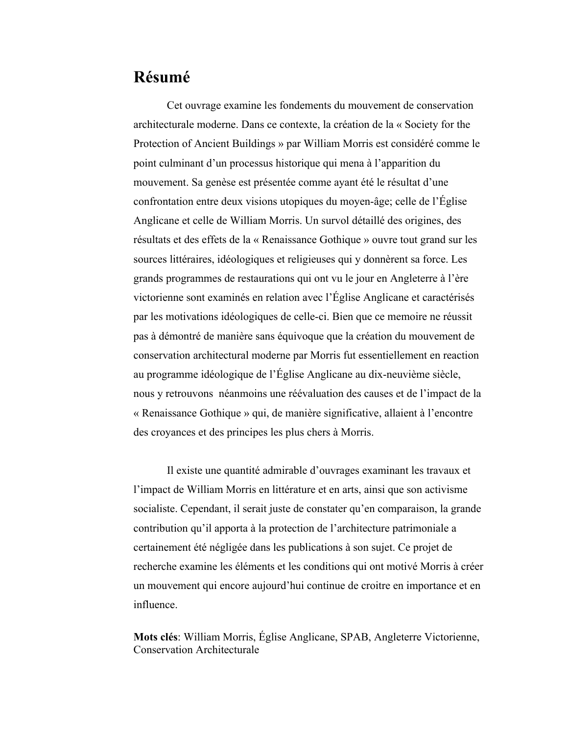## **Résumé**

Cet ouvrage examine les fondements du mouvement de conservation architecturale moderne. Dans ce contexte, la création de la « Society for the Protection of Ancient Buildings » par William Morris est considéré comme le point culminant d'un processus historique qui mena à l'apparition du mouvement. Sa genèse est présentée comme ayant été le résultat d'une confrontation entre deux visions utopiques du moyen-âge; celle de l'Église Anglicane et celle de William Morris. Un survol détaillé des origines, des résultats et des effets de la « Renaissance Gothique » ouvre tout grand sur les sources littéraires, idéologiques et religieuses qui y donnèrent sa force. Les grands programmes de restaurations qui ont vu le jour en Angleterre à l'ère victorienne sont examinés en relation avec l'Église Anglicane et caractérisés par les motivations idéologiques de celle-ci. Bien que ce memoire ne réussit pas à démontré de manière sans équivoque que la création du mouvement de conservation architectural moderne par Morris fut essentiellement en reaction au programme idéologique de l'Église Anglicane au dix-neuvième siècle, nous y retrouvons néanmoins une réévaluation des causes et de l'impact de la « Renaissance Gothique » qui, de manière significative, allaient à l'encontre des croyances et des principes les plus chers à Morris.

Il existe une quantité admirable d'ouvrages examinant les travaux et l'impact de William Morris en littérature et en arts, ainsi que son activisme socialiste. Cependant, il serait juste de constater qu'en comparaison, la grande contribution qu'il apporta à la protection de l'architecture patrimoniale a certainement été négligée dans les publications à son sujet. Ce projet de recherche examine les éléments et les conditions qui ont motivé Morris à créer un mouvement qui encore aujourd'hui continue de croitre en importance et en influence.

**Mots clés**: William Morris, Église Anglicane, SPAB, Angleterre Victorienne, Conservation Architecturale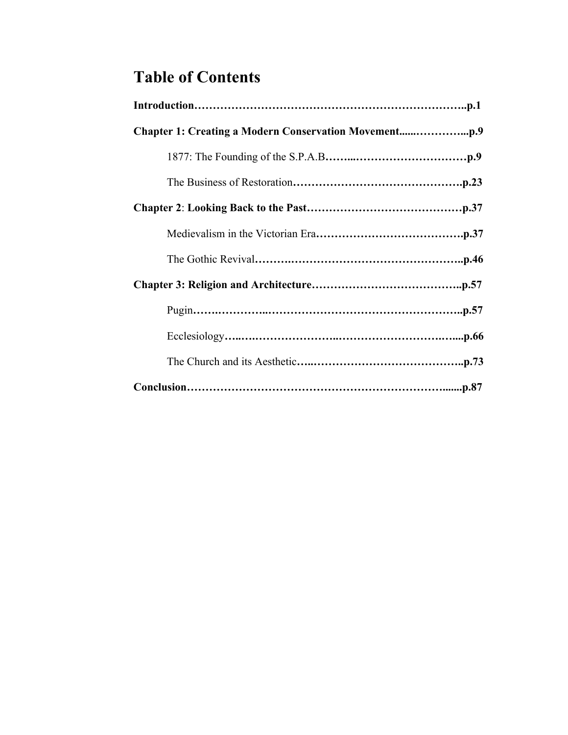# **Table of Contents**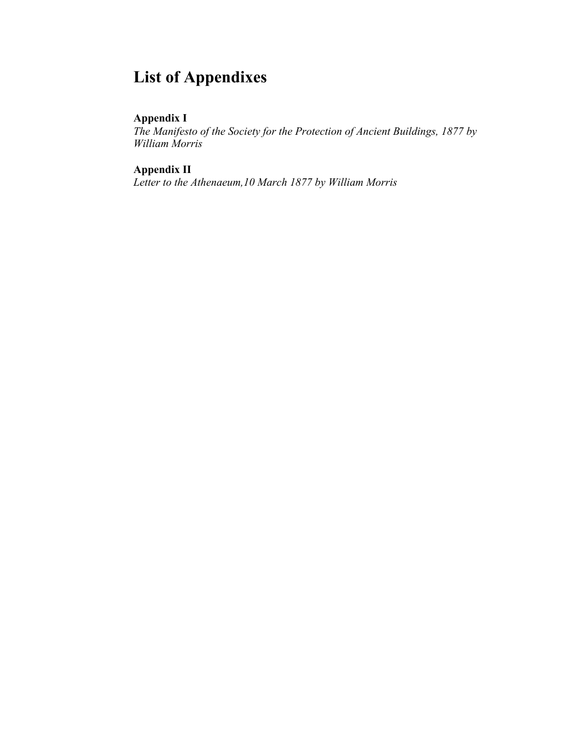# **List of Appendixes**

### **Appendix I**

*The Manifesto of the Society for the Protection of Ancient Buildings, 1877 by William Morris*

### **Appendix II**

*Letter to the Athenaeum,10 March 1877 by William Morris*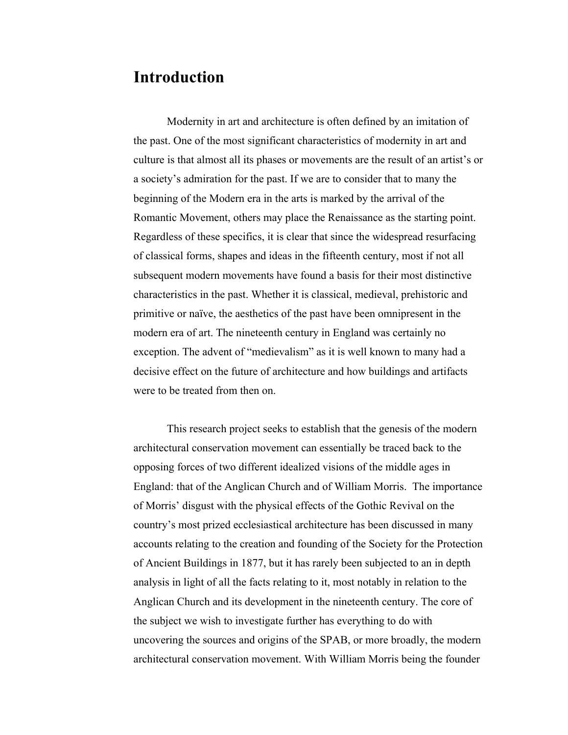## **Introduction**

Modernity in art and architecture is often defined by an imitation of the past. One of the most significant characteristics of modernity in art and culture is that almost all its phases or movements are the result of an artist's or a society's admiration for the past. If we are to consider that to many the beginning of the Modern era in the arts is marked by the arrival of the Romantic Movement, others may place the Renaissance as the starting point. Regardless of these specifics, it is clear that since the widespread resurfacing of classical forms, shapes and ideas in the fifteenth century, most if not all subsequent modern movements have found a basis for their most distinctive characteristics in the past. Whether it is classical, medieval, prehistoric and primitive or naïve, the aesthetics of the past have been omnipresent in the modern era of art. The nineteenth century in England was certainly no exception. The advent of "medievalism" as it is well known to many had a decisive effect on the future of architecture and how buildings and artifacts were to be treated from then on.

This research project seeks to establish that the genesis of the modern architectural conservation movement can essentially be traced back to the opposing forces of two different idealized visions of the middle ages in England: that of the Anglican Church and of William Morris. The importance of Morris' disgust with the physical effects of the Gothic Revival on the country's most prized ecclesiastical architecture has been discussed in many accounts relating to the creation and founding of the Society for the Protection of Ancient Buildings in 1877, but it has rarely been subjected to an in depth analysis in light of all the facts relating to it, most notably in relation to the Anglican Church and its development in the nineteenth century. The core of the subject we wish to investigate further has everything to do with uncovering the sources and origins of the SPAB, or more broadly, the modern architectural conservation movement. With William Morris being the founder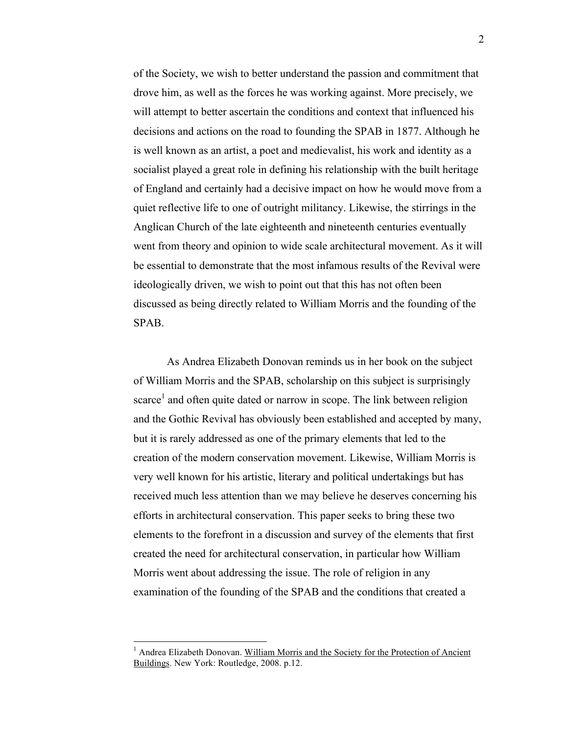of the Society, we wish to better understand the passion and commitment that drove him, as well as the forces he was working against. More precisely, we will attempt to better ascertain the conditions and context that influenced his decisions and actions on the road to founding the SPAB in 1877. Although he is well known as an artist, a poet and medievalist, his work and identity as a socialist played a great role in defining his relationship with the built heritage of England and certainly had a decisive impact on how he would move from a quiet reflective life to one of outright militancy. Likewise, the stirrings in the Anglican Church of the late eighteenth and nineteenth centuries eventually went from theory and opinion to wide scale architectural movement. As it will be essential to demonstrate that the most infamous results of the Revival were ideologically driven, we wish to point out that this has not often been discussed as being directly related to William Morris and the founding of the SPAB.

As Andrea Elizabeth Donovan reminds us in her book on the subject of William Morris and the SPAB, scholarship on this subject is surprisingly scarce<sup>1</sup> and often quite dated or narrow in scope. The link between religion and the Gothic Revival has obviously been established and accepted by many, but it is rarely addressed as one of the primary elements that led to the creation of the modern conservation movement. Likewise, William Morris is very well known for his artistic, literary and political undertakings but has received much less attention than we may believe he deserves concerning his efforts in architectural conservation. This paper seeks to bring these two elements to the forefront in a discussion and survey of the elements that first created the need for architectural conservation, in particular how William Morris went about addressing the issue. The role of religion in any examination of the founding of the SPAB and the conditions that created a

<sup>&</sup>lt;sup>1</sup> Andrea Elizabeth Donovan. William Morris and the Society for the Protection of Ancient Buildings. New York: Routledge, 2008. p.12.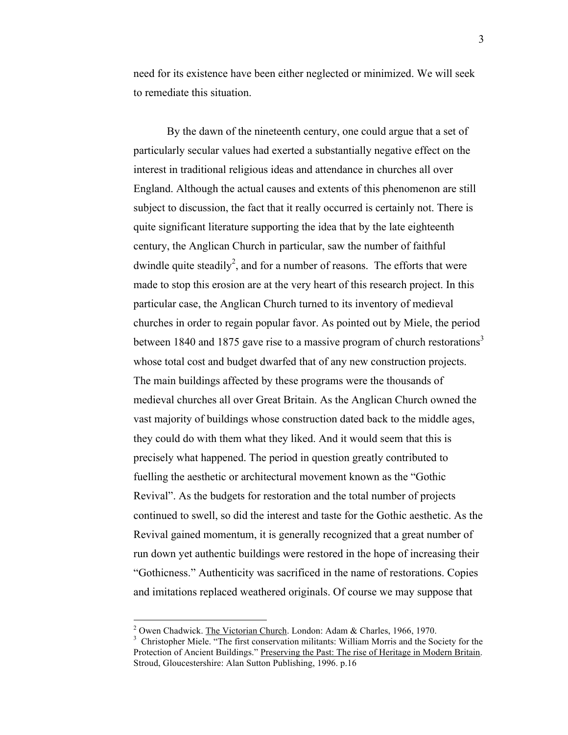need for its existence have been either neglected or minimized. We will seek to remediate this situation.

By the dawn of the nineteenth century, one could argue that a set of particularly secular values had exerted a substantially negative effect on the interest in traditional religious ideas and attendance in churches all over England. Although the actual causes and extents of this phenomenon are still subject to discussion, the fact that it really occurred is certainly not. There is quite significant literature supporting the idea that by the late eighteenth century, the Anglican Church in particular, saw the number of faithful dwindle quite steadily<sup>2</sup>, and for a number of reasons. The efforts that were made to stop this erosion are at the very heart of this research project. In this particular case, the Anglican Church turned to its inventory of medieval churches in order to regain popular favor. As pointed out by Miele, the period between 1840 and 1875 gave rise to a massive program of church restorations<sup>3</sup> whose total cost and budget dwarfed that of any new construction projects. The main buildings affected by these programs were the thousands of medieval churches all over Great Britain. As the Anglican Church owned the vast majority of buildings whose construction dated back to the middle ages, they could do with them what they liked. And it would seem that this is precisely what happened. The period in question greatly contributed to fuelling the aesthetic or architectural movement known as the "Gothic Revival". As the budgets for restoration and the total number of projects continued to swell, so did the interest and taste for the Gothic aesthetic. As the Revival gained momentum, it is generally recognized that a great number of run down yet authentic buildings were restored in the hope of increasing their "Gothicness." Authenticity was sacrificed in the name of restorations. Copies and imitations replaced weathered originals. Of course we may suppose that

<sup>&</sup>lt;sup>2</sup> Owen Chadwick. The Victorian Church. London: Adam & Charles, 1966, 1970.

<sup>&</sup>lt;sup>3</sup> Christopher Miele. "The first conservation militants: William Morris and the Society for the Protection of Ancient Buildings." Preserving the Past: The rise of Heritage in Modern Britain. Stroud, Gloucestershire: Alan Sutton Publishing, 1996. p.16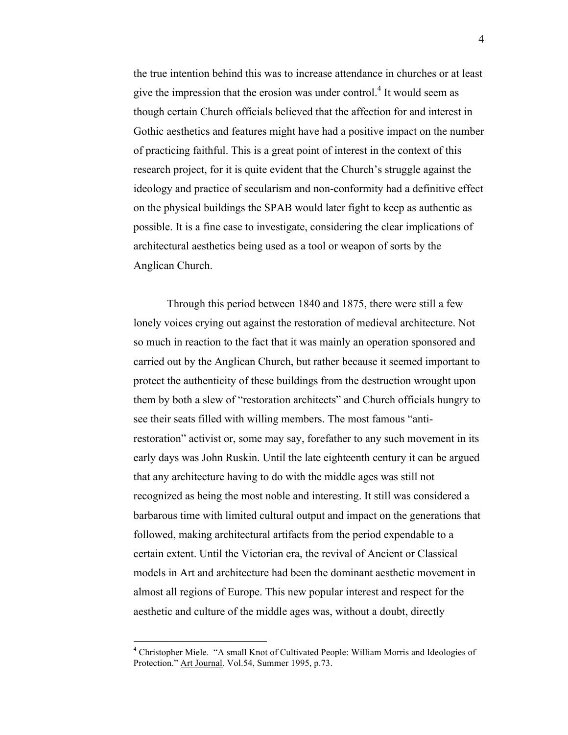the true intention behind this was to increase attendance in churches or at least give the impression that the erosion was under control.<sup>4</sup> It would seem as though certain Church officials believed that the affection for and interest in Gothic aesthetics and features might have had a positive impact on the number of practicing faithful. This is a great point of interest in the context of this research project, for it is quite evident that the Church's struggle against the ideology and practice of secularism and non-conformity had a definitive effect on the physical buildings the SPAB would later fight to keep as authentic as possible. It is a fine case to investigate, considering the clear implications of architectural aesthetics being used as a tool or weapon of sorts by the Anglican Church.

Through this period between 1840 and 1875, there were still a few lonely voices crying out against the restoration of medieval architecture. Not so much in reaction to the fact that it was mainly an operation sponsored and carried out by the Anglican Church, but rather because it seemed important to protect the authenticity of these buildings from the destruction wrought upon them by both a slew of "restoration architects" and Church officials hungry to see their seats filled with willing members. The most famous "antirestoration" activist or, some may say, forefather to any such movement in its early days was John Ruskin. Until the late eighteenth century it can be argued that any architecture having to do with the middle ages was still not recognized as being the most noble and interesting. It still was considered a barbarous time with limited cultural output and impact on the generations that followed, making architectural artifacts from the period expendable to a certain extent. Until the Victorian era, the revival of Ancient or Classical models in Art and architecture had been the dominant aesthetic movement in almost all regions of Europe. This new popular interest and respect for the aesthetic and culture of the middle ages was, without a doubt, directly

 $\frac{1}{4}$  Christopher Miele. "A small Knot of Cultivated People: William Morris and Ideologies of Protection." Art Journal. Vol.54, Summer 1995, p.73.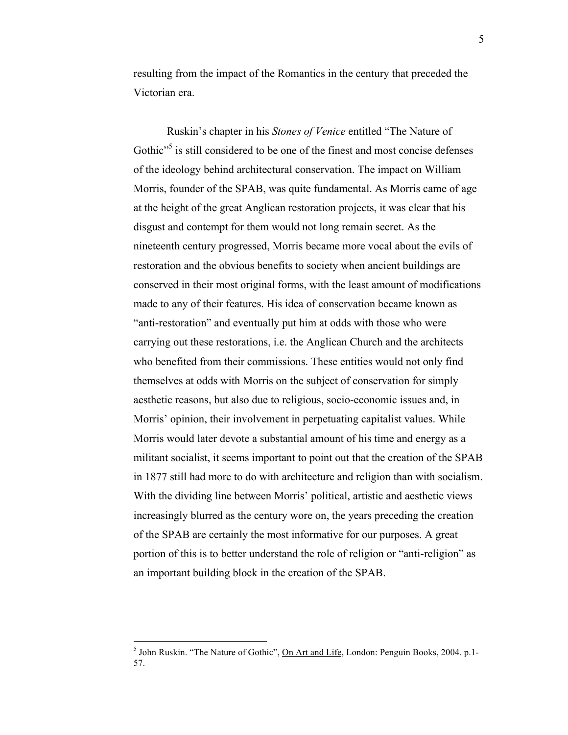resulting from the impact of the Romantics in the century that preceded the Victorian era.

Ruskin's chapter in his *Stones of Venice* entitled "The Nature of Gothic<sup>"5</sup> is still considered to be one of the finest and most concise defenses of the ideology behind architectural conservation. The impact on William Morris, founder of the SPAB, was quite fundamental. As Morris came of age at the height of the great Anglican restoration projects, it was clear that his disgust and contempt for them would not long remain secret. As the nineteenth century progressed, Morris became more vocal about the evils of restoration and the obvious benefits to society when ancient buildings are conserved in their most original forms, with the least amount of modifications made to any of their features. His idea of conservation became known as "anti-restoration" and eventually put him at odds with those who were carrying out these restorations, i.e. the Anglican Church and the architects who benefited from their commissions. These entities would not only find themselves at odds with Morris on the subject of conservation for simply aesthetic reasons, but also due to religious, socio-economic issues and, in Morris' opinion, their involvement in perpetuating capitalist values. While Morris would later devote a substantial amount of his time and energy as a militant socialist, it seems important to point out that the creation of the SPAB in 1877 still had more to do with architecture and religion than with socialism. With the dividing line between Morris' political, artistic and aesthetic views increasingly blurred as the century wore on, the years preceding the creation of the SPAB are certainly the most informative for our purposes. A great portion of this is to better understand the role of religion or "anti-religion" as an important building block in the creation of the SPAB.

 $\frac{1}{5}$  $<sup>5</sup>$  John Ruskin. "The Nature of Gothic", On Art and Life, London: Penguin Books, 2004. p.1-</sup> 57.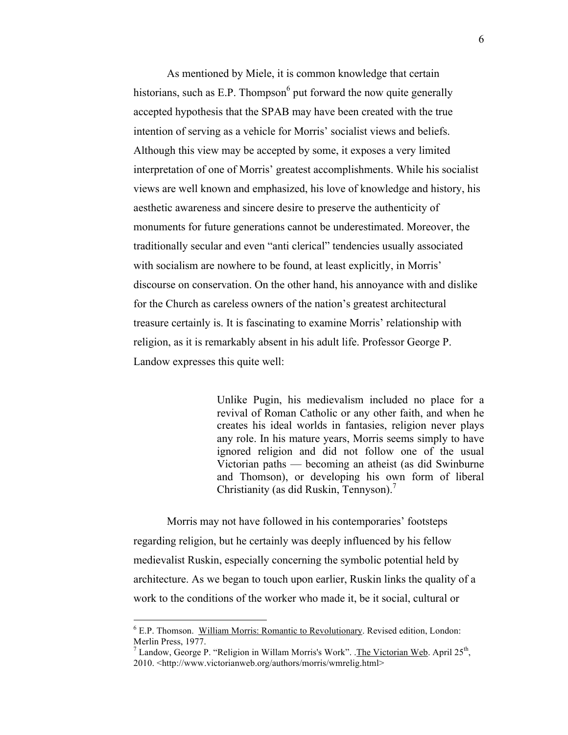As mentioned by Miele, it is common knowledge that certain historians, such as E.P. Thompson $6$  put forward the now quite generally accepted hypothesis that the SPAB may have been created with the true intention of serving as a vehicle for Morris' socialist views and beliefs. Although this view may be accepted by some, it exposes a very limited interpretation of one of Morris' greatest accomplishments. While his socialist views are well known and emphasized, his love of knowledge and history, his aesthetic awareness and sincere desire to preserve the authenticity of monuments for future generations cannot be underestimated. Moreover, the traditionally secular and even "anti clerical" tendencies usually associated with socialism are nowhere to be found, at least explicitly, in Morris' discourse on conservation. On the other hand, his annoyance with and dislike for the Church as careless owners of the nation's greatest architectural treasure certainly is. It is fascinating to examine Morris' relationship with religion, as it is remarkably absent in his adult life. Professor George P. Landow expresses this quite well:

> Unlike Pugin, his medievalism included no place for a revival of Roman Catholic or any other faith, and when he creates his ideal worlds in fantasies, religion never plays any role. In his mature years, Morris seems simply to have ignored religion and did not follow one of the usual Victorian paths — becoming an atheist (as did Swinburne and Thomson), or developing his own form of liberal Christianity (as did Ruskin, Tennyson).<sup>7</sup>

Morris may not have followed in his contemporaries' footsteps regarding religion, but he certainly was deeply influenced by his fellow medievalist Ruskin, especially concerning the symbolic potential held by architecture. As we began to touch upon earlier, Ruskin links the quality of a work to the conditions of the worker who made it, be it social, cultural or

 <sup>6</sup> E.P. Thomson. William Morris: Romantic to Revolutionary. Revised edition, London: Merlin Press, 1977.

<sup>&</sup>lt;sup>7</sup> Landow, George P. "Religion in Willam Morris's Work". .The Victorian Web. April  $25<sup>th</sup>$ , 2010. <http://www.victorianweb.org/authors/morris/wmrelig.html>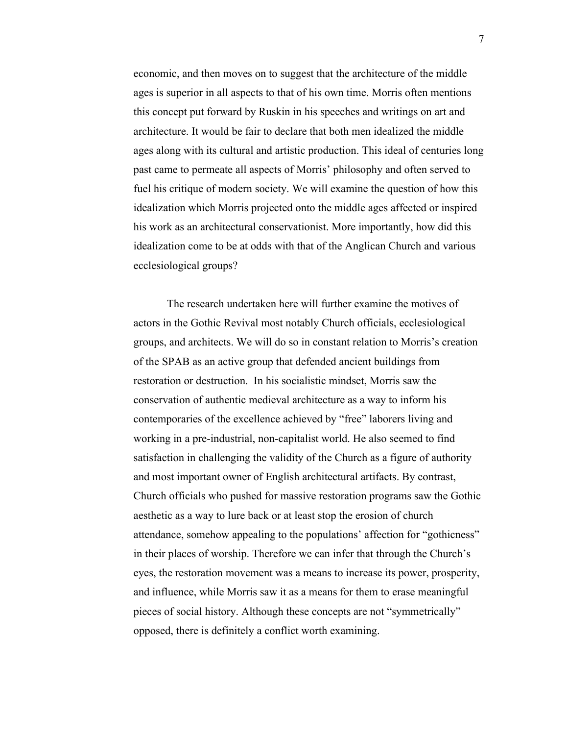economic, and then moves on to suggest that the architecture of the middle ages is superior in all aspects to that of his own time. Morris often mentions this concept put forward by Ruskin in his speeches and writings on art and architecture. It would be fair to declare that both men idealized the middle ages along with its cultural and artistic production. This ideal of centuries long past came to permeate all aspects of Morris' philosophy and often served to fuel his critique of modern society. We will examine the question of how this idealization which Morris projected onto the middle ages affected or inspired his work as an architectural conservationist. More importantly, how did this idealization come to be at odds with that of the Anglican Church and various ecclesiological groups?

The research undertaken here will further examine the motives of actors in the Gothic Revival most notably Church officials, ecclesiological groups, and architects. We will do so in constant relation to Morris's creation of the SPAB as an active group that defended ancient buildings from restoration or destruction. In his socialistic mindset, Morris saw the conservation of authentic medieval architecture as a way to inform his contemporaries of the excellence achieved by "free" laborers living and working in a pre-industrial, non-capitalist world. He also seemed to find satisfaction in challenging the validity of the Church as a figure of authority and most important owner of English architectural artifacts. By contrast, Church officials who pushed for massive restoration programs saw the Gothic aesthetic as a way to lure back or at least stop the erosion of church attendance, somehow appealing to the populations' affection for "gothicness" in their places of worship. Therefore we can infer that through the Church's eyes, the restoration movement was a means to increase its power, prosperity, and influence, while Morris saw it as a means for them to erase meaningful pieces of social history. Although these concepts are not "symmetrically" opposed, there is definitely a conflict worth examining.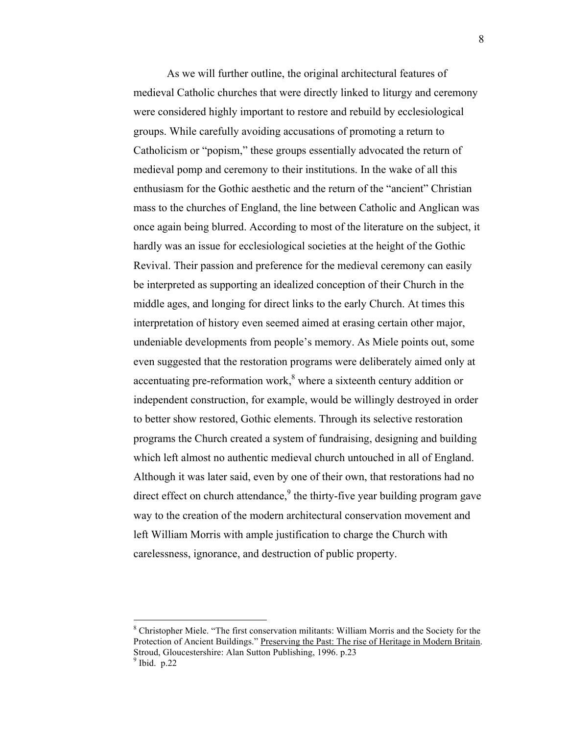As we will further outline, the original architectural features of medieval Catholic churches that were directly linked to liturgy and ceremony were considered highly important to restore and rebuild by ecclesiological groups. While carefully avoiding accusations of promoting a return to Catholicism or "popism," these groups essentially advocated the return of medieval pomp and ceremony to their institutions. In the wake of all this enthusiasm for the Gothic aesthetic and the return of the "ancient" Christian mass to the churches of England, the line between Catholic and Anglican was once again being blurred. According to most of the literature on the subject, it hardly was an issue for ecclesiological societies at the height of the Gothic Revival. Their passion and preference for the medieval ceremony can easily be interpreted as supporting an idealized conception of their Church in the middle ages, and longing for direct links to the early Church. At times this interpretation of history even seemed aimed at erasing certain other major, undeniable developments from people's memory. As Miele points out, some even suggested that the restoration programs were deliberately aimed only at accentuating pre-reformation work, ${}^{8}$  where a sixteenth century addition or independent construction, for example, would be willingly destroyed in order to better show restored, Gothic elements. Through its selective restoration programs the Church created a system of fundraising, designing and building which left almost no authentic medieval church untouched in all of England. Although it was later said, even by one of their own, that restorations had no direct effect on church attendance,<sup>9</sup> the thirty-five year building program gave way to the creation of the modern architectural conservation movement and left William Morris with ample justification to charge the Church with carelessness, ignorance, and destruction of public property.

 <sup>8</sup> Christopher Miele. "The first conservation militants: William Morris and the Society for the Protection of Ancient Buildings." Preserving the Past: The rise of Heritage in Modern Britain. Stroud, Gloucestershire: Alan Sutton Publishing, 1996. p.23 <sup>9</sup>  $9$  Ibid. p.22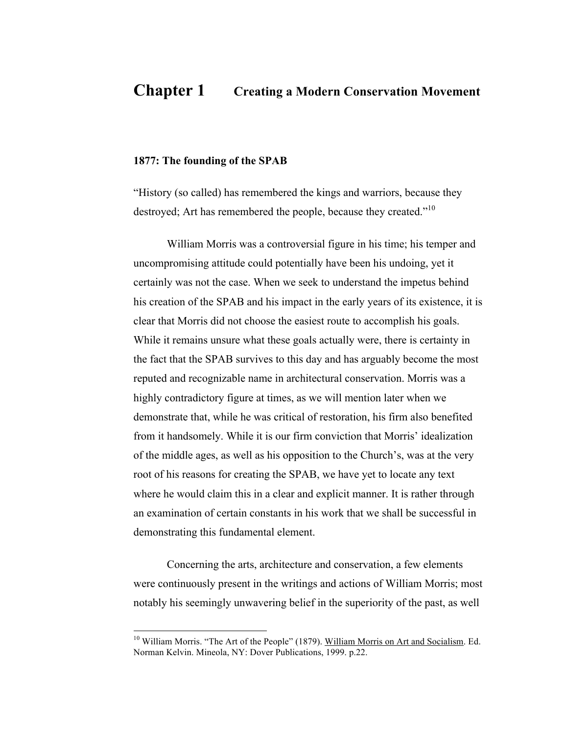## **Chapter 1 Creating a Modern Conservation Movement**

### **1877: The founding of the SPAB**

"History (so called) has remembered the kings and warriors, because they destroyed; Art has remembered the people, because they created."<sup>10</sup>

William Morris was a controversial figure in his time; his temper and uncompromising attitude could potentially have been his undoing, yet it certainly was not the case. When we seek to understand the impetus behind his creation of the SPAB and his impact in the early years of its existence, it is clear that Morris did not choose the easiest route to accomplish his goals. While it remains unsure what these goals actually were, there is certainty in the fact that the SPAB survives to this day and has arguably become the most reputed and recognizable name in architectural conservation. Morris was a highly contradictory figure at times, as we will mention later when we demonstrate that, while he was critical of restoration, his firm also benefited from it handsomely. While it is our firm conviction that Morris' idealization of the middle ages, as well as his opposition to the Church's, was at the very root of his reasons for creating the SPAB, we have yet to locate any text where he would claim this in a clear and explicit manner. It is rather through an examination of certain constants in his work that we shall be successful in demonstrating this fundamental element.

Concerning the arts, architecture and conservation, a few elements were continuously present in the writings and actions of William Morris; most notably his seemingly unwavering belief in the superiority of the past, as well

<sup>&</sup>lt;sup>10</sup> William Morris. "The Art of the People" (1879). William Morris on Art and Socialism. Ed. Norman Kelvin. Mineola, NY: Dover Publications, 1999. p.22.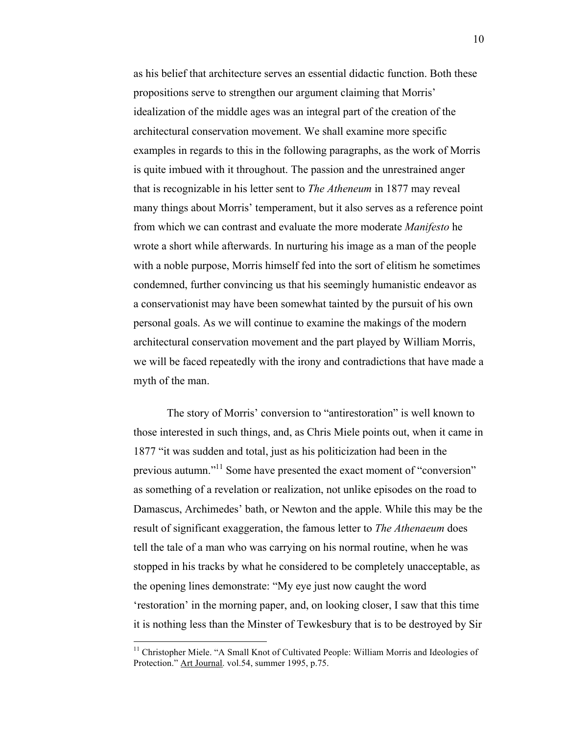as his belief that architecture serves an essential didactic function. Both these propositions serve to strengthen our argument claiming that Morris' idealization of the middle ages was an integral part of the creation of the architectural conservation movement. We shall examine more specific examples in regards to this in the following paragraphs, as the work of Morris is quite imbued with it throughout. The passion and the unrestrained anger that is recognizable in his letter sent to *The Atheneum* in 1877 may reveal many things about Morris' temperament, but it also serves as a reference point from which we can contrast and evaluate the more moderate *Manifesto* he wrote a short while afterwards. In nurturing his image as a man of the people with a noble purpose, Morris himself fed into the sort of elitism he sometimes condemned, further convincing us that his seemingly humanistic endeavor as a conservationist may have been somewhat tainted by the pursuit of his own personal goals. As we will continue to examine the makings of the modern architectural conservation movement and the part played by William Morris, we will be faced repeatedly with the irony and contradictions that have made a myth of the man.

The story of Morris' conversion to "antirestoration" is well known to those interested in such things, and, as Chris Miele points out, when it came in 1877 "it was sudden and total, just as his politicization had been in the previous autumn."<sup>11</sup> Some have presented the exact moment of "conversion" as something of a revelation or realization, not unlike episodes on the road to Damascus, Archimedes' bath, or Newton and the apple. While this may be the result of significant exaggeration, the famous letter to *The Athenaeum* does tell the tale of a man who was carrying on his normal routine, when he was stopped in his tracks by what he considered to be completely unacceptable, as the opening lines demonstrate: "My eye just now caught the word 'restoration' in the morning paper, and, on looking closer, I saw that this time it is nothing less than the Minster of Tewkesbury that is to be destroyed by Sir

<sup>&</sup>lt;sup>11</sup> Christopher Miele. "A Small Knot of Cultivated People: William Morris and Ideologies of Protection." Art Journal. vol.54, summer 1995, p.75.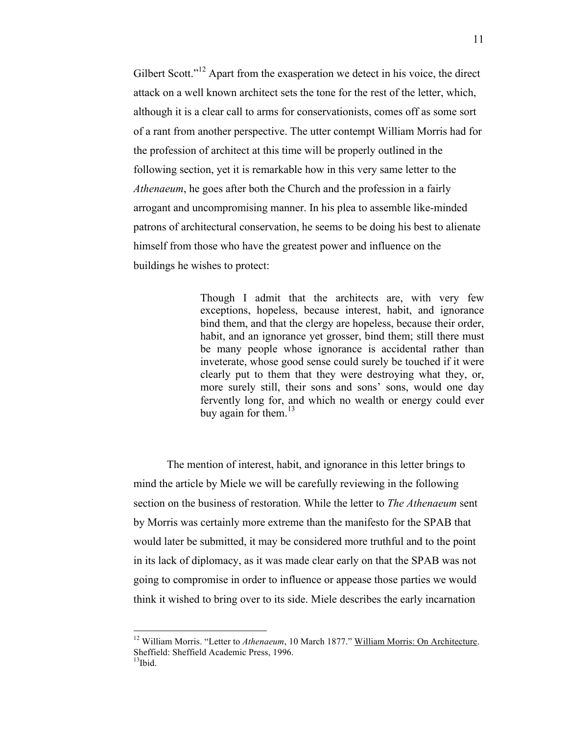Gilbert Scott."<sup>12</sup> Apart from the exasperation we detect in his voice, the direct attack on a well known architect sets the tone for the rest of the letter, which, although it is a clear call to arms for conservationists, comes off as some sort of a rant from another perspective. The utter contempt William Morris had for the profession of architect at this time will be properly outlined in the following section, yet it is remarkable how in this very same letter to the *Athenaeum*, he goes after both the Church and the profession in a fairly arrogant and uncompromising manner. In his plea to assemble like-minded patrons of architectural conservation, he seems to be doing his best to alienate himself from those who have the greatest power and influence on the buildings he wishes to protect:

> Though I admit that the architects are, with very few exceptions, hopeless, because interest, habit, and ignorance bind them, and that the clergy are hopeless, because their order, habit, and an ignorance yet grosser, bind them; still there must be many people whose ignorance is accidental rather than inveterate, whose good sense could surely be touched if it were clearly put to them that they were destroying what they, or, more surely still, their sons and sons' sons, would one day fervently long for, and which no wealth or energy could ever buy again for them. $^{13}$

The mention of interest, habit, and ignorance in this letter brings to mind the article by Miele we will be carefully reviewing in the following section on the business of restoration. While the letter to *The Athenaeum* sent by Morris was certainly more extreme than the manifesto for the SPAB that would later be submitted, it may be considered more truthful and to the point in its lack of diplomacy, as it was made clear early on that the SPAB was not going to compromise in order to influence or appease those parties we would think it wished to bring over to its side. Miele describes the early incarnation

<sup>&</sup>lt;sup>12</sup> William Morris. "Letter to Athenaeum, 10 March 1877." William Morris: On Architecture. Sheffield: Sheffield Academic Press, 1996.  $^{13}$ Ibid.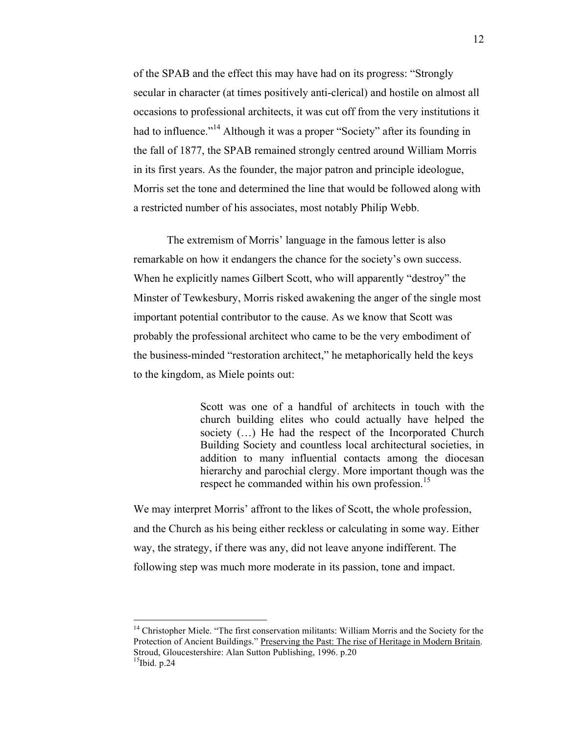of the SPAB and the effect this may have had on its progress: "Strongly secular in character (at times positively anti-clerical) and hostile on almost all occasions to professional architects, it was cut off from the very institutions it had to influence."<sup>14</sup> Although it was a proper "Society" after its founding in the fall of 1877, the SPAB remained strongly centred around William Morris in its first years. As the founder, the major patron and principle ideologue, Morris set the tone and determined the line that would be followed along with a restricted number of his associates, most notably Philip Webb.

The extremism of Morris' language in the famous letter is also remarkable on how it endangers the chance for the society's own success. When he explicitly names Gilbert Scott, who will apparently "destroy" the Minster of Tewkesbury, Morris risked awakening the anger of the single most important potential contributor to the cause. As we know that Scott was probably the professional architect who came to be the very embodiment of the business-minded "restoration architect," he metaphorically held the keys to the kingdom, as Miele points out:

> Scott was one of a handful of architects in touch with the church building elites who could actually have helped the society (…) He had the respect of the Incorporated Church Building Society and countless local architectural societies, in addition to many influential contacts among the diocesan hierarchy and parochial clergy. More important though was the respect he commanded within his own profession.<sup>15</sup>

We may interpret Morris' affront to the likes of Scott, the whole profession, and the Church as his being either reckless or calculating in some way. Either way, the strategy, if there was any, did not leave anyone indifferent. The following step was much more moderate in its passion, tone and impact.

<sup>&</sup>lt;sup>14</sup> Christopher Miele. "The first conservation militants: William Morris and the Society for the Protection of Ancient Buildings." Preserving the Past: The rise of Heritage in Modern Britain. Stroud, Gloucestershire: Alan Sutton Publishing, 1996. p.20  $15$ Ibid. p.24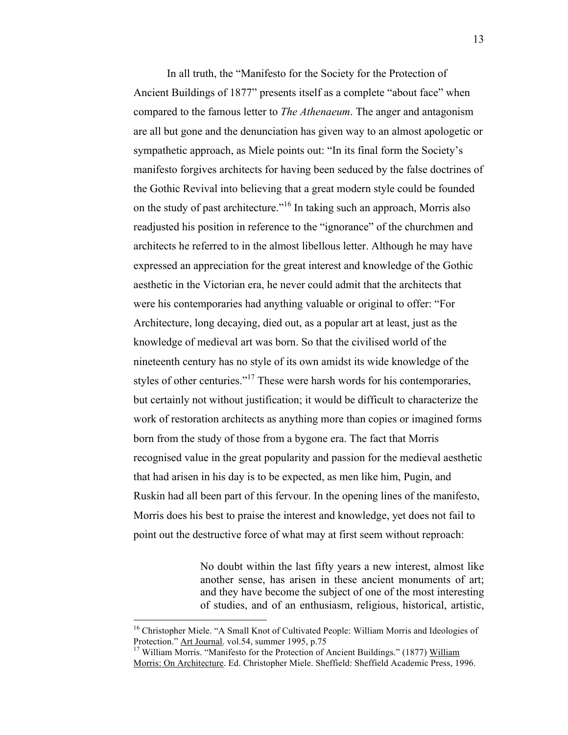In all truth, the "Manifesto for the Society for the Protection of Ancient Buildings of 1877" presents itself as a complete "about face" when compared to the famous letter to *The Athenaeum*. The anger and antagonism are all but gone and the denunciation has given way to an almost apologetic or sympathetic approach, as Miele points out: "In its final form the Society's manifesto forgives architects for having been seduced by the false doctrines of the Gothic Revival into believing that a great modern style could be founded on the study of past architecture.<sup>16</sup> In taking such an approach, Morris also readjusted his position in reference to the "ignorance" of the churchmen and architects he referred to in the almost libellous letter. Although he may have expressed an appreciation for the great interest and knowledge of the Gothic aesthetic in the Victorian era, he never could admit that the architects that were his contemporaries had anything valuable or original to offer: "For Architecture, long decaying, died out, as a popular art at least, just as the knowledge of medieval art was born. So that the civilised world of the nineteenth century has no style of its own amidst its wide knowledge of the styles of other centuries."<sup>17</sup> These were harsh words for his contemporaries, but certainly not without justification; it would be difficult to characterize the work of restoration architects as anything more than copies or imagined forms born from the study of those from a bygone era. The fact that Morris recognised value in the great popularity and passion for the medieval aesthetic that had arisen in his day is to be expected, as men like him, Pugin, and Ruskin had all been part of this fervour. In the opening lines of the manifesto, Morris does his best to praise the interest and knowledge, yet does not fail to point out the destructive force of what may at first seem without reproach:

> No doubt within the last fifty years a new interest, almost like another sense, has arisen in these ancient monuments of art; and they have become the subject of one of the most interesting of studies, and of an enthusiasm, religious, historical, artistic,

<sup>&</sup>lt;sup>16</sup> Christopher Miele. "A Small Knot of Cultivated People: William Morris and Ideologies of Protection." Art Journal. vol.54, summer 1995, p.75

<sup>&</sup>lt;sup>17</sup> William Morris. "Manifesto for the Protection of Ancient Buildings." (1877) William Morris: On Architecture. Ed. Christopher Miele. Sheffield: Sheffield Academic Press, 1996.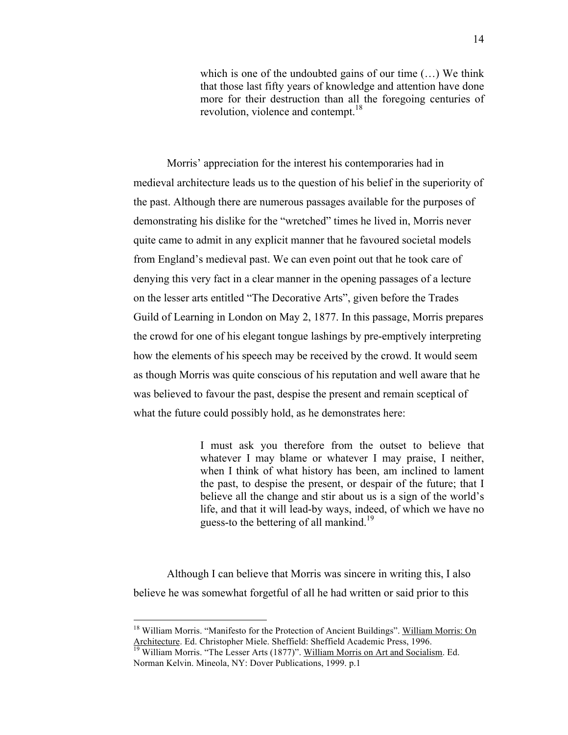which is one of the undoubted gains of our time (…) We think that those last fifty years of knowledge and attention have done more for their destruction than all the foregoing centuries of revolution, violence and contempt.<sup>18</sup>

Morris' appreciation for the interest his contemporaries had in medieval architecture leads us to the question of his belief in the superiority of the past. Although there are numerous passages available for the purposes of demonstrating his dislike for the "wretched" times he lived in, Morris never quite came to admit in any explicit manner that he favoured societal models from England's medieval past. We can even point out that he took care of denying this very fact in a clear manner in the opening passages of a lecture on the lesser arts entitled "The Decorative Arts", given before the Trades Guild of Learning in London on May 2, 1877. In this passage, Morris prepares the crowd for one of his elegant tongue lashings by pre-emptively interpreting how the elements of his speech may be received by the crowd. It would seem as though Morris was quite conscious of his reputation and well aware that he was believed to favour the past, despise the present and remain sceptical of what the future could possibly hold, as he demonstrates here:

> I must ask you therefore from the outset to believe that whatever I may blame or whatever I may praise, I neither, when I think of what history has been, am inclined to lament the past, to despise the present, or despair of the future; that I believe all the change and stir about us is a sign of the world's life, and that it will lead-by ways, indeed, of which we have no guess-to the bettering of all mankind.<sup>19</sup>

Although I can believe that Morris was sincere in writing this, I also believe he was somewhat forgetful of all he had written or said prior to this

<sup>&</sup>lt;sup>18</sup> William Morris. "Manifesto for the Protection of Ancient Buildings". William Morris: On Architecture. Ed. Christopher Miele. Sheffield: Sheffield Academic Press, 1996.<br><sup>19</sup> William Morris. "The Lesser Arts (1877)". <u>William Morris on Art and Socialism</u>. Ed.

Norman Kelvin. Mineola, NY: Dover Publications, 1999. p.1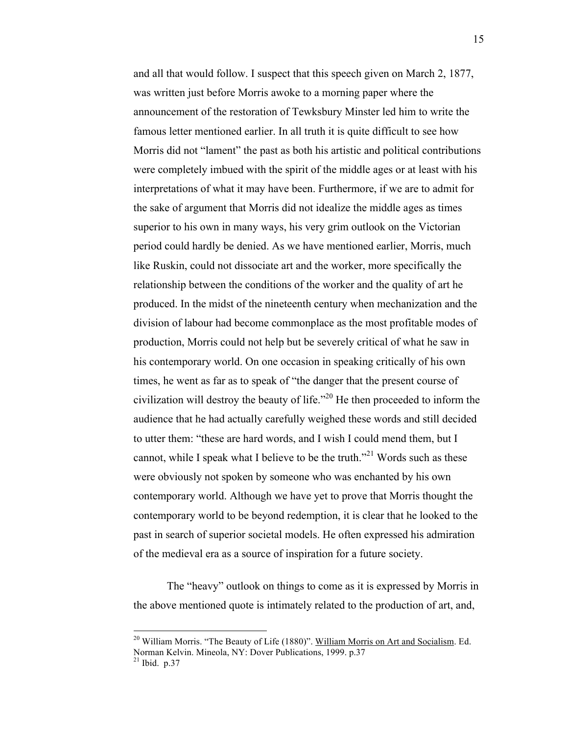and all that would follow. I suspect that this speech given on March 2, 1877, was written just before Morris awoke to a morning paper where the announcement of the restoration of Tewksbury Minster led him to write the famous letter mentioned earlier. In all truth it is quite difficult to see how Morris did not "lament" the past as both his artistic and political contributions were completely imbued with the spirit of the middle ages or at least with his interpretations of what it may have been. Furthermore, if we are to admit for the sake of argument that Morris did not idealize the middle ages as times superior to his own in many ways, his very grim outlook on the Victorian period could hardly be denied. As we have mentioned earlier, Morris, much like Ruskin, could not dissociate art and the worker, more specifically the relationship between the conditions of the worker and the quality of art he produced. In the midst of the nineteenth century when mechanization and the division of labour had become commonplace as the most profitable modes of production, Morris could not help but be severely critical of what he saw in his contemporary world. On one occasion in speaking critically of his own times, he went as far as to speak of "the danger that the present course of civilization will destroy the beauty of life.<sup> $20$ </sup> He then proceeded to inform the audience that he had actually carefully weighed these words and still decided to utter them: "these are hard words, and I wish I could mend them, but I cannot, while I speak what I believe to be the truth."<sup>21</sup> Words such as these were obviously not spoken by someone who was enchanted by his own contemporary world. Although we have yet to prove that Morris thought the contemporary world to be beyond redemption, it is clear that he looked to the past in search of superior societal models. He often expressed his admiration of the medieval era as a source of inspiration for a future society.

The "heavy" outlook on things to come as it is expressed by Morris in the above mentioned quote is intimately related to the production of art, and,

 $20$  William Morris. "The Beauty of Life (1880)". William Morris on Art and Socialism. Ed. Norman Kelvin. Mineola, NY: Dover Publications, 1999. p.37<sup>21</sup> Ibid. p.37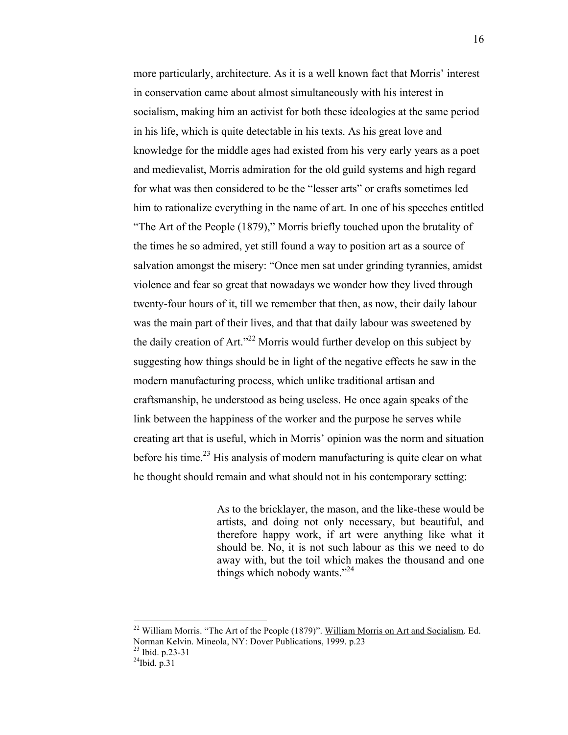more particularly, architecture. As it is a well known fact that Morris' interest in conservation came about almost simultaneously with his interest in socialism, making him an activist for both these ideologies at the same period in his life, which is quite detectable in his texts. As his great love and knowledge for the middle ages had existed from his very early years as a poet and medievalist, Morris admiration for the old guild systems and high regard for what was then considered to be the "lesser arts" or crafts sometimes led him to rationalize everything in the name of art. In one of his speeches entitled "The Art of the People (1879)," Morris briefly touched upon the brutality of the times he so admired, yet still found a way to position art as a source of salvation amongst the misery: "Once men sat under grinding tyrannies, amidst violence and fear so great that nowadays we wonder how they lived through twenty-four hours of it, till we remember that then, as now, their daily labour was the main part of their lives, and that that daily labour was sweetened by the daily creation of Art."<sup>22</sup> Morris would further develop on this subject by suggesting how things should be in light of the negative effects he saw in the modern manufacturing process, which unlike traditional artisan and craftsmanship, he understood as being useless. He once again speaks of the link between the happiness of the worker and the purpose he serves while creating art that is useful, which in Morris' opinion was the norm and situation before his time.<sup>23</sup> His analysis of modern manufacturing is quite clear on what he thought should remain and what should not in his contemporary setting:

> As to the bricklayer, the mason, and the like-these would be artists, and doing not only necessary, but beautiful, and therefore happy work, if art were anything like what it should be. No, it is not such labour as this we need to do away with, but the toil which makes the thousand and one things which nobody wants." $24$

<sup>&</sup>lt;sup>22</sup> William Morris. "The Art of the People  $(1879)$ ". William Morris on Art and Socialism. Ed. Norman Kelvin. Mineola, NY: Dover Publications, 1999. p.23<br>
<sup>23</sup> Ibid. p.23-31<br>
<sup>24</sup>Ibid. p.31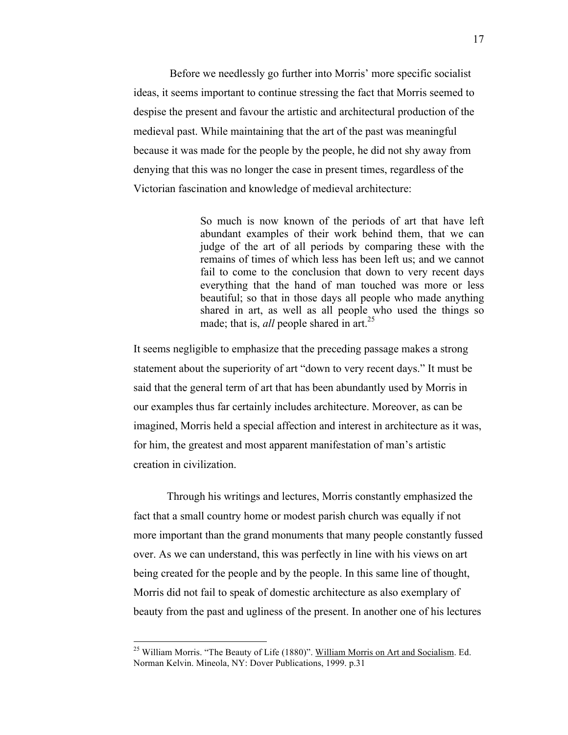Before we needlessly go further into Morris' more specific socialist ideas, it seems important to continue stressing the fact that Morris seemed to despise the present and favour the artistic and architectural production of the medieval past. While maintaining that the art of the past was meaningful because it was made for the people by the people, he did not shy away from denying that this was no longer the case in present times, regardless of the Victorian fascination and knowledge of medieval architecture:

> So much is now known of the periods of art that have left abundant examples of their work behind them, that we can judge of the art of all periods by comparing these with the remains of times of which less has been left us; and we cannot fail to come to the conclusion that down to very recent days everything that the hand of man touched was more or less beautiful; so that in those days all people who made anything shared in art, as well as all people who used the things so made; that is, *all* people shared in art.<sup>25</sup>

It seems negligible to emphasize that the preceding passage makes a strong statement about the superiority of art "down to very recent days." It must be said that the general term of art that has been abundantly used by Morris in our examples thus far certainly includes architecture. Moreover, as can be imagined, Morris held a special affection and interest in architecture as it was, for him, the greatest and most apparent manifestation of man's artistic creation in civilization.

Through his writings and lectures, Morris constantly emphasized the fact that a small country home or modest parish church was equally if not more important than the grand monuments that many people constantly fussed over. As we can understand, this was perfectly in line with his views on art being created for the people and by the people. In this same line of thought, Morris did not fail to speak of domestic architecture as also exemplary of beauty from the past and ugliness of the present. In another one of his lectures

<sup>&</sup>lt;sup>25</sup> William Morris. "The Beauty of Life (1880)". William Morris on Art and Socialism. Ed. Norman Kelvin. Mineola, NY: Dover Publications, 1999. p.31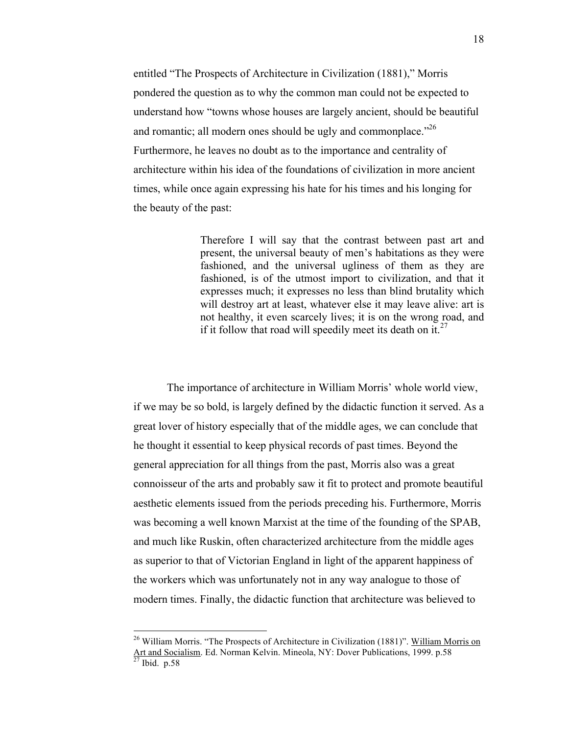entitled "The Prospects of Architecture in Civilization (1881)," Morris pondered the question as to why the common man could not be expected to understand how "towns whose houses are largely ancient, should be beautiful and romantic; all modern ones should be ugly and commonplace."<sup>26</sup> Furthermore, he leaves no doubt as to the importance and centrality of architecture within his idea of the foundations of civilization in more ancient times, while once again expressing his hate for his times and his longing for the beauty of the past:

> Therefore I will say that the contrast between past art and present, the universal beauty of men's habitations as they were fashioned, and the universal ugliness of them as they are fashioned, is of the utmost import to civilization, and that it expresses much; it expresses no less than blind brutality which will destroy art at least, whatever else it may leave alive: art is not healthy, it even scarcely lives; it is on the wrong road, and if it follow that road will speedily meet its death on it.<sup>27</sup>

The importance of architecture in William Morris' whole world view, if we may be so bold, is largely defined by the didactic function it served. As a great lover of history especially that of the middle ages, we can conclude that he thought it essential to keep physical records of past times. Beyond the general appreciation for all things from the past, Morris also was a great connoisseur of the arts and probably saw it fit to protect and promote beautiful aesthetic elements issued from the periods preceding his. Furthermore, Morris was becoming a well known Marxist at the time of the founding of the SPAB, and much like Ruskin, often characterized architecture from the middle ages as superior to that of Victorian England in light of the apparent happiness of the workers which was unfortunately not in any way analogue to those of modern times. Finally, the didactic function that architecture was believed to

<sup>&</sup>lt;sup>26</sup> William Morris. "The Prospects of Architecture in Civilization (1881)". William Morris on Art and Socialism. Ed. Norman Kelvin. Mineola, NY: Dover Publications, 1999. p.58<br><sup>27</sup> Ibid. p.58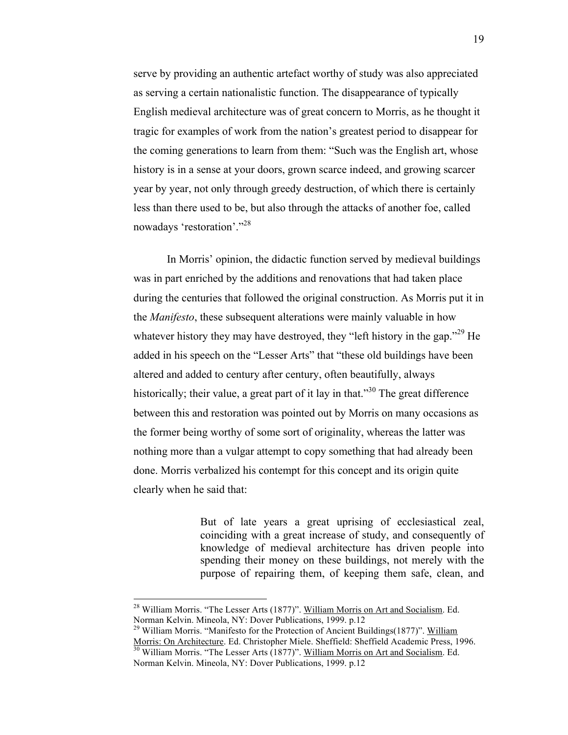serve by providing an authentic artefact worthy of study was also appreciated as serving a certain nationalistic function. The disappearance of typically English medieval architecture was of great concern to Morris, as he thought it tragic for examples of work from the nation's greatest period to disappear for the coming generations to learn from them: "Such was the English art, whose history is in a sense at your doors, grown scarce indeed, and growing scarcer year by year, not only through greedy destruction, of which there is certainly less than there used to be, but also through the attacks of another foe, called nowadays 'restoration'."<sup>28</sup>

In Morris' opinion, the didactic function served by medieval buildings was in part enriched by the additions and renovations that had taken place during the centuries that followed the original construction. As Morris put it in the *Manifesto*, these subsequent alterations were mainly valuable in how whatever history they may have destroyed, they "left history in the gap."<sup>29</sup> He added in his speech on the "Lesser Arts" that "these old buildings have been altered and added to century after century, often beautifully, always historically; their value, a great part of it lay in that.<sup>330</sup> The great difference between this and restoration was pointed out by Morris on many occasions as the former being worthy of some sort of originality, whereas the latter was nothing more than a vulgar attempt to copy something that had already been done. Morris verbalized his contempt for this concept and its origin quite clearly when he said that:

> But of late years a great uprising of ecclesiastical zeal, coinciding with a great increase of study, and consequently of knowledge of medieval architecture has driven people into spending their money on these buildings, not merely with the purpose of repairing them, of keeping them safe, clean, and

 $^{28}$  William Morris. "The Lesser Arts (1877)". William Morris on Art and Socialism. Ed. Norman Kelvin. Mineola, NY: Dover Publications, 1999. p.12<br><sup>29</sup> William Morris. "Manifesto for the Protection of Ancient Buildings(1877)". William

Morris: On Architecture. Ed. Christopher Miele. Sheffield: Sheffield Academic Press, 1996.<br><sup>30</sup> William Morris. "The Lesser Arts (1877)". <u>William Morris on Art and Socialism</u>. Ed. Norman Kelvin. Mineola, NY: Dover Publications, 1999. p.12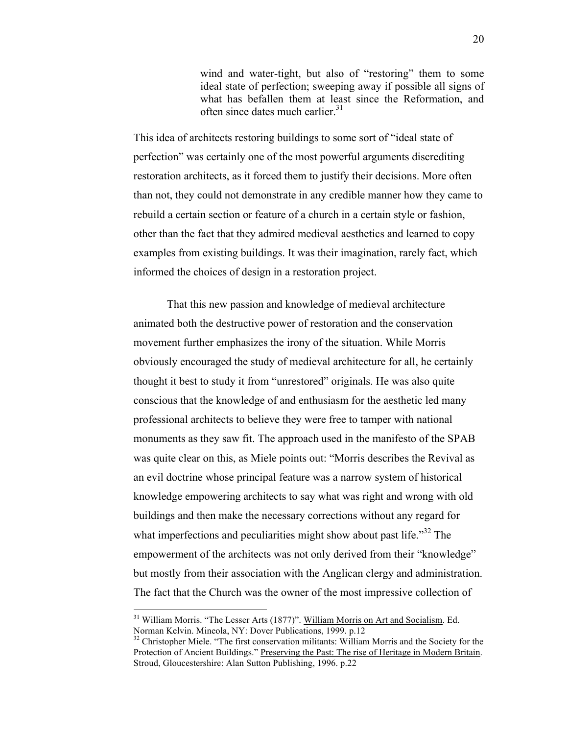wind and water-tight, but also of "restoring" them to some ideal state of perfection; sweeping away if possible all signs of what has befallen them at least since the Reformation, and often since dates much earlier. $31$ 

This idea of architects restoring buildings to some sort of "ideal state of perfection" was certainly one of the most powerful arguments discrediting restoration architects, as it forced them to justify their decisions. More often than not, they could not demonstrate in any credible manner how they came to rebuild a certain section or feature of a church in a certain style or fashion, other than the fact that they admired medieval aesthetics and learned to copy examples from existing buildings. It was their imagination, rarely fact, which informed the choices of design in a restoration project.

That this new passion and knowledge of medieval architecture animated both the destructive power of restoration and the conservation movement further emphasizes the irony of the situation. While Morris obviously encouraged the study of medieval architecture for all, he certainly thought it best to study it from "unrestored" originals. He was also quite conscious that the knowledge of and enthusiasm for the aesthetic led many professional architects to believe they were free to tamper with national monuments as they saw fit. The approach used in the manifesto of the SPAB was quite clear on this, as Miele points out: "Morris describes the Revival as an evil doctrine whose principal feature was a narrow system of historical knowledge empowering architects to say what was right and wrong with old buildings and then make the necessary corrections without any regard for what imperfections and peculiarities might show about past life.<sup>33</sup> The empowerment of the architects was not only derived from their "knowledge" but mostly from their association with the Anglican clergy and administration. The fact that the Church was the owner of the most impressive collection of

<sup>&</sup>lt;sup>31</sup> William Morris. "The Lesser Arts (1877)". William Morris on Art and Socialism. Ed. Norman Kelvin. Mineola, NY: Dover Publications, 1999. p.12<br><sup>32</sup> Christopher Miele. "The first conservation militants: William Morris and the Society for the

Protection of Ancient Buildings." Preserving the Past: The rise of Heritage in Modern Britain. Stroud, Gloucestershire: Alan Sutton Publishing, 1996. p.22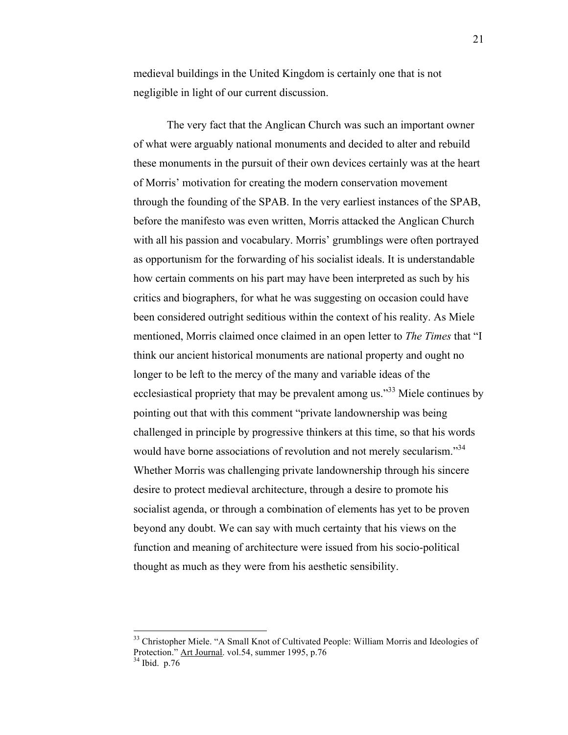medieval buildings in the United Kingdom is certainly one that is not negligible in light of our current discussion.

The very fact that the Anglican Church was such an important owner of what were arguably national monuments and decided to alter and rebuild these monuments in the pursuit of their own devices certainly was at the heart of Morris' motivation for creating the modern conservation movement through the founding of the SPAB. In the very earliest instances of the SPAB, before the manifesto was even written, Morris attacked the Anglican Church with all his passion and vocabulary. Morris' grumblings were often portrayed as opportunism for the forwarding of his socialist ideals. It is understandable how certain comments on his part may have been interpreted as such by his critics and biographers, for what he was suggesting on occasion could have been considered outright seditious within the context of his reality. As Miele mentioned, Morris claimed once claimed in an open letter to *The Times* that "I think our ancient historical monuments are national property and ought no longer to be left to the mercy of the many and variable ideas of the ecclesiastical propriety that may be prevalent among us."<sup>33</sup> Miele continues by pointing out that with this comment "private landownership was being challenged in principle by progressive thinkers at this time, so that his words would have borne associations of revolution and not merely secularism."<sup>34</sup> Whether Morris was challenging private landownership through his sincere desire to protect medieval architecture, through a desire to promote his socialist agenda, or through a combination of elements has yet to be proven beyond any doubt. We can say with much certainty that his views on the function and meaning of architecture were issued from his socio-political thought as much as they were from his aesthetic sensibility.

<sup>&</sup>lt;sup>33</sup> Christopher Miele. "A Small Knot of Cultivated People: William Morris and Ideologies of Protection." Art Journal. vol.54, summer 1995, p.76<br><sup>34</sup> Ibid. p.76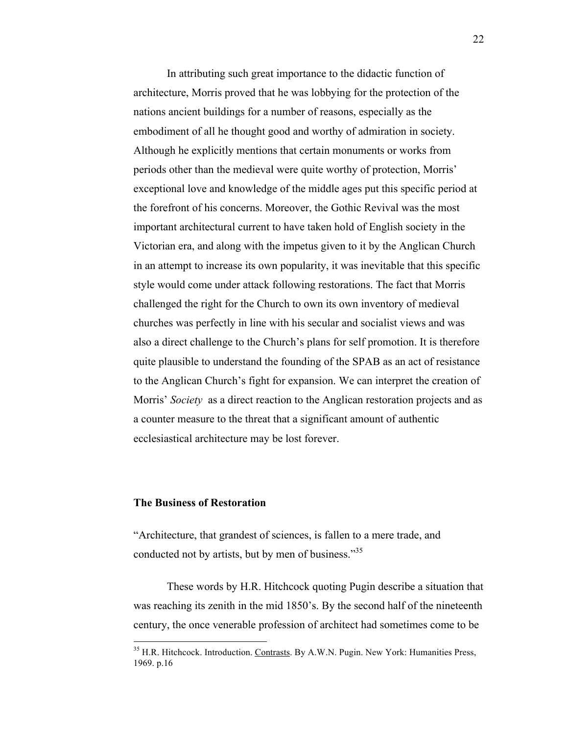In attributing such great importance to the didactic function of architecture, Morris proved that he was lobbying for the protection of the nations ancient buildings for a number of reasons, especially as the embodiment of all he thought good and worthy of admiration in society. Although he explicitly mentions that certain monuments or works from periods other than the medieval were quite worthy of protection, Morris' exceptional love and knowledge of the middle ages put this specific period at the forefront of his concerns. Moreover, the Gothic Revival was the most important architectural current to have taken hold of English society in the Victorian era, and along with the impetus given to it by the Anglican Church in an attempt to increase its own popularity, it was inevitable that this specific style would come under attack following restorations. The fact that Morris challenged the right for the Church to own its own inventory of medieval churches was perfectly in line with his secular and socialist views and was also a direct challenge to the Church's plans for self promotion. It is therefore quite plausible to understand the founding of the SPAB as an act of resistance to the Anglican Church's fight for expansion. We can interpret the creation of Morris' *Society* as a direct reaction to the Anglican restoration projects and as a counter measure to the threat that a significant amount of authentic ecclesiastical architecture may be lost forever.

### **The Business of Restoration**

"Architecture, that grandest of sciences, is fallen to a mere trade, and conducted not by artists, but by men of business."<sup>35</sup>

These words by H.R. Hitchcock quoting Pugin describe a situation that was reaching its zenith in the mid 1850's. By the second half of the nineteenth century, the once venerable profession of architect had sometimes come to be

<sup>&</sup>lt;sup>35</sup> H.R. Hitchcock. Introduction. Contrasts. By A.W.N. Pugin. New York: Humanities Press, 1969. p.16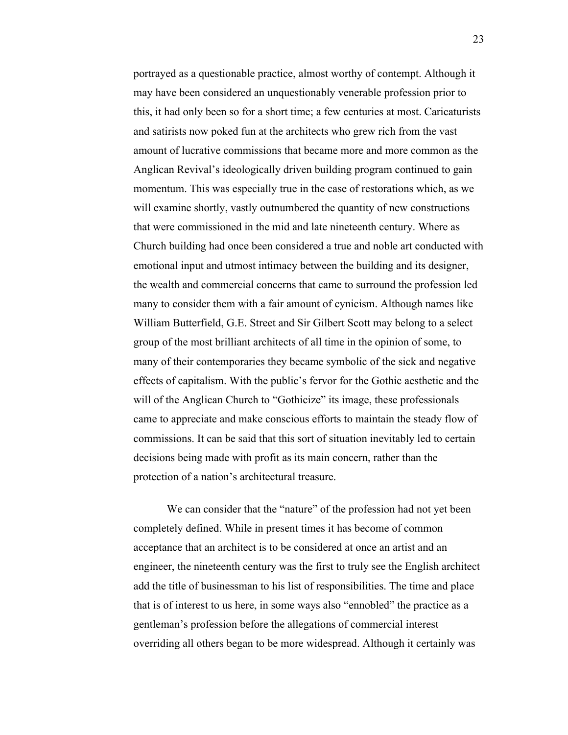portrayed as a questionable practice, almost worthy of contempt. Although it may have been considered an unquestionably venerable profession prior to this, it had only been so for a short time; a few centuries at most. Caricaturists and satirists now poked fun at the architects who grew rich from the vast amount of lucrative commissions that became more and more common as the Anglican Revival's ideologically driven building program continued to gain momentum. This was especially true in the case of restorations which, as we will examine shortly, vastly outnumbered the quantity of new constructions that were commissioned in the mid and late nineteenth century. Where as Church building had once been considered a true and noble art conducted with emotional input and utmost intimacy between the building and its designer, the wealth and commercial concerns that came to surround the profession led many to consider them with a fair amount of cynicism. Although names like William Butterfield, G.E. Street and Sir Gilbert Scott may belong to a select group of the most brilliant architects of all time in the opinion of some, to many of their contemporaries they became symbolic of the sick and negative effects of capitalism. With the public's fervor for the Gothic aesthetic and the will of the Anglican Church to "Gothicize" its image, these professionals came to appreciate and make conscious efforts to maintain the steady flow of commissions. It can be said that this sort of situation inevitably led to certain decisions being made with profit as its main concern, rather than the protection of a nation's architectural treasure.

We can consider that the "nature" of the profession had not yet been completely defined. While in present times it has become of common acceptance that an architect is to be considered at once an artist and an engineer, the nineteenth century was the first to truly see the English architect add the title of businessman to his list of responsibilities. The time and place that is of interest to us here, in some ways also "ennobled" the practice as a gentleman's profession before the allegations of commercial interest overriding all others began to be more widespread. Although it certainly was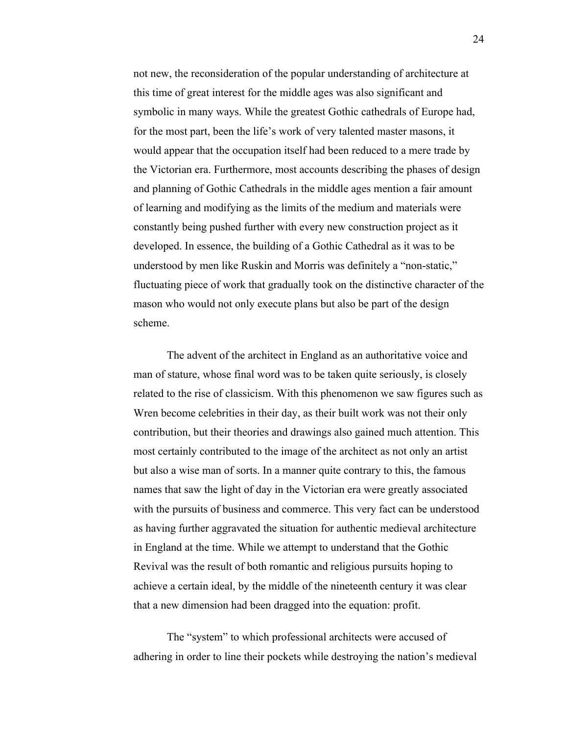not new, the reconsideration of the popular understanding of architecture at this time of great interest for the middle ages was also significant and symbolic in many ways. While the greatest Gothic cathedrals of Europe had, for the most part, been the life's work of very talented master masons, it would appear that the occupation itself had been reduced to a mere trade by the Victorian era. Furthermore, most accounts describing the phases of design and planning of Gothic Cathedrals in the middle ages mention a fair amount of learning and modifying as the limits of the medium and materials were constantly being pushed further with every new construction project as it developed. In essence, the building of a Gothic Cathedral as it was to be understood by men like Ruskin and Morris was definitely a "non-static," fluctuating piece of work that gradually took on the distinctive character of the mason who would not only execute plans but also be part of the design scheme.

The advent of the architect in England as an authoritative voice and man of stature, whose final word was to be taken quite seriously, is closely related to the rise of classicism. With this phenomenon we saw figures such as Wren become celebrities in their day, as their built work was not their only contribution, but their theories and drawings also gained much attention. This most certainly contributed to the image of the architect as not only an artist but also a wise man of sorts. In a manner quite contrary to this, the famous names that saw the light of day in the Victorian era were greatly associated with the pursuits of business and commerce. This very fact can be understood as having further aggravated the situation for authentic medieval architecture in England at the time. While we attempt to understand that the Gothic Revival was the result of both romantic and religious pursuits hoping to achieve a certain ideal, by the middle of the nineteenth century it was clear that a new dimension had been dragged into the equation: profit.

The "system" to which professional architects were accused of adhering in order to line their pockets while destroying the nation's medieval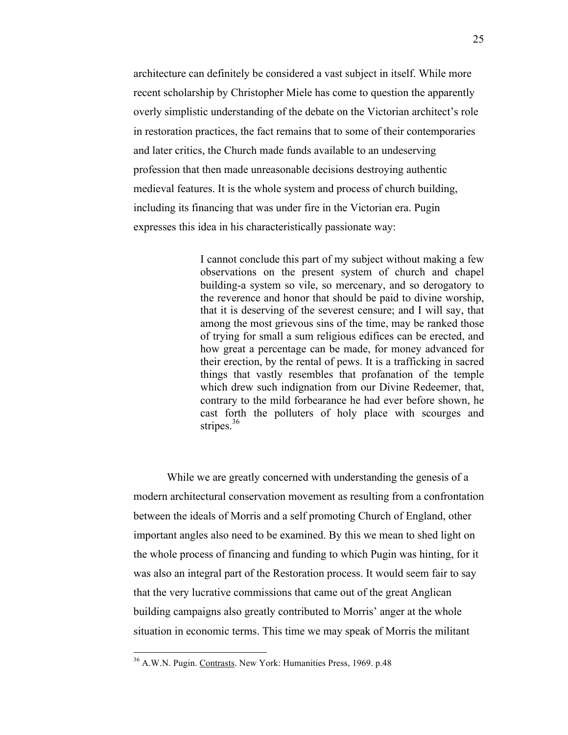architecture can definitely be considered a vast subject in itself. While more recent scholarship by Christopher Miele has come to question the apparently overly simplistic understanding of the debate on the Victorian architect's role in restoration practices, the fact remains that to some of their contemporaries and later critics, the Church made funds available to an undeserving profession that then made unreasonable decisions destroying authentic medieval features. It is the whole system and process of church building, including its financing that was under fire in the Victorian era. Pugin expresses this idea in his characteristically passionate way:

> I cannot conclude this part of my subject without making a few observations on the present system of church and chapel building-a system so vile, so mercenary, and so derogatory to the reverence and honor that should be paid to divine worship, that it is deserving of the severest censure; and I will say, that among the most grievous sins of the time, may be ranked those of trying for small a sum religious edifices can be erected, and how great a percentage can be made, for money advanced for their erection, by the rental of pews. It is a trafficking in sacred things that vastly resembles that profanation of the temple which drew such indignation from our Divine Redeemer, that, contrary to the mild forbearance he had ever before shown, he cast forth the polluters of holy place with scourges and stripes. $36$

While we are greatly concerned with understanding the genesis of a modern architectural conservation movement as resulting from a confrontation between the ideals of Morris and a self promoting Church of England, other important angles also need to be examined. By this we mean to shed light on the whole process of financing and funding to which Pugin was hinting, for it was also an integral part of the Restoration process. It would seem fair to say that the very lucrative commissions that came out of the great Anglican building campaigns also greatly contributed to Morris' anger at the whole situation in economic terms. This time we may speak of Morris the militant

 <sup>36</sup> A.W.N. Pugin. Contrasts. New York: Humanities Press, 1969. p.48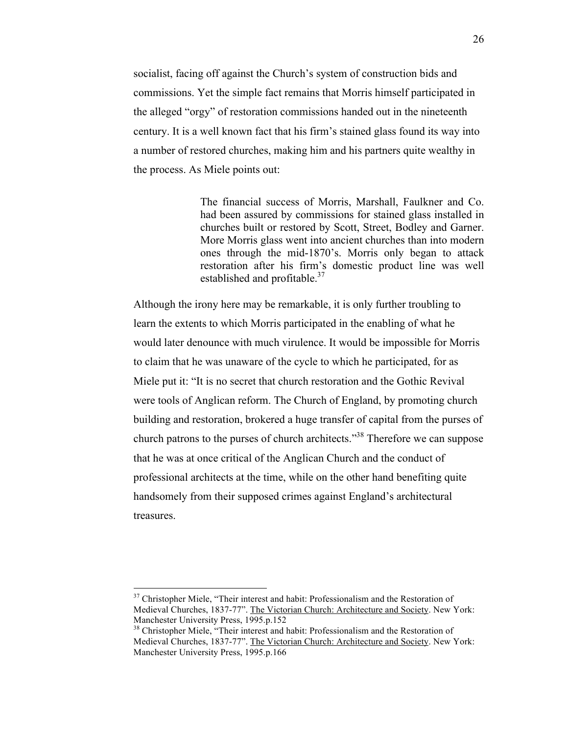socialist, facing off against the Church's system of construction bids and commissions. Yet the simple fact remains that Morris himself participated in the alleged "orgy" of restoration commissions handed out in the nineteenth century. It is a well known fact that his firm's stained glass found its way into a number of restored churches, making him and his partners quite wealthy in the process. As Miele points out:

> The financial success of Morris, Marshall, Faulkner and Co. had been assured by commissions for stained glass installed in churches built or restored by Scott, Street, Bodley and Garner. More Morris glass went into ancient churches than into modern ones through the mid-1870's. Morris only began to attack restoration after his firm's domestic product line was well established and profitable.<sup>37</sup>

Although the irony here may be remarkable, it is only further troubling to learn the extents to which Morris participated in the enabling of what he would later denounce with much virulence. It would be impossible for Morris to claim that he was unaware of the cycle to which he participated, for as Miele put it: "It is no secret that church restoration and the Gothic Revival were tools of Anglican reform. The Church of England, by promoting church building and restoration, brokered a huge transfer of capital from the purses of church patrons to the purses of church architects."38 Therefore we can suppose that he was at once critical of the Anglican Church and the conduct of professional architects at the time, while on the other hand benefiting quite handsomely from their supposed crimes against England's architectural treasures.

<sup>&</sup>lt;sup>37</sup> Christopher Miele, "Their interest and habit: Professionalism and the Restoration of Medieval Churches, 1837-77". The Victorian Church: Architecture and Society. New York: Manchester University Press, 1995.p.152<br><sup>38</sup> Christopher Miele, "Their interest and habit: Professionalism and the Restoration of

Medieval Churches, 1837-77". The Victorian Church: Architecture and Society. New York: Manchester University Press, 1995.p.166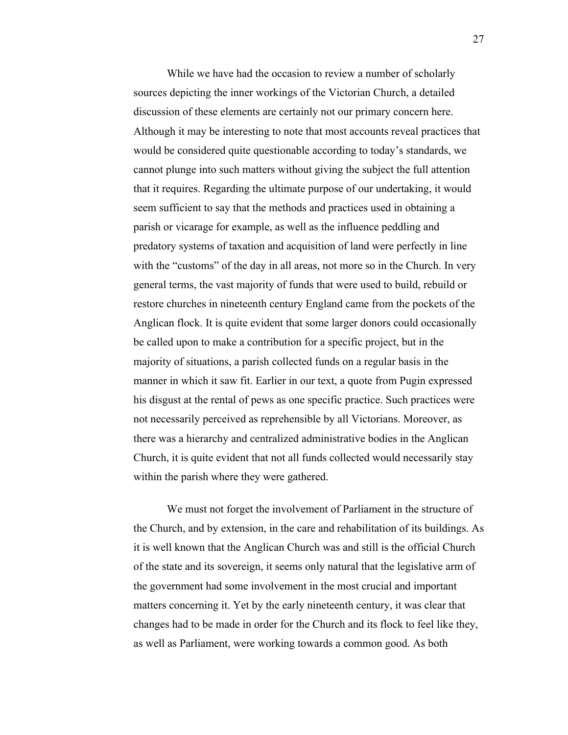While we have had the occasion to review a number of scholarly sources depicting the inner workings of the Victorian Church, a detailed discussion of these elements are certainly not our primary concern here. Although it may be interesting to note that most accounts reveal practices that would be considered quite questionable according to today's standards, we cannot plunge into such matters without giving the subject the full attention that it requires. Regarding the ultimate purpose of our undertaking, it would seem sufficient to say that the methods and practices used in obtaining a parish or vicarage for example, as well as the influence peddling and predatory systems of taxation and acquisition of land were perfectly in line with the "customs" of the day in all areas, not more so in the Church. In very general terms, the vast majority of funds that were used to build, rebuild or restore churches in nineteenth century England came from the pockets of the Anglican flock. It is quite evident that some larger donors could occasionally be called upon to make a contribution for a specific project, but in the majority of situations, a parish collected funds on a regular basis in the manner in which it saw fit. Earlier in our text, a quote from Pugin expressed his disgust at the rental of pews as one specific practice. Such practices were not necessarily perceived as reprehensible by all Victorians. Moreover, as there was a hierarchy and centralized administrative bodies in the Anglican Church, it is quite evident that not all funds collected would necessarily stay within the parish where they were gathered.

We must not forget the involvement of Parliament in the structure of the Church, and by extension, in the care and rehabilitation of its buildings. As it is well known that the Anglican Church was and still is the official Church of the state and its sovereign, it seems only natural that the legislative arm of the government had some involvement in the most crucial and important matters concerning it. Yet by the early nineteenth century, it was clear that changes had to be made in order for the Church and its flock to feel like they, as well as Parliament, were working towards a common good. As both

27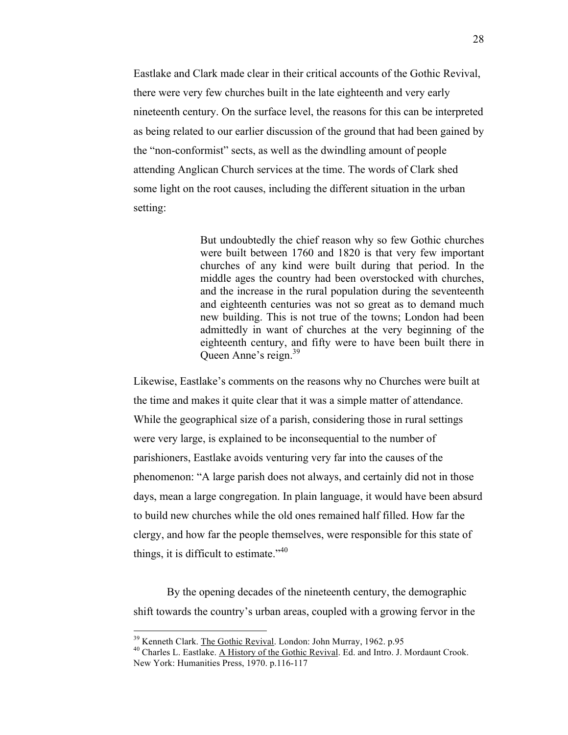Eastlake and Clark made clear in their critical accounts of the Gothic Revival, there were very few churches built in the late eighteenth and very early nineteenth century. On the surface level, the reasons for this can be interpreted as being related to our earlier discussion of the ground that had been gained by the "non-conformist" sects, as well as the dwindling amount of people attending Anglican Church services at the time. The words of Clark shed some light on the root causes, including the different situation in the urban setting:

> But undoubtedly the chief reason why so few Gothic churches were built between 1760 and 1820 is that very few important churches of any kind were built during that period. In the middle ages the country had been overstocked with churches, and the increase in the rural population during the seventeenth and eighteenth centuries was not so great as to demand much new building. This is not true of the towns; London had been admittedly in want of churches at the very beginning of the eighteenth century, and fifty were to have been built there in Queen Anne's reign.<sup>39</sup>

Likewise, Eastlake's comments on the reasons why no Churches were built at the time and makes it quite clear that it was a simple matter of attendance. While the geographical size of a parish, considering those in rural settings were very large, is explained to be inconsequential to the number of parishioners, Eastlake avoids venturing very far into the causes of the phenomenon: "A large parish does not always, and certainly did not in those days, mean a large congregation. In plain language, it would have been absurd to build new churches while the old ones remained half filled. How far the clergy, and how far the people themselves, were responsible for this state of things, it is difficult to estimate." $40$ 

By the opening decades of the nineteenth century, the demographic shift towards the country's urban areas, coupled with a growing fervor in the

<sup>&</sup>lt;sup>39</sup> Kenneth Clark. <u>The Gothic Revival</u>. London: John Murray, 1962. p.95  $^{40}$  Charles L. Eastlake. <u>A History of the Gothic Revival</u>. Ed. and Intro. J. Mordaunt Crook. New York: Humanities Press, 1970. p.116-117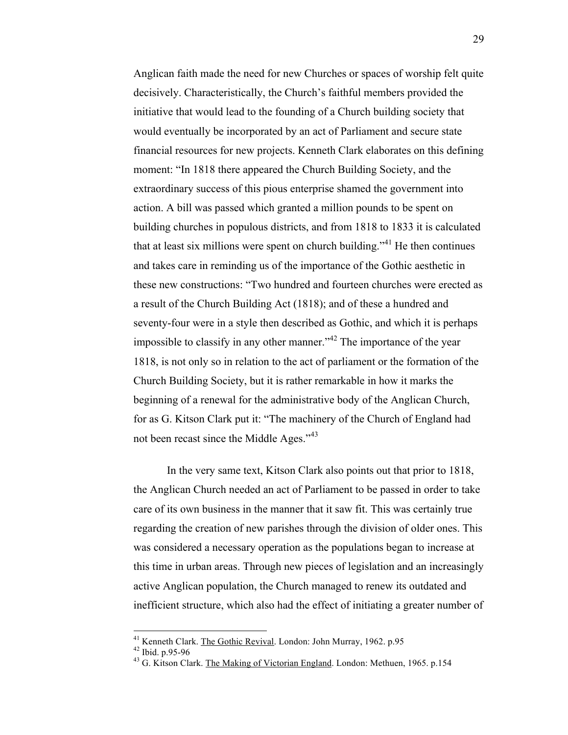Anglican faith made the need for new Churches or spaces of worship felt quite decisively. Characteristically, the Church's faithful members provided the initiative that would lead to the founding of a Church building society that would eventually be incorporated by an act of Parliament and secure state financial resources for new projects. Kenneth Clark elaborates on this defining moment: "In 1818 there appeared the Church Building Society, and the extraordinary success of this pious enterprise shamed the government into action. A bill was passed which granted a million pounds to be spent on building churches in populous districts, and from 1818 to 1833 it is calculated that at least six millions were spent on church building."<sup>41</sup> He then continues and takes care in reminding us of the importance of the Gothic aesthetic in these new constructions: "Two hundred and fourteen churches were erected as a result of the Church Building Act (1818); and of these a hundred and seventy-four were in a style then described as Gothic, and which it is perhaps impossible to classify in any other manner."<sup>42</sup> The importance of the year 1818, is not only so in relation to the act of parliament or the formation of the Church Building Society, but it is rather remarkable in how it marks the beginning of a renewal for the administrative body of the Anglican Church, for as G. Kitson Clark put it: "The machinery of the Church of England had not been recast since the Middle Ages."<sup>43</sup>

In the very same text, Kitson Clark also points out that prior to 1818, the Anglican Church needed an act of Parliament to be passed in order to take care of its own business in the manner that it saw fit. This was certainly true regarding the creation of new parishes through the division of older ones. This was considered a necessary operation as the populations began to increase at this time in urban areas. Through new pieces of legislation and an increasingly active Anglican population, the Church managed to renew its outdated and inefficient structure, which also had the effect of initiating a greater number of

<sup>&</sup>lt;sup>41</sup> Kenneth Clark. <u>The Gothic Revival</u>. London: John Murray, 1962. p.95<br><sup>42</sup> Ibid. p.95-96<br><sup>43</sup> G. Kitson Clark. The Making <u>of Victorian England</u>. London: Methuen, 1965. p.154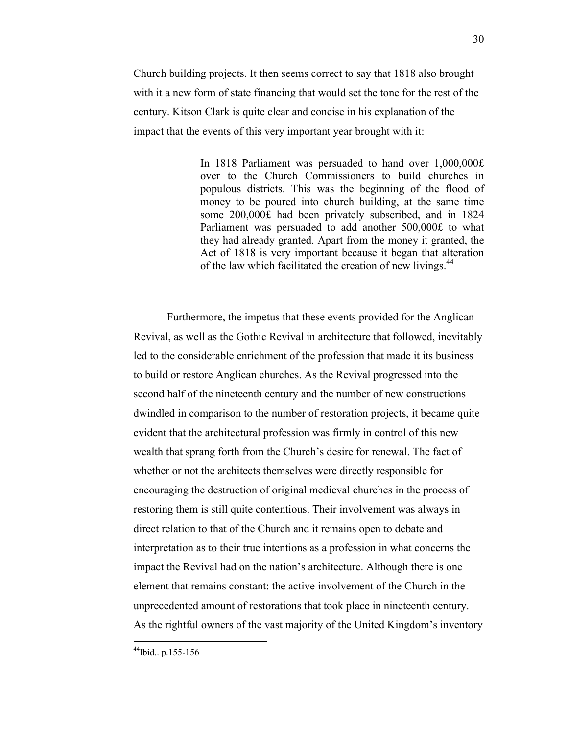Church building projects. It then seems correct to say that 1818 also brought with it a new form of state financing that would set the tone for the rest of the century. Kitson Clark is quite clear and concise in his explanation of the impact that the events of this very important year brought with it:

> In 1818 Parliament was persuaded to hand over 1,000,000£ over to the Church Commissioners to build churches in populous districts. This was the beginning of the flood of money to be poured into church building, at the same time some 200,000£ had been privately subscribed, and in 1824 Parliament was persuaded to add another 500,000£ to what they had already granted. Apart from the money it granted, the Act of 1818 is very important because it began that alteration of the law which facilitated the creation of new livings.<sup>44</sup>

Furthermore, the impetus that these events provided for the Anglican Revival, as well as the Gothic Revival in architecture that followed, inevitably led to the considerable enrichment of the profession that made it its business to build or restore Anglican churches. As the Revival progressed into the second half of the nineteenth century and the number of new constructions dwindled in comparison to the number of restoration projects, it became quite evident that the architectural profession was firmly in control of this new wealth that sprang forth from the Church's desire for renewal. The fact of whether or not the architects themselves were directly responsible for encouraging the destruction of original medieval churches in the process of restoring them is still quite contentious. Their involvement was always in direct relation to that of the Church and it remains open to debate and interpretation as to their true intentions as a profession in what concerns the impact the Revival had on the nation's architecture. Although there is one element that remains constant: the active involvement of the Church in the unprecedented amount of restorations that took place in nineteenth century. As the rightful owners of the vast majority of the United Kingdom's inventory

 $44$ Ibid.. p.155-156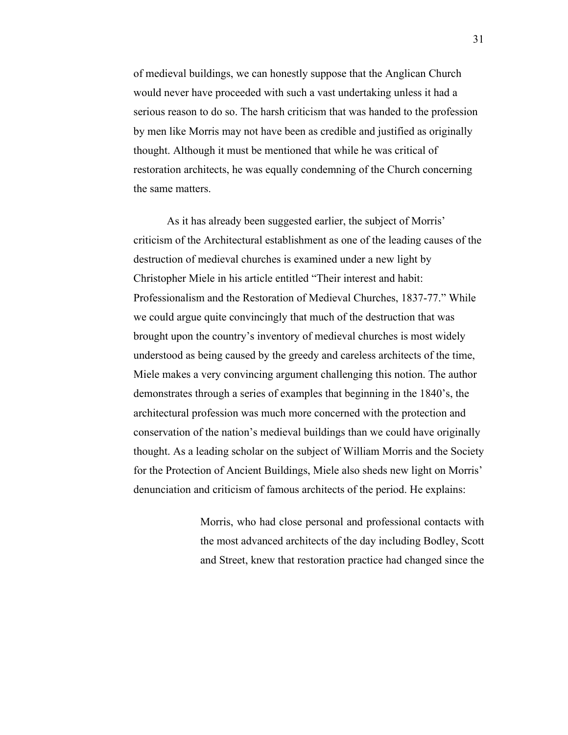of medieval buildings, we can honestly suppose that the Anglican Church would never have proceeded with such a vast undertaking unless it had a serious reason to do so. The harsh criticism that was handed to the profession by men like Morris may not have been as credible and justified as originally thought. Although it must be mentioned that while he was critical of restoration architects, he was equally condemning of the Church concerning the same matters.

As it has already been suggested earlier, the subject of Morris' criticism of the Architectural establishment as one of the leading causes of the destruction of medieval churches is examined under a new light by Christopher Miele in his article entitled "Their interest and habit: Professionalism and the Restoration of Medieval Churches, 1837-77." While we could argue quite convincingly that much of the destruction that was brought upon the country's inventory of medieval churches is most widely understood as being caused by the greedy and careless architects of the time, Miele makes a very convincing argument challenging this notion. The author demonstrates through a series of examples that beginning in the 1840's, the architectural profession was much more concerned with the protection and conservation of the nation's medieval buildings than we could have originally thought. As a leading scholar on the subject of William Morris and the Society for the Protection of Ancient Buildings, Miele also sheds new light on Morris' denunciation and criticism of famous architects of the period. He explains:

> Morris, who had close personal and professional contacts with the most advanced architects of the day including Bodley, Scott and Street, knew that restoration practice had changed since the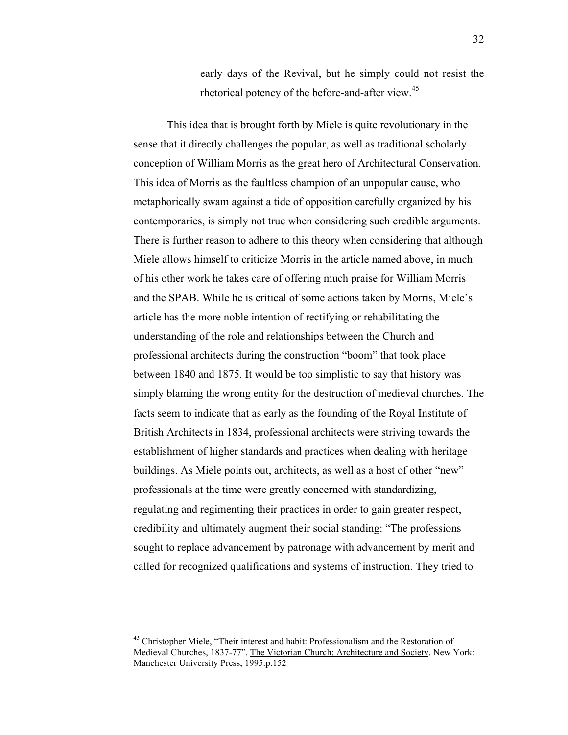early days of the Revival, but he simply could not resist the rhetorical potency of the before-and-after view.<sup>45</sup>

This idea that is brought forth by Miele is quite revolutionary in the sense that it directly challenges the popular, as well as traditional scholarly conception of William Morris as the great hero of Architectural Conservation. This idea of Morris as the faultless champion of an unpopular cause, who metaphorically swam against a tide of opposition carefully organized by his contemporaries, is simply not true when considering such credible arguments. There is further reason to adhere to this theory when considering that although Miele allows himself to criticize Morris in the article named above, in much of his other work he takes care of offering much praise for William Morris and the SPAB. While he is critical of some actions taken by Morris, Miele's article has the more noble intention of rectifying or rehabilitating the understanding of the role and relationships between the Church and professional architects during the construction "boom" that took place between 1840 and 1875. It would be too simplistic to say that history was simply blaming the wrong entity for the destruction of medieval churches. The facts seem to indicate that as early as the founding of the Royal Institute of British Architects in 1834, professional architects were striving towards the establishment of higher standards and practices when dealing with heritage buildings. As Miele points out, architects, as well as a host of other "new" professionals at the time were greatly concerned with standardizing, regulating and regimenting their practices in order to gain greater respect, credibility and ultimately augment their social standing: "The professions sought to replace advancement by patronage with advancement by merit and called for recognized qualifications and systems of instruction. They tried to

<sup>&</sup>lt;sup>45</sup> Christopher Miele, "Their interest and habit: Professionalism and the Restoration of Medieval Churches, 1837-77". The Victorian Church: Architecture and Society. New York: Manchester University Press, 1995.p.152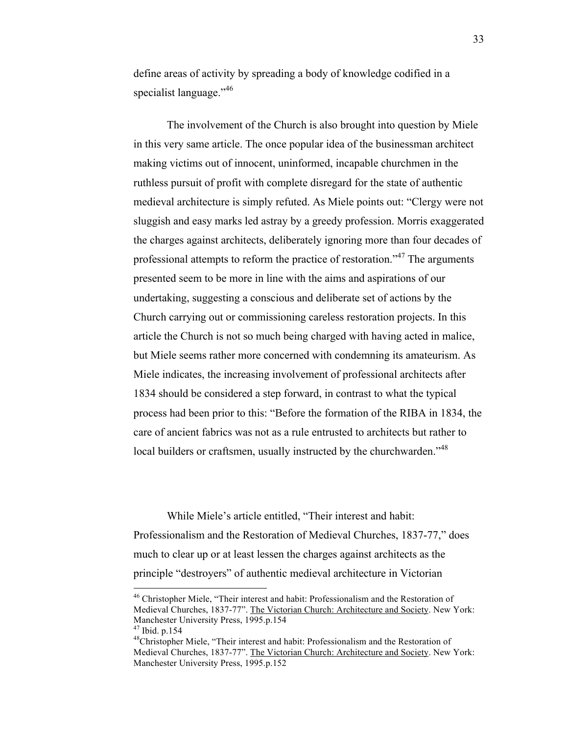define areas of activity by spreading a body of knowledge codified in a specialist language."<sup>46</sup>

The involvement of the Church is also brought into question by Miele in this very same article. The once popular idea of the businessman architect making victims out of innocent, uninformed, incapable churchmen in the ruthless pursuit of profit with complete disregard for the state of authentic medieval architecture is simply refuted. As Miele points out: "Clergy were not sluggish and easy marks led astray by a greedy profession. Morris exaggerated the charges against architects, deliberately ignoring more than four decades of professional attempts to reform the practice of restoration."<sup>47</sup> The arguments presented seem to be more in line with the aims and aspirations of our undertaking, suggesting a conscious and deliberate set of actions by the Church carrying out or commissioning careless restoration projects. In this article the Church is not so much being charged with having acted in malice, but Miele seems rather more concerned with condemning its amateurism. As Miele indicates, the increasing involvement of professional architects after 1834 should be considered a step forward, in contrast to what the typical process had been prior to this: "Before the formation of the RIBA in 1834, the care of ancient fabrics was not as a rule entrusted to architects but rather to local builders or craftsmen, usually instructed by the churchwarden."<sup>48</sup>

While Miele's article entitled, "Their interest and habit: Professionalism and the Restoration of Medieval Churches, 1837-77," does much to clear up or at least lessen the charges against architects as the principle "destroyers" of authentic medieval architecture in Victorian

 <sup>46</sup> Christopher Miele, "Their interest and habit: Professionalism and the Restoration of Medieval Churches, 1837-77". The Victorian Church: Architecture and Society. New York: Manchester University Press, 1995.p.154 47 Ibid. p.154

<sup>&</sup>lt;sup>48</sup>Christopher Miele, "Their interest and habit: Professionalism and the Restoration of Medieval Churches, 1837-77". The Victorian Church: Architecture and Society. New York: Manchester University Press, 1995.p.152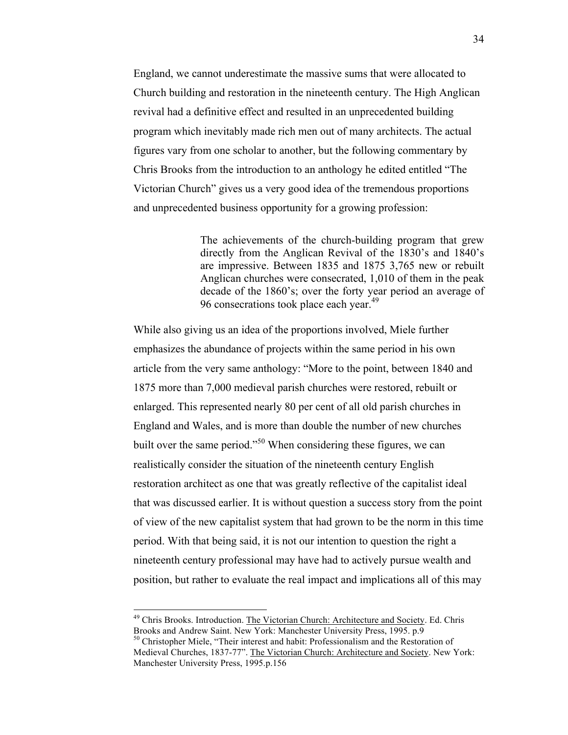England, we cannot underestimate the massive sums that were allocated to Church building and restoration in the nineteenth century. The High Anglican revival had a definitive effect and resulted in an unprecedented building program which inevitably made rich men out of many architects. The actual figures vary from one scholar to another, but the following commentary by Chris Brooks from the introduction to an anthology he edited entitled "The Victorian Church" gives us a very good idea of the tremendous proportions and unprecedented business opportunity for a growing profession:

> The achievements of the church-building program that grew directly from the Anglican Revival of the 1830's and 1840's are impressive. Between 1835 and 1875 3,765 new or rebuilt Anglican churches were consecrated, 1,010 of them in the peak decade of the 1860's; over the forty year period an average of 96 consecrations took place each year.<sup>49</sup>

While also giving us an idea of the proportions involved, Miele further emphasizes the abundance of projects within the same period in his own article from the very same anthology: "More to the point, between 1840 and 1875 more than 7,000 medieval parish churches were restored, rebuilt or enlarged. This represented nearly 80 per cent of all old parish churches in England and Wales, and is more than double the number of new churches built over the same period."<sup>50</sup> When considering these figures, we can realistically consider the situation of the nineteenth century English restoration architect as one that was greatly reflective of the capitalist ideal that was discussed earlier. It is without question a success story from the point of view of the new capitalist system that had grown to be the norm in this time period. With that being said, it is not our intention to question the right a nineteenth century professional may have had to actively pursue wealth and position, but rather to evaluate the real impact and implications all of this may

<sup>&</sup>lt;sup>49</sup> Chris Brooks. Introduction. The Victorian Church: Architecture and Society. Ed. Chris Brooks and Andrew Saint. New York: Manchester University Press, 1995. p.9<br><sup>50</sup> Christopher Miele, "Their interest and habit: Professionalism and the Restoration of Medieval Churches, 1837-77". The Victorian Church: Architecture and Society. New York: Manchester University Press, 1995.p.156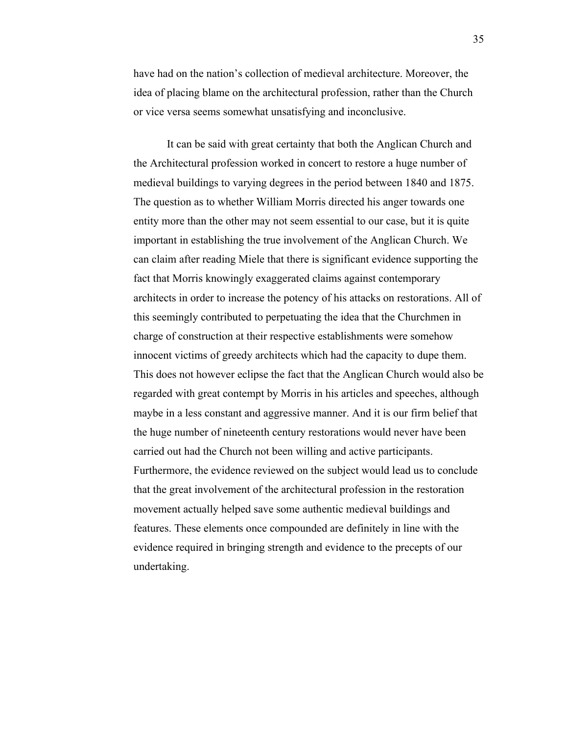have had on the nation's collection of medieval architecture. Moreover, the idea of placing blame on the architectural profession, rather than the Church or vice versa seems somewhat unsatisfying and inconclusive.

It can be said with great certainty that both the Anglican Church and the Architectural profession worked in concert to restore a huge number of medieval buildings to varying degrees in the period between 1840 and 1875. The question as to whether William Morris directed his anger towards one entity more than the other may not seem essential to our case, but it is quite important in establishing the true involvement of the Anglican Church. We can claim after reading Miele that there is significant evidence supporting the fact that Morris knowingly exaggerated claims against contemporary architects in order to increase the potency of his attacks on restorations. All of this seemingly contributed to perpetuating the idea that the Churchmen in charge of construction at their respective establishments were somehow innocent victims of greedy architects which had the capacity to dupe them. This does not however eclipse the fact that the Anglican Church would also be regarded with great contempt by Morris in his articles and speeches, although maybe in a less constant and aggressive manner. And it is our firm belief that the huge number of nineteenth century restorations would never have been carried out had the Church not been willing and active participants. Furthermore, the evidence reviewed on the subject would lead us to conclude that the great involvement of the architectural profession in the restoration movement actually helped save some authentic medieval buildings and features. These elements once compounded are definitely in line with the evidence required in bringing strength and evidence to the precepts of our undertaking.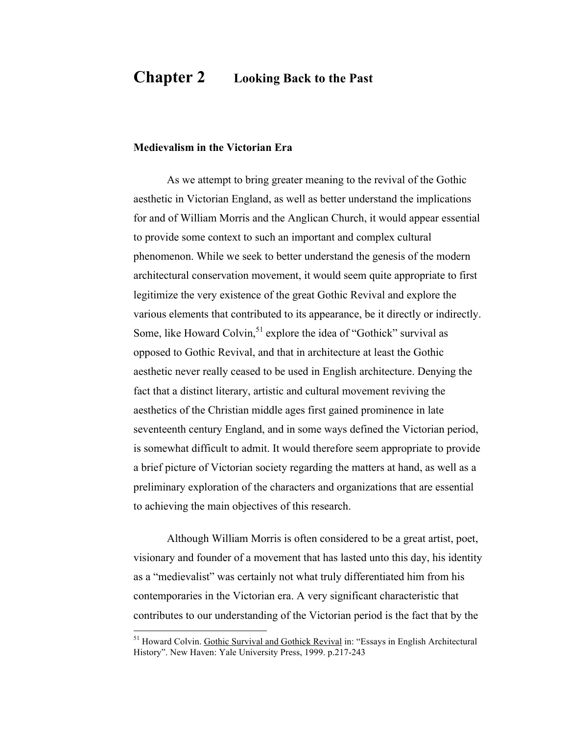# **Chapter 2 Looking Back to the Past**

## **Medievalism in the Victorian Era**

As we attempt to bring greater meaning to the revival of the Gothic aesthetic in Victorian England, as well as better understand the implications for and of William Morris and the Anglican Church, it would appear essential to provide some context to such an important and complex cultural phenomenon. While we seek to better understand the genesis of the modern architectural conservation movement, it would seem quite appropriate to first legitimize the very existence of the great Gothic Revival and explore the various elements that contributed to its appearance, be it directly or indirectly. Some, like Howard Colvin,<sup>51</sup> explore the idea of "Gothick" survival as opposed to Gothic Revival, and that in architecture at least the Gothic aesthetic never really ceased to be used in English architecture. Denying the fact that a distinct literary, artistic and cultural movement reviving the aesthetics of the Christian middle ages first gained prominence in late seventeenth century England, and in some ways defined the Victorian period, is somewhat difficult to admit. It would therefore seem appropriate to provide a brief picture of Victorian society regarding the matters at hand, as well as a preliminary exploration of the characters and organizations that are essential to achieving the main objectives of this research.

Although William Morris is often considered to be a great artist, poet, visionary and founder of a movement that has lasted unto this day, his identity as a "medievalist" was certainly not what truly differentiated him from his contemporaries in the Victorian era. A very significant characteristic that contributes to our understanding of the Victorian period is the fact that by the

<sup>&</sup>lt;sup>51</sup> Howard Colvin. Gothic Survival and Gothick Revival in: "Essays in English Architectural History". New Haven: Yale University Press, 1999. p.217-243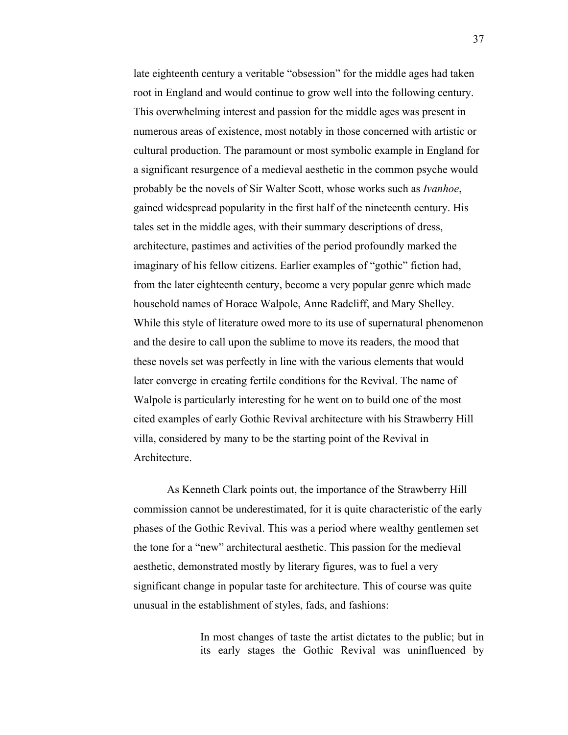late eighteenth century a veritable "obsession" for the middle ages had taken root in England and would continue to grow well into the following century. This overwhelming interest and passion for the middle ages was present in numerous areas of existence, most notably in those concerned with artistic or cultural production. The paramount or most symbolic example in England for a significant resurgence of a medieval aesthetic in the common psyche would probably be the novels of Sir Walter Scott, whose works such as *Ivanhoe*, gained widespread popularity in the first half of the nineteenth century. His tales set in the middle ages, with their summary descriptions of dress, architecture, pastimes and activities of the period profoundly marked the imaginary of his fellow citizens. Earlier examples of "gothic" fiction had, from the later eighteenth century, become a very popular genre which made household names of Horace Walpole, Anne Radcliff, and Mary Shelley. While this style of literature owed more to its use of supernatural phenomenon and the desire to call upon the sublime to move its readers, the mood that these novels set was perfectly in line with the various elements that would later converge in creating fertile conditions for the Revival. The name of Walpole is particularly interesting for he went on to build one of the most cited examples of early Gothic Revival architecture with his Strawberry Hill villa, considered by many to be the starting point of the Revival in Architecture.

As Kenneth Clark points out, the importance of the Strawberry Hill commission cannot be underestimated, for it is quite characteristic of the early phases of the Gothic Revival. This was a period where wealthy gentlemen set the tone for a "new" architectural aesthetic. This passion for the medieval aesthetic, demonstrated mostly by literary figures, was to fuel a very significant change in popular taste for architecture. This of course was quite unusual in the establishment of styles, fads, and fashions:

> In most changes of taste the artist dictates to the public; but in its early stages the Gothic Revival was uninfluenced by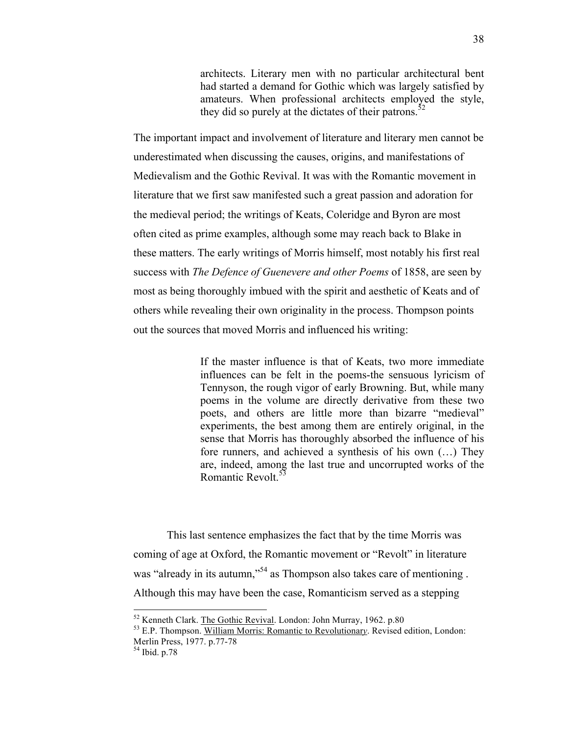architects. Literary men with no particular architectural bent had started a demand for Gothic which was largely satisfied by amateurs. When professional architects employed the style, they did so purely at the dictates of their patrons.<sup>52</sup>

The important impact and involvement of literature and literary men cannot be underestimated when discussing the causes, origins, and manifestations of Medievalism and the Gothic Revival. It was with the Romantic movement in literature that we first saw manifested such a great passion and adoration for the medieval period; the writings of Keats, Coleridge and Byron are most often cited as prime examples, although some may reach back to Blake in these matters. The early writings of Morris himself, most notably his first real success with *The Defence of Guenevere and other Poems* of 1858, are seen by most as being thoroughly imbued with the spirit and aesthetic of Keats and of others while revealing their own originality in the process. Thompson points out the sources that moved Morris and influenced his writing:

> If the master influence is that of Keats, two more immediate influences can be felt in the poems-the sensuous lyricism of Tennyson, the rough vigor of early Browning. But, while many poems in the volume are directly derivative from these two poets, and others are little more than bizarre "medieval" experiments, the best among them are entirely original, in the sense that Morris has thoroughly absorbed the influence of his fore runners, and achieved a synthesis of his own (…) They are, indeed, among the last true and uncorrupted works of the Romantic Revolt<sup>53</sup>

This last sentence emphasizes the fact that by the time Morris was coming of age at Oxford, the Romantic movement or "Revolt" in literature was "already in its autumn,"<sup>54</sup> as Thompson also takes care of mentioning. Although this may have been the case, Romanticism served as a stepping

<sup>&</sup>lt;sup>52</sup> Kenneth Clark. <u>The Gothic Revival</u>. London: John Murray, 1962. p.80<br><sup>53</sup> E.P. Thompson. William Morris: Romantic to Revolutionary. Revised edition, London:

Merlin Press, 1977. p.77-78<br><sup>54</sup> Ibid. p.78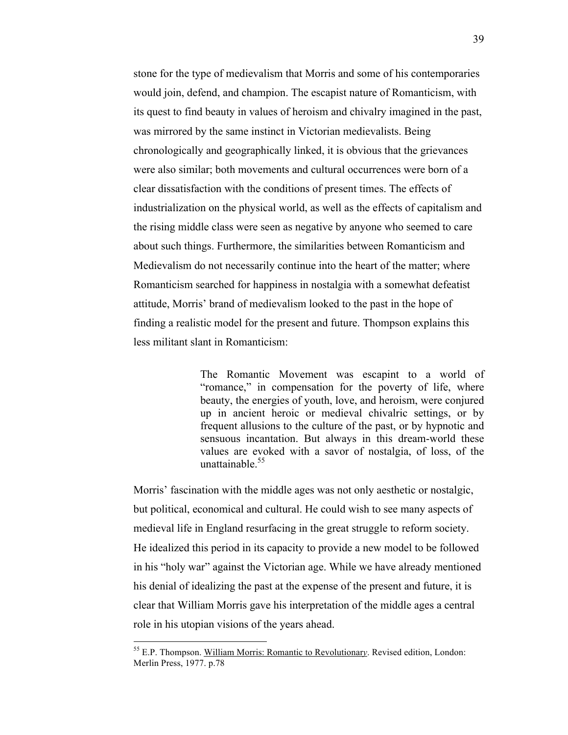stone for the type of medievalism that Morris and some of his contemporaries would join, defend, and champion. The escapist nature of Romanticism, with its quest to find beauty in values of heroism and chivalry imagined in the past, was mirrored by the same instinct in Victorian medievalists. Being chronologically and geographically linked, it is obvious that the grievances were also similar; both movements and cultural occurrences were born of a clear dissatisfaction with the conditions of present times. The effects of industrialization on the physical world, as well as the effects of capitalism and the rising middle class were seen as negative by anyone who seemed to care about such things. Furthermore, the similarities between Romanticism and Medievalism do not necessarily continue into the heart of the matter; where Romanticism searched for happiness in nostalgia with a somewhat defeatist attitude, Morris' brand of medievalism looked to the past in the hope of finding a realistic model for the present and future. Thompson explains this less militant slant in Romanticism:

> The Romantic Movement was escapint to a world of "romance," in compensation for the poverty of life, where beauty, the energies of youth, love, and heroism, were conjured up in ancient heroic or medieval chivalric settings, or by frequent allusions to the culture of the past, or by hypnotic and sensuous incantation. But always in this dream-world these values are evoked with a savor of nostalgia, of loss, of the unattainable.<sup>55</sup>

Morris' fascination with the middle ages was not only aesthetic or nostalgic, but political, economical and cultural. He could wish to see many aspects of medieval life in England resurfacing in the great struggle to reform society. He idealized this period in its capacity to provide a new model to be followed in his "holy war" against the Victorian age. While we have already mentioned his denial of idealizing the past at the expense of the present and future, it is clear that William Morris gave his interpretation of the middle ages a central role in his utopian visions of the years ahead.

 <sup>55</sup> E.P. Thompson. William Morris: Romantic to Revolutionar*y*. Revised edition, London: Merlin Press, 1977. p.78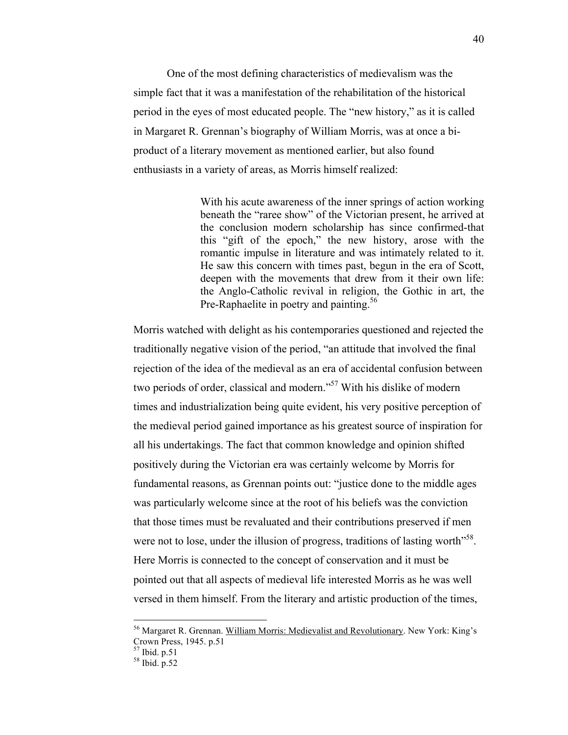One of the most defining characteristics of medievalism was the simple fact that it was a manifestation of the rehabilitation of the historical period in the eyes of most educated people. The "new history," as it is called in Margaret R. Grennan's biography of William Morris, was at once a biproduct of a literary movement as mentioned earlier, but also found enthusiasts in a variety of areas, as Morris himself realized:

> With his acute awareness of the inner springs of action working beneath the "raree show" of the Victorian present, he arrived at the conclusion modern scholarship has since confirmed-that this "gift of the epoch," the new history, arose with the romantic impulse in literature and was intimately related to it. He saw this concern with times past, begun in the era of Scott, deepen with the movements that drew from it their own life: the Anglo-Catholic revival in religion, the Gothic in art, the Pre-Raphaelite in poetry and painting.<sup>56</sup>

Morris watched with delight as his contemporaries questioned and rejected the traditionally negative vision of the period, "an attitude that involved the final rejection of the idea of the medieval as an era of accidental confusion between two periods of order, classical and modern."<sup>57</sup> With his dislike of modern times and industrialization being quite evident, his very positive perception of the medieval period gained importance as his greatest source of inspiration for all his undertakings. The fact that common knowledge and opinion shifted positively during the Victorian era was certainly welcome by Morris for fundamental reasons, as Grennan points out: "justice done to the middle ages was particularly welcome since at the root of his beliefs was the conviction that those times must be revaluated and their contributions preserved if men were not to lose, under the illusion of progress, traditions of lasting worth<sup>558</sup>. Here Morris is connected to the concept of conservation and it must be pointed out that all aspects of medieval life interested Morris as he was well versed in them himself. From the literary and artistic production of the times,

<sup>&</sup>lt;sup>56</sup> Margaret R. Grennan. William Morris: Medievalist and Revolutionary. New York: King's Crown Press, 1945. p.51<br><sup>57</sup> Ibid. p.51

<sup>58</sup> Ibid. p.52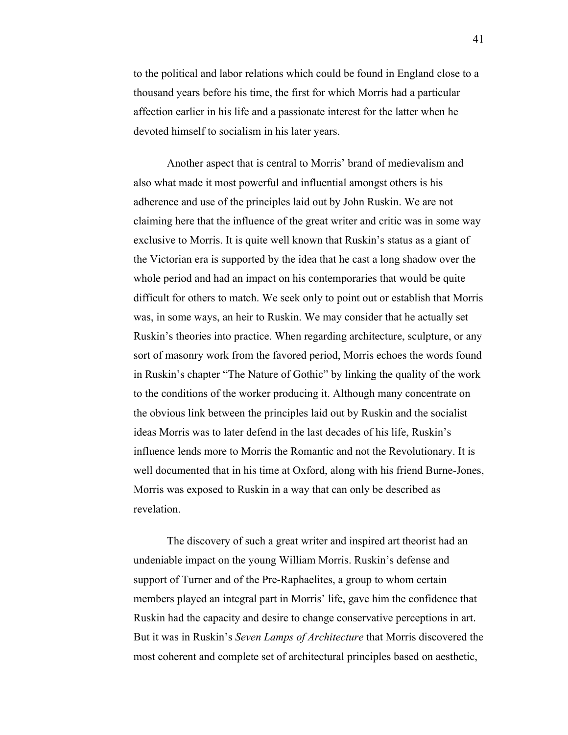to the political and labor relations which could be found in England close to a thousand years before his time, the first for which Morris had a particular affection earlier in his life and a passionate interest for the latter when he devoted himself to socialism in his later years.

Another aspect that is central to Morris' brand of medievalism and also what made it most powerful and influential amongst others is his adherence and use of the principles laid out by John Ruskin. We are not claiming here that the influence of the great writer and critic was in some way exclusive to Morris. It is quite well known that Ruskin's status as a giant of the Victorian era is supported by the idea that he cast a long shadow over the whole period and had an impact on his contemporaries that would be quite difficult for others to match. We seek only to point out or establish that Morris was, in some ways, an heir to Ruskin. We may consider that he actually set Ruskin's theories into practice. When regarding architecture, sculpture, or any sort of masonry work from the favored period, Morris echoes the words found in Ruskin's chapter "The Nature of Gothic" by linking the quality of the work to the conditions of the worker producing it. Although many concentrate on the obvious link between the principles laid out by Ruskin and the socialist ideas Morris was to later defend in the last decades of his life, Ruskin's influence lends more to Morris the Romantic and not the Revolutionary. It is well documented that in his time at Oxford, along with his friend Burne-Jones, Morris was exposed to Ruskin in a way that can only be described as revelation.

The discovery of such a great writer and inspired art theorist had an undeniable impact on the young William Morris. Ruskin's defense and support of Turner and of the Pre-Raphaelites, a group to whom certain members played an integral part in Morris' life, gave him the confidence that Ruskin had the capacity and desire to change conservative perceptions in art. But it was in Ruskin's *Seven Lamps of Architecture* that Morris discovered the most coherent and complete set of architectural principles based on aesthetic,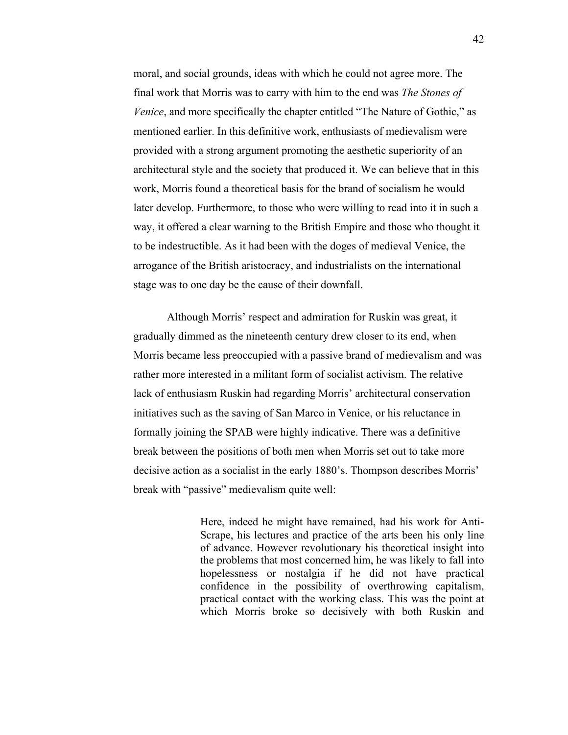moral, and social grounds, ideas with which he could not agree more. The final work that Morris was to carry with him to the end was *The Stones of Venice*, and more specifically the chapter entitled "The Nature of Gothic," as mentioned earlier. In this definitive work, enthusiasts of medievalism were provided with a strong argument promoting the aesthetic superiority of an architectural style and the society that produced it. We can believe that in this work, Morris found a theoretical basis for the brand of socialism he would later develop. Furthermore, to those who were willing to read into it in such a way, it offered a clear warning to the British Empire and those who thought it to be indestructible. As it had been with the doges of medieval Venice, the arrogance of the British aristocracy, and industrialists on the international stage was to one day be the cause of their downfall.

Although Morris' respect and admiration for Ruskin was great, it gradually dimmed as the nineteenth century drew closer to its end, when Morris became less preoccupied with a passive brand of medievalism and was rather more interested in a militant form of socialist activism. The relative lack of enthusiasm Ruskin had regarding Morris' architectural conservation initiatives such as the saving of San Marco in Venice, or his reluctance in formally joining the SPAB were highly indicative. There was a definitive break between the positions of both men when Morris set out to take more decisive action as a socialist in the early 1880's. Thompson describes Morris' break with "passive" medievalism quite well:

> Here, indeed he might have remained, had his work for Anti-Scrape, his lectures and practice of the arts been his only line of advance. However revolutionary his theoretical insight into the problems that most concerned him, he was likely to fall into hopelessness or nostalgia if he did not have practical confidence in the possibility of overthrowing capitalism, practical contact with the working class. This was the point at which Morris broke so decisively with both Ruskin and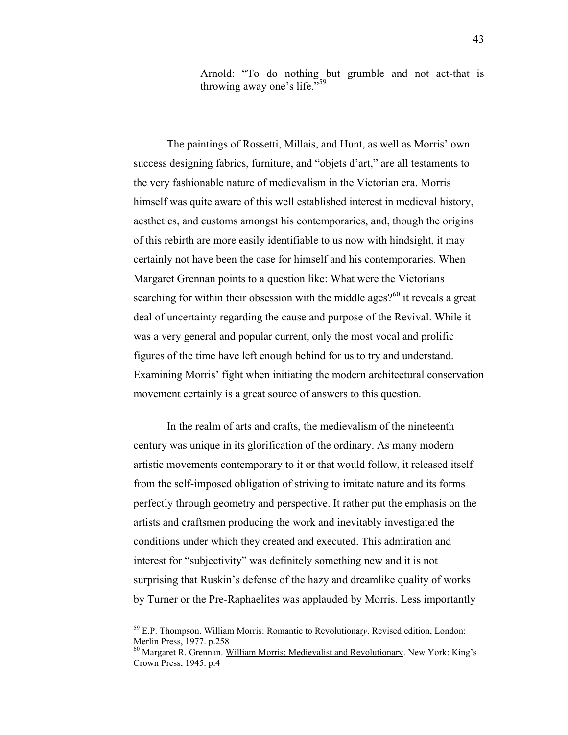Arnold: "To do nothing but grumble and not act-that is throwing away one's life."<sup>59</sup>

The paintings of Rossetti, Millais, and Hunt, as well as Morris' own success designing fabrics, furniture, and "objets d'art," are all testaments to the very fashionable nature of medievalism in the Victorian era. Morris himself was quite aware of this well established interest in medieval history, aesthetics, and customs amongst his contemporaries, and, though the origins of this rebirth are more easily identifiable to us now with hindsight, it may certainly not have been the case for himself and his contemporaries. When Margaret Grennan points to a question like: What were the Victorians searching for within their obsession with the middle ages?<sup>60</sup> it reveals a great deal of uncertainty regarding the cause and purpose of the Revival. While it was a very general and popular current, only the most vocal and prolific figures of the time have left enough behind for us to try and understand. Examining Morris' fight when initiating the modern architectural conservation movement certainly is a great source of answers to this question.

In the realm of arts and crafts, the medievalism of the nineteenth century was unique in its glorification of the ordinary. As many modern artistic movements contemporary to it or that would follow, it released itself from the self-imposed obligation of striving to imitate nature and its forms perfectly through geometry and perspective. It rather put the emphasis on the artists and craftsmen producing the work and inevitably investigated the conditions under which they created and executed. This admiration and interest for "subjectivity" was definitely something new and it is not surprising that Ruskin's defense of the hazy and dreamlike quality of works by Turner or the Pre-Raphaelites was applauded by Morris. Less importantly

 <sup>59</sup> E.P. Thompson. William Morris: Romantic to Revolutionar*y*. Revised edition, London: Merlin Press, 1977. p.258<br><sup>60</sup> Margaret R. Grennan. William Morris: Medievalist and Revolutionary. New York: King's

Crown Press, 1945. p.4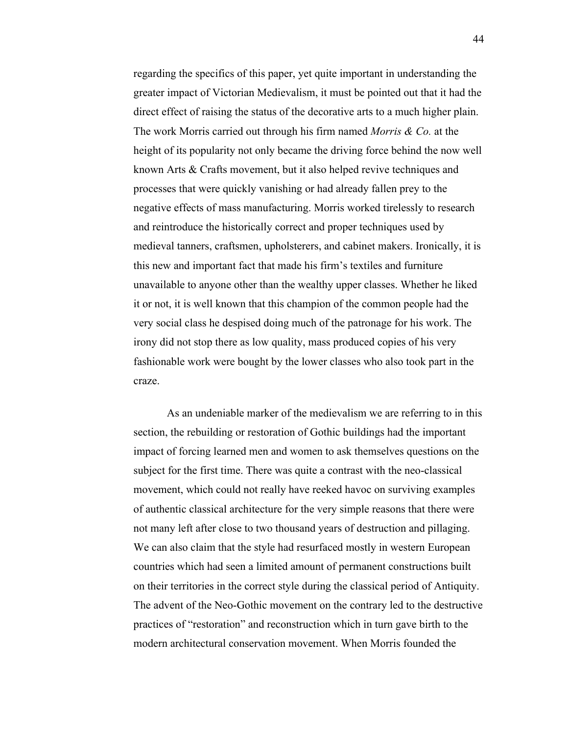regarding the specifics of this paper, yet quite important in understanding the greater impact of Victorian Medievalism, it must be pointed out that it had the direct effect of raising the status of the decorative arts to a much higher plain. The work Morris carried out through his firm named *Morris & Co.* at the height of its popularity not only became the driving force behind the now well known Arts & Crafts movement, but it also helped revive techniques and processes that were quickly vanishing or had already fallen prey to the negative effects of mass manufacturing. Morris worked tirelessly to research and reintroduce the historically correct and proper techniques used by medieval tanners, craftsmen, upholsterers, and cabinet makers. Ironically, it is this new and important fact that made his firm's textiles and furniture unavailable to anyone other than the wealthy upper classes. Whether he liked it or not, it is well known that this champion of the common people had the very social class he despised doing much of the patronage for his work. The irony did not stop there as low quality, mass produced copies of his very fashionable work were bought by the lower classes who also took part in the craze.

As an undeniable marker of the medievalism we are referring to in this section, the rebuilding or restoration of Gothic buildings had the important impact of forcing learned men and women to ask themselves questions on the subject for the first time. There was quite a contrast with the neo-classical movement, which could not really have reeked havoc on surviving examples of authentic classical architecture for the very simple reasons that there were not many left after close to two thousand years of destruction and pillaging. We can also claim that the style had resurfaced mostly in western European countries which had seen a limited amount of permanent constructions built on their territories in the correct style during the classical period of Antiquity. The advent of the Neo-Gothic movement on the contrary led to the destructive practices of "restoration" and reconstruction which in turn gave birth to the modern architectural conservation movement. When Morris founded the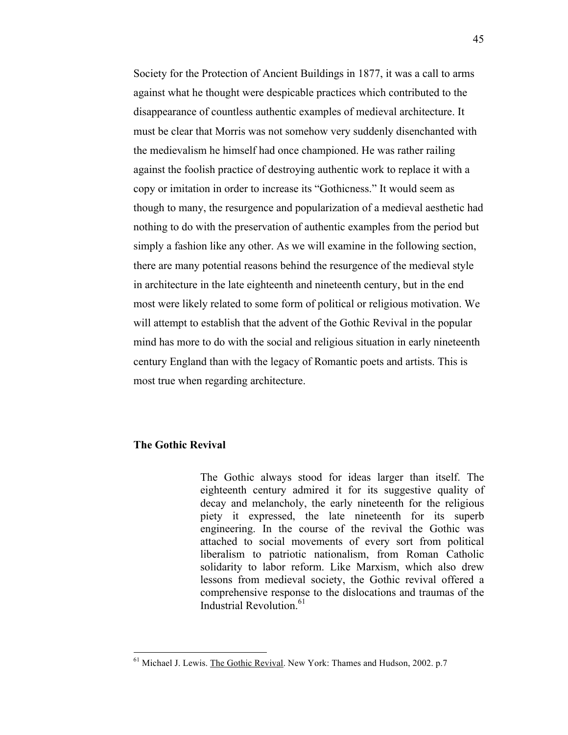Society for the Protection of Ancient Buildings in 1877, it was a call to arms against what he thought were despicable practices which contributed to the disappearance of countless authentic examples of medieval architecture. It must be clear that Morris was not somehow very suddenly disenchanted with the medievalism he himself had once championed. He was rather railing against the foolish practice of destroying authentic work to replace it with a copy or imitation in order to increase its "Gothicness." It would seem as though to many, the resurgence and popularization of a medieval aesthetic had nothing to do with the preservation of authentic examples from the period but simply a fashion like any other. As we will examine in the following section, there are many potential reasons behind the resurgence of the medieval style in architecture in the late eighteenth and nineteenth century, but in the end most were likely related to some form of political or religious motivation. We will attempt to establish that the advent of the Gothic Revival in the popular mind has more to do with the social and religious situation in early nineteenth century England than with the legacy of Romantic poets and artists. This is most true when regarding architecture.

## **The Gothic Revival**

The Gothic always stood for ideas larger than itself. The eighteenth century admired it for its suggestive quality of decay and melancholy, the early nineteenth for the religious piety it expressed, the late nineteenth for its superb engineering. In the course of the revival the Gothic was attached to social movements of every sort from political liberalism to patriotic nationalism, from Roman Catholic solidarity to labor reform. Like Marxism, which also drew lessons from medieval society, the Gothic revival offered a comprehensive response to the dislocations and traumas of the Industrial Revolution $61$ 

<sup>&</sup>lt;sup>61</sup> Michael J. Lewis. The Gothic Revival. New York: Thames and Hudson, 2002. p.7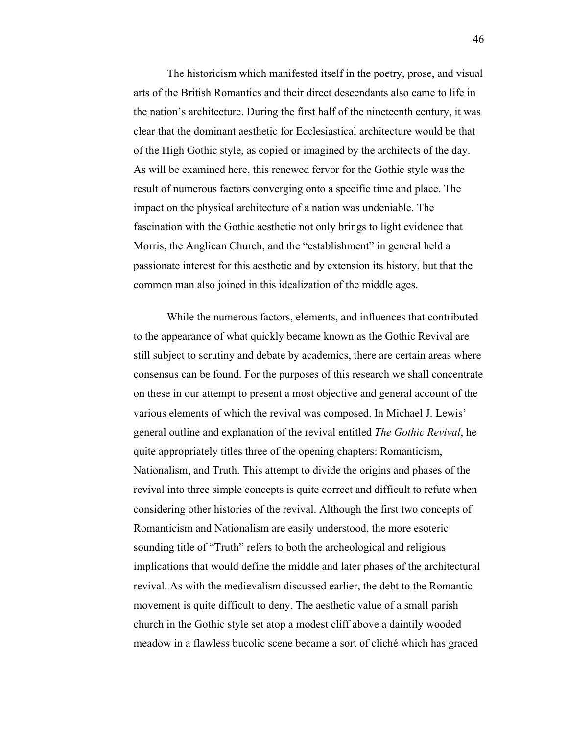The historicism which manifested itself in the poetry, prose, and visual arts of the British Romantics and their direct descendants also came to life in the nation's architecture. During the first half of the nineteenth century, it was clear that the dominant aesthetic for Ecclesiastical architecture would be that of the High Gothic style, as copied or imagined by the architects of the day. As will be examined here, this renewed fervor for the Gothic style was the result of numerous factors converging onto a specific time and place. The impact on the physical architecture of a nation was undeniable. The fascination with the Gothic aesthetic not only brings to light evidence that Morris, the Anglican Church, and the "establishment" in general held a passionate interest for this aesthetic and by extension its history, but that the common man also joined in this idealization of the middle ages.

While the numerous factors, elements, and influences that contributed to the appearance of what quickly became known as the Gothic Revival are still subject to scrutiny and debate by academics, there are certain areas where consensus can be found. For the purposes of this research we shall concentrate on these in our attempt to present a most objective and general account of the various elements of which the revival was composed. In Michael J. Lewis' general outline and explanation of the revival entitled *The Gothic Revival*, he quite appropriately titles three of the opening chapters: Romanticism, Nationalism, and Truth. This attempt to divide the origins and phases of the revival into three simple concepts is quite correct and difficult to refute when considering other histories of the revival. Although the first two concepts of Romanticism and Nationalism are easily understood, the more esoteric sounding title of "Truth" refers to both the archeological and religious implications that would define the middle and later phases of the architectural revival. As with the medievalism discussed earlier, the debt to the Romantic movement is quite difficult to deny. The aesthetic value of a small parish church in the Gothic style set atop a modest cliff above a daintily wooded meadow in a flawless bucolic scene became a sort of cliché which has graced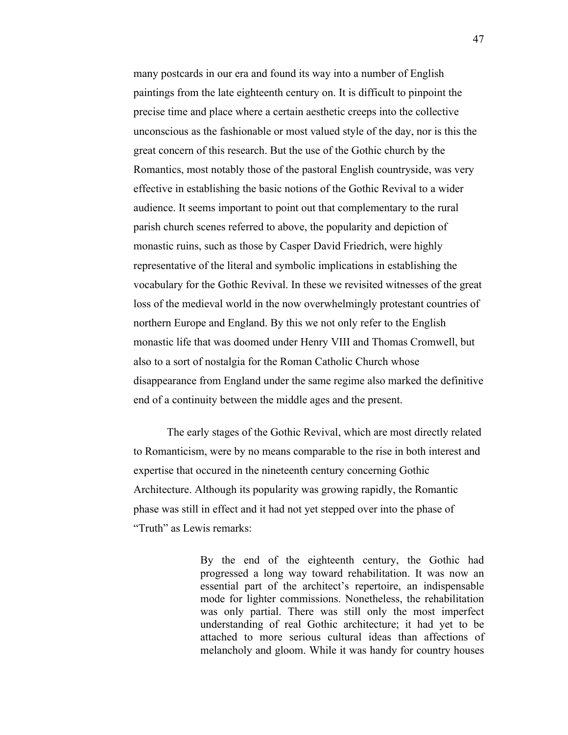many postcards in our era and found its way into a number of English paintings from the late eighteenth century on. It is difficult to pinpoint the precise time and place where a certain aesthetic creeps into the collective unconscious as the fashionable or most valued style of the day, nor is this the great concern of this research. But the use of the Gothic church by the Romantics, most notably those of the pastoral English countryside, was very effective in establishing the basic notions of the Gothic Revival to a wider audience. It seems important to point out that complementary to the rural parish church scenes referred to above, the popularity and depiction of monastic ruins, such as those by Casper David Friedrich, were highly representative of the literal and symbolic implications in establishing the vocabulary for the Gothic Revival. In these we revisited witnesses of the great loss of the medieval world in the now overwhelmingly protestant countries of northern Europe and England. By this we not only refer to the English monastic life that was doomed under Henry VIII and Thomas Cromwell, but also to a sort of nostalgia for the Roman Catholic Church whose disappearance from England under the same regime also marked the definitive end of a continuity between the middle ages and the present.

The early stages of the Gothic Revival, which are most directly related to Romanticism, were by no means comparable to the rise in both interest and expertise that occured in the nineteenth century concerning Gothic Architecture. Although its popularity was growing rapidly, the Romantic phase was still in effect and it had not yet stepped over into the phase of "Truth" as Lewis remarks:

> By the end of the eighteenth century, the Gothic had progressed a long way toward rehabilitation. It was now an essential part of the architect's repertoire, an indispensable mode for lighter commissions. Nonetheless, the rehabilitation was only partial. There was still only the most imperfect understanding of real Gothic architecture; it had yet to be attached to more serious cultural ideas than affections of melancholy and gloom. While it was handy for country houses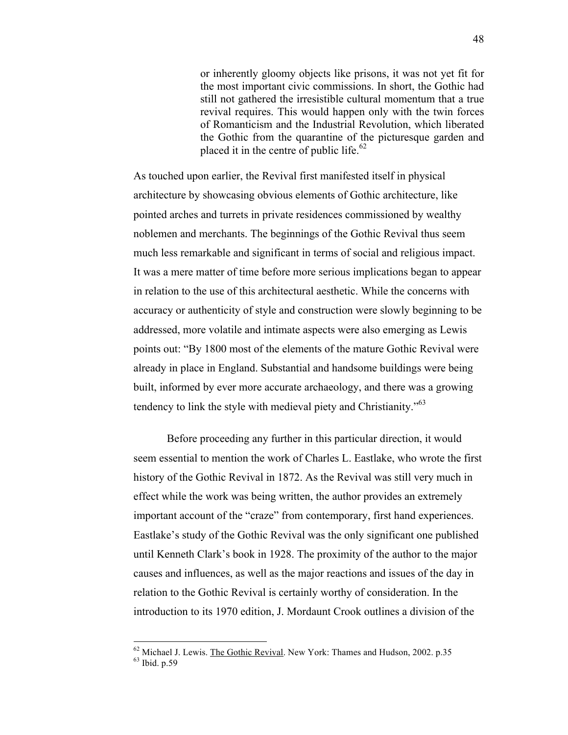or inherently gloomy objects like prisons, it was not yet fit for the most important civic commissions. In short, the Gothic had still not gathered the irresistible cultural momentum that a true revival requires. This would happen only with the twin forces of Romanticism and the Industrial Revolution, which liberated the Gothic from the quarantine of the picturesque garden and placed it in the centre of public life. $62$ 

As touched upon earlier, the Revival first manifested itself in physical architecture by showcasing obvious elements of Gothic architecture, like pointed arches and turrets in private residences commissioned by wealthy noblemen and merchants. The beginnings of the Gothic Revival thus seem much less remarkable and significant in terms of social and religious impact. It was a mere matter of time before more serious implications began to appear in relation to the use of this architectural aesthetic. While the concerns with accuracy or authenticity of style and construction were slowly beginning to be addressed, more volatile and intimate aspects were also emerging as Lewis points out: "By 1800 most of the elements of the mature Gothic Revival were already in place in England. Substantial and handsome buildings were being built, informed by ever more accurate archaeology, and there was a growing tendency to link the style with medieval piety and Christianity."<sup>63</sup>

Before proceeding any further in this particular direction, it would seem essential to mention the work of Charles L. Eastlake, who wrote the first history of the Gothic Revival in 1872. As the Revival was still very much in effect while the work was being written, the author provides an extremely important account of the "craze" from contemporary, first hand experiences. Eastlake's study of the Gothic Revival was the only significant one published until Kenneth Clark's book in 1928. The proximity of the author to the major causes and influences, as well as the major reactions and issues of the day in relation to the Gothic Revival is certainly worthy of consideration. In the introduction to its 1970 edition, J. Mordaunt Crook outlines a division of the

 $^{62}$  Michael J. Lewis. The Gothic Revival. New York: Thames and Hudson, 2002. p.35 <sup>63</sup> Ibid. p.59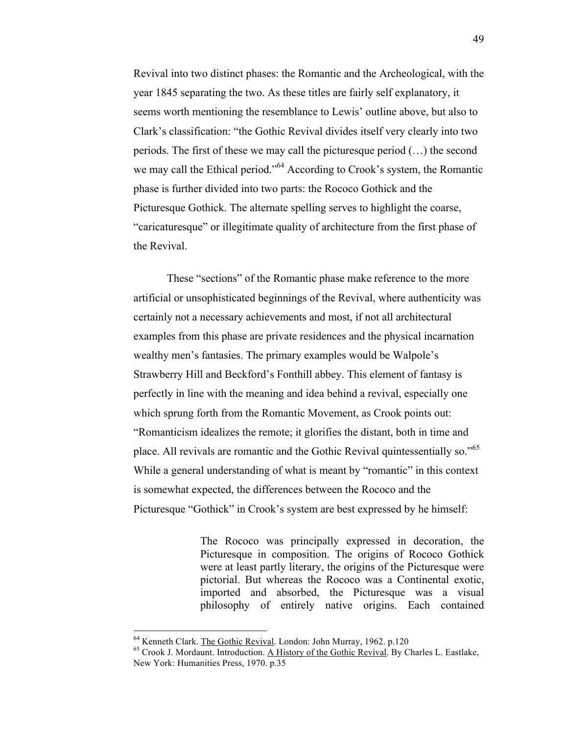Revival into two distinct phases: the Romantic and the Archeological, with the year 1845 separating the two. As these titles are fairly self explanatory, it seems worth mentioning the resemblance to Lewis' outline above, but also to Clark's classification: "the Gothic Revival divides itself very clearly into two periods. The first of these we may call the picturesque period (…) the second we may call the Ethical period."<sup>64</sup> According to Crook's system, the Romantic phase is further divided into two parts: the Rococo Gothick and the Picturesque Gothick. The alternate spelling serves to highlight the coarse, "caricaturesque" or illegitimate quality of architecture from the first phase of the Revival.

These "sections" of the Romantic phase make reference to the more artificial or unsophisticated beginnings of the Revival, where authenticity was certainly not a necessary achievements and most, if not all architectural examples from this phase are private residences and the physical incarnation wealthy men's fantasies. The primary examples would be Walpole's Strawberry Hill and Beckford's Fonthill abbey. This element of fantasy is perfectly in line with the meaning and idea behind a revival, especially one which sprung forth from the Romantic Movement, as Crook points out: "Romanticism idealizes the remote; it glorifies the distant, both in time and place. All revivals are romantic and the Gothic Revival quintessentially so."<sup>65</sup> While a general understanding of what is meant by "romantic" in this context is somewhat expected, the differences between the Rococo and the Picturesque "Gothick" in Crook's system are best expressed by he himself:

> The Rococo was principally expressed in decoration, the Picturesque in composition. The origins of Rococo Gothick were at least partly literary, the origins of the Picturesque were pictorial. But whereas the Rococo was a Continental exotic, imported and absorbed, the Picturesque was a visual philosophy of entirely native origins. Each contained

<sup>&</sup>lt;sup>64</sup> Kenneth Clark. <u>The Gothic Revival</u>. London: John Murray, 1962. p.120<br><sup>65</sup> Crook J. Mordaunt. Introduction. <u>A History of the Gothic Revival</u>. By Charles L. Eastlake, New York: Humanities Press, 1970. p.35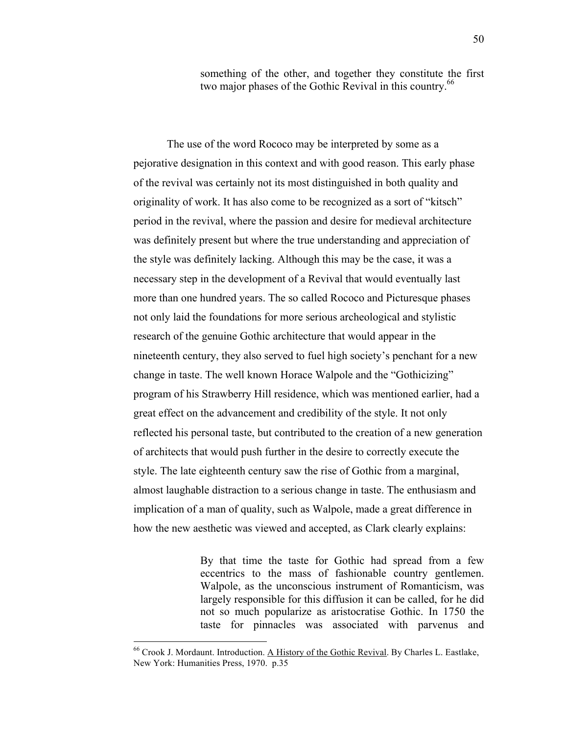something of the other, and together they constitute the first two major phases of the Gothic Revival in this country. 66

The use of the word Rococo may be interpreted by some as a pejorative designation in this context and with good reason. This early phase of the revival was certainly not its most distinguished in both quality and originality of work. It has also come to be recognized as a sort of "kitsch" period in the revival, where the passion and desire for medieval architecture was definitely present but where the true understanding and appreciation of the style was definitely lacking. Although this may be the case, it was a necessary step in the development of a Revival that would eventually last more than one hundred years. The so called Rococo and Picturesque phases not only laid the foundations for more serious archeological and stylistic research of the genuine Gothic architecture that would appear in the nineteenth century, they also served to fuel high society's penchant for a new change in taste. The well known Horace Walpole and the "Gothicizing" program of his Strawberry Hill residence, which was mentioned earlier, had a great effect on the advancement and credibility of the style. It not only reflected his personal taste, but contributed to the creation of a new generation of architects that would push further in the desire to correctly execute the style. The late eighteenth century saw the rise of Gothic from a marginal, almost laughable distraction to a serious change in taste. The enthusiasm and implication of a man of quality, such as Walpole, made a great difference in how the new aesthetic was viewed and accepted, as Clark clearly explains:

> By that time the taste for Gothic had spread from a few eccentrics to the mass of fashionable country gentlemen. Walpole, as the unconscious instrument of Romanticism, was largely responsible for this diffusion it can be called, for he did not so much popularize as aristocratise Gothic. In 1750 the taste for pinnacles was associated with parvenus and

<sup>&</sup>lt;sup>66</sup> Crook J. Mordaunt. Introduction. A History of the Gothic Revival. By Charles L. Eastlake, New York: Humanities Press, 1970. p.35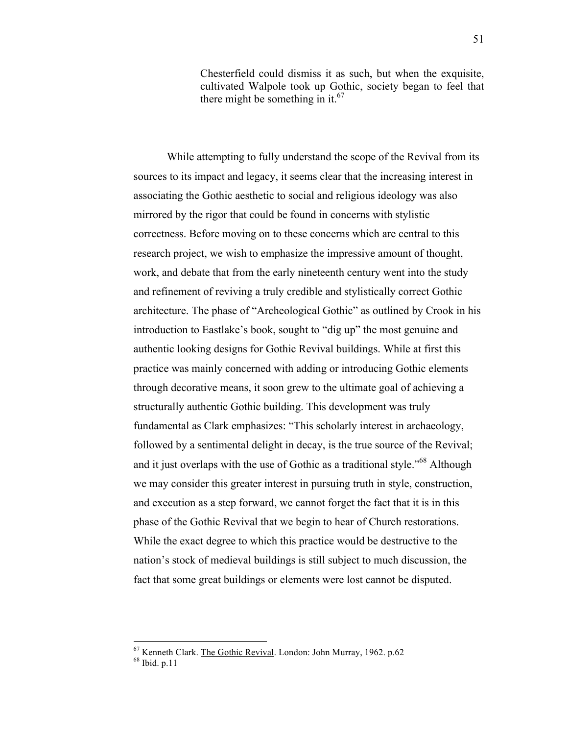Chesterfield could dismiss it as such, but when the exquisite, cultivated Walpole took up Gothic, society began to feel that there might be something in it.<sup>67</sup>

While attempting to fully understand the scope of the Revival from its sources to its impact and legacy, it seems clear that the increasing interest in associating the Gothic aesthetic to social and religious ideology was also mirrored by the rigor that could be found in concerns with stylistic correctness. Before moving on to these concerns which are central to this research project, we wish to emphasize the impressive amount of thought, work, and debate that from the early nineteenth century went into the study and refinement of reviving a truly credible and stylistically correct Gothic architecture. The phase of "Archeological Gothic" as outlined by Crook in his introduction to Eastlake's book, sought to "dig up" the most genuine and authentic looking designs for Gothic Revival buildings. While at first this practice was mainly concerned with adding or introducing Gothic elements through decorative means, it soon grew to the ultimate goal of achieving a structurally authentic Gothic building. This development was truly fundamental as Clark emphasizes: "This scholarly interest in archaeology, followed by a sentimental delight in decay, is the true source of the Revival; and it just overlaps with the use of Gothic as a traditional style.<sup> $168$ </sup> Although we may consider this greater interest in pursuing truth in style, construction, and execution as a step forward, we cannot forget the fact that it is in this phase of the Gothic Revival that we begin to hear of Church restorations. While the exact degree to which this practice would be destructive to the nation's stock of medieval buildings is still subject to much discussion, the fact that some great buildings or elements were lost cannot be disputed.

 $^{67}$  Kenneth Clark. The Gothic Revival. London: John Murray, 1962. p.62  $^{68}$  Ibid. p.11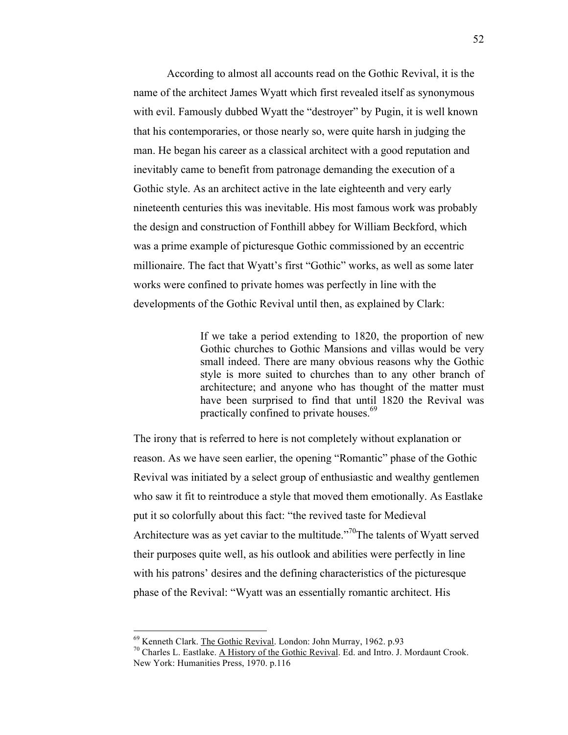According to almost all accounts read on the Gothic Revival, it is the name of the architect James Wyatt which first revealed itself as synonymous with evil. Famously dubbed Wyatt the "destroyer" by Pugin, it is well known that his contemporaries, or those nearly so, were quite harsh in judging the man. He began his career as a classical architect with a good reputation and inevitably came to benefit from patronage demanding the execution of a Gothic style. As an architect active in the late eighteenth and very early nineteenth centuries this was inevitable. His most famous work was probably the design and construction of Fonthill abbey for William Beckford, which was a prime example of picturesque Gothic commissioned by an eccentric millionaire. The fact that Wyatt's first "Gothic" works, as well as some later works were confined to private homes was perfectly in line with the developments of the Gothic Revival until then, as explained by Clark:

> If we take a period extending to 1820, the proportion of new Gothic churches to Gothic Mansions and villas would be very small indeed. There are many obvious reasons why the Gothic style is more suited to churches than to any other branch of architecture; and anyone who has thought of the matter must have been surprised to find that until 1820 the Revival was practically confined to private houses.<sup>69</sup>

The irony that is referred to here is not completely without explanation or reason. As we have seen earlier, the opening "Romantic" phase of the Gothic Revival was initiated by a select group of enthusiastic and wealthy gentlemen who saw it fit to reintroduce a style that moved them emotionally. As Eastlake put it so colorfully about this fact: "the revived taste for Medieval Architecture was as yet caviar to the multitude.<sup> $270$ </sup>The talents of Wyatt served their purposes quite well, as his outlook and abilities were perfectly in line with his patrons' desires and the defining characteristics of the picturesque phase of the Revival: "Wyatt was an essentially romantic architect. His

<sup>&</sup>lt;sup>69</sup> Kenneth Clark. <u>The Gothic Revival</u>. London: John Murray, 1962. p.93<br><sup>70</sup> Charles L. Eastlake. <u>A History of the Gothic Revival</u>. Ed. and Intro. J. Mordaunt Crook. New York: Humanities Press, 1970. p.116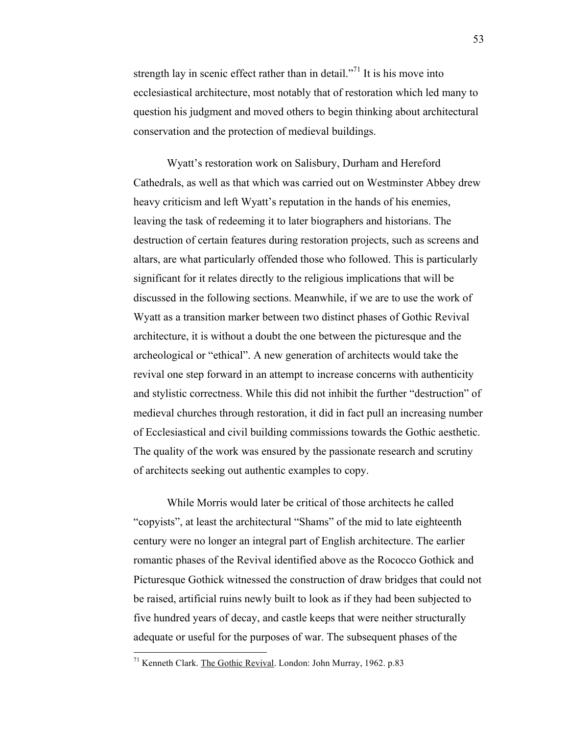strength lay in scenic effect rather than in detail.<sup> $271$ </sup> It is his move into ecclesiastical architecture, most notably that of restoration which led many to question his judgment and moved others to begin thinking about architectural conservation and the protection of medieval buildings.

Wyatt's restoration work on Salisbury, Durham and Hereford Cathedrals, as well as that which was carried out on Westminster Abbey drew heavy criticism and left Wyatt's reputation in the hands of his enemies, leaving the task of redeeming it to later biographers and historians. The destruction of certain features during restoration projects, such as screens and altars, are what particularly offended those who followed. This is particularly significant for it relates directly to the religious implications that will be discussed in the following sections. Meanwhile, if we are to use the work of Wyatt as a transition marker between two distinct phases of Gothic Revival architecture, it is without a doubt the one between the picturesque and the archeological or "ethical". A new generation of architects would take the revival one step forward in an attempt to increase concerns with authenticity and stylistic correctness. While this did not inhibit the further "destruction" of medieval churches through restoration, it did in fact pull an increasing number of Ecclesiastical and civil building commissions towards the Gothic aesthetic. The quality of the work was ensured by the passionate research and scrutiny of architects seeking out authentic examples to copy.

While Morris would later be critical of those architects he called "copyists", at least the architectural "Shams" of the mid to late eighteenth century were no longer an integral part of English architecture. The earlier romantic phases of the Revival identified above as the Rococco Gothick and Picturesque Gothick witnessed the construction of draw bridges that could not be raised, artificial ruins newly built to look as if they had been subjected to five hundred years of decay, and castle keeps that were neither structurally adequate or useful for the purposes of war. The subsequent phases of the

 $71$  Kenneth Clark. The Gothic Revival. London: John Murray, 1962. p.83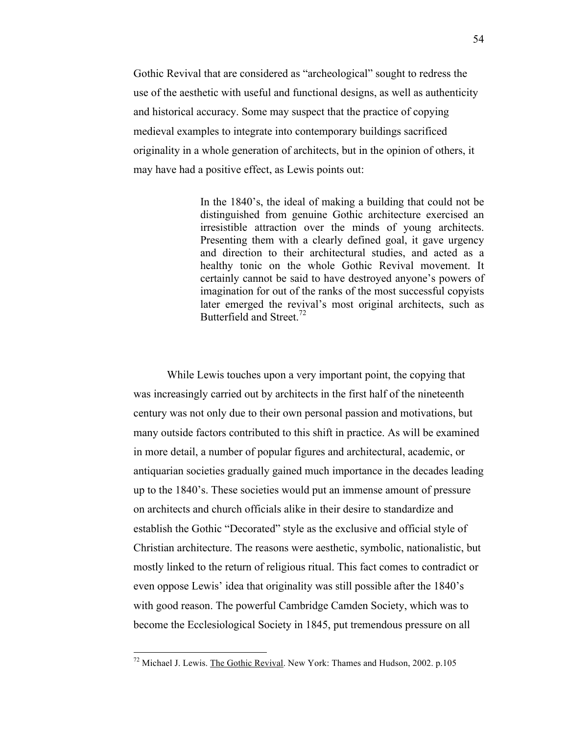Gothic Revival that are considered as "archeological" sought to redress the use of the aesthetic with useful and functional designs, as well as authenticity and historical accuracy. Some may suspect that the practice of copying medieval examples to integrate into contemporary buildings sacrificed originality in a whole generation of architects, but in the opinion of others, it may have had a positive effect, as Lewis points out:

> In the 1840's, the ideal of making a building that could not be distinguished from genuine Gothic architecture exercised an irresistible attraction over the minds of young architects. Presenting them with a clearly defined goal, it gave urgency and direction to their architectural studies, and acted as a healthy tonic on the whole Gothic Revival movement. It certainly cannot be said to have destroyed anyone's powers of imagination for out of the ranks of the most successful copyists later emerged the revival's most original architects, such as Butterfield and Street<sup>72</sup>

While Lewis touches upon a very important point, the copying that was increasingly carried out by architects in the first half of the nineteenth century was not only due to their own personal passion and motivations, but many outside factors contributed to this shift in practice. As will be examined in more detail, a number of popular figures and architectural, academic, or antiquarian societies gradually gained much importance in the decades leading up to the 1840's. These societies would put an immense amount of pressure on architects and church officials alike in their desire to standardize and establish the Gothic "Decorated" style as the exclusive and official style of Christian architecture. The reasons were aesthetic, symbolic, nationalistic, but mostly linked to the return of religious ritual. This fact comes to contradict or even oppose Lewis' idea that originality was still possible after the 1840's with good reason. The powerful Cambridge Camden Society, which was to become the Ecclesiological Society in 1845, put tremendous pressure on all

 $^{72}$  Michael J. Lewis. The Gothic Revival. New York: Thames and Hudson, 2002. p.105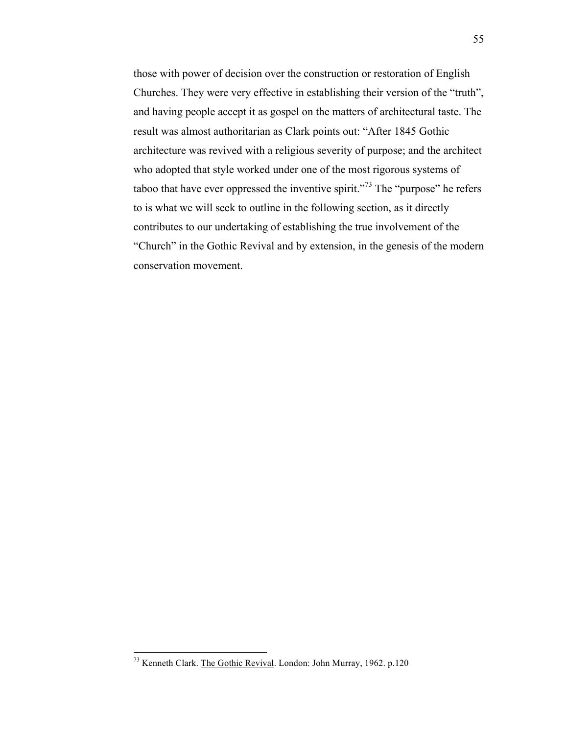those with power of decision over the construction or restoration of English Churches. They were very effective in establishing their version of the "truth", and having people accept it as gospel on the matters of architectural taste. The result was almost authoritarian as Clark points out: "After 1845 Gothic architecture was revived with a religious severity of purpose; and the architect who adopted that style worked under one of the most rigorous systems of taboo that have ever oppressed the inventive spirit."<sup>73</sup> The "purpose" he refers to is what we will seek to outline in the following section, as it directly contributes to our undertaking of establishing the true involvement of the "Church" in the Gothic Revival and by extension, in the genesis of the modern conservation movement.

<sup>&</sup>lt;sup>73</sup> Kenneth Clark. The Gothic Revival. London: John Murray, 1962. p.120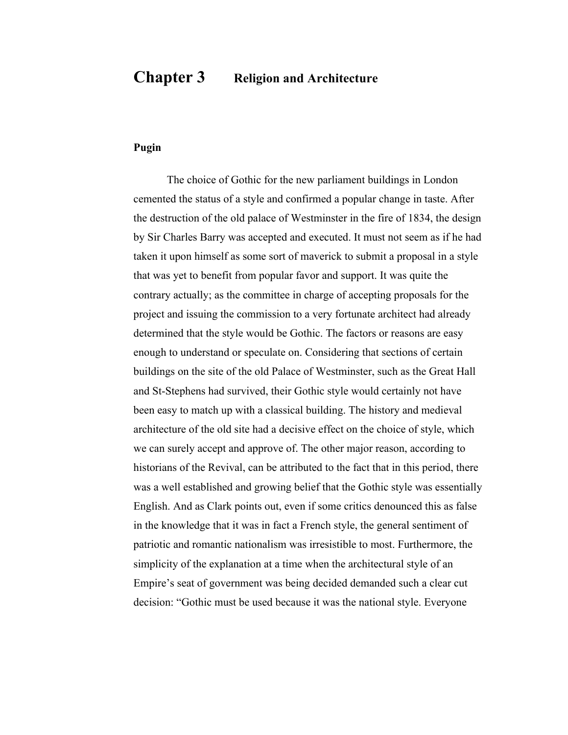# **Chapter 3 Religion and Architecture**

# **Pugin**

The choice of Gothic for the new parliament buildings in London cemented the status of a style and confirmed a popular change in taste. After the destruction of the old palace of Westminster in the fire of 1834, the design by Sir Charles Barry was accepted and executed. It must not seem as if he had taken it upon himself as some sort of maverick to submit a proposal in a style that was yet to benefit from popular favor and support. It was quite the contrary actually; as the committee in charge of accepting proposals for the project and issuing the commission to a very fortunate architect had already determined that the style would be Gothic. The factors or reasons are easy enough to understand or speculate on. Considering that sections of certain buildings on the site of the old Palace of Westminster, such as the Great Hall and St-Stephens had survived, their Gothic style would certainly not have been easy to match up with a classical building. The history and medieval architecture of the old site had a decisive effect on the choice of style, which we can surely accept and approve of. The other major reason, according to historians of the Revival, can be attributed to the fact that in this period, there was a well established and growing belief that the Gothic style was essentially English. And as Clark points out, even if some critics denounced this as false in the knowledge that it was in fact a French style, the general sentiment of patriotic and romantic nationalism was irresistible to most. Furthermore, the simplicity of the explanation at a time when the architectural style of an Empire's seat of government was being decided demanded such a clear cut decision: "Gothic must be used because it was the national style. Everyone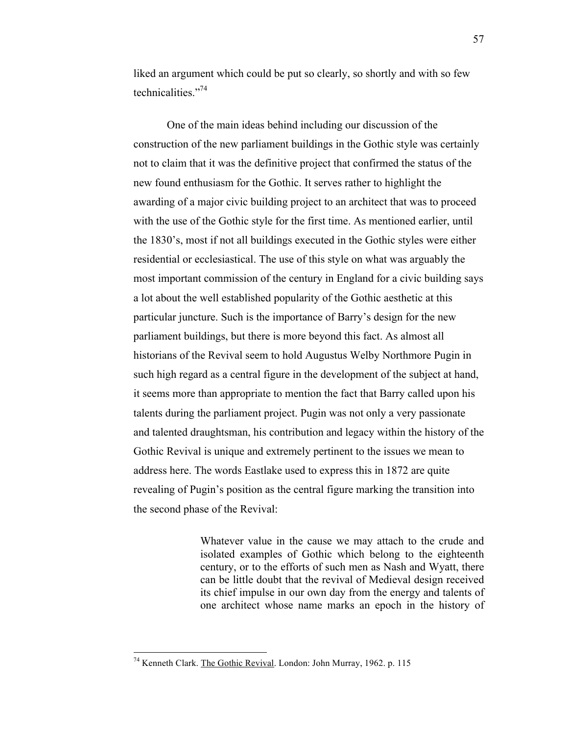liked an argument which could be put so clearly, so shortly and with so few technicalities<sup>"74</sup>

One of the main ideas behind including our discussion of the construction of the new parliament buildings in the Gothic style was certainly not to claim that it was the definitive project that confirmed the status of the new found enthusiasm for the Gothic. It serves rather to highlight the awarding of a major civic building project to an architect that was to proceed with the use of the Gothic style for the first time. As mentioned earlier, until the 1830's, most if not all buildings executed in the Gothic styles were either residential or ecclesiastical. The use of this style on what was arguably the most important commission of the century in England for a civic building says a lot about the well established popularity of the Gothic aesthetic at this particular juncture. Such is the importance of Barry's design for the new parliament buildings, but there is more beyond this fact. As almost all historians of the Revival seem to hold Augustus Welby Northmore Pugin in such high regard as a central figure in the development of the subject at hand, it seems more than appropriate to mention the fact that Barry called upon his talents during the parliament project. Pugin was not only a very passionate and talented draughtsman, his contribution and legacy within the history of the Gothic Revival is unique and extremely pertinent to the issues we mean to address here. The words Eastlake used to express this in 1872 are quite revealing of Pugin's position as the central figure marking the transition into the second phase of the Revival:

> Whatever value in the cause we may attach to the crude and isolated examples of Gothic which belong to the eighteenth century, or to the efforts of such men as Nash and Wyatt, there can be little doubt that the revival of Medieval design received its chief impulse in our own day from the energy and talents of one architect whose name marks an epoch in the history of

<sup>&</sup>lt;sup>74</sup> Kenneth Clark. The Gothic Revival. London: John Murray, 1962. p. 115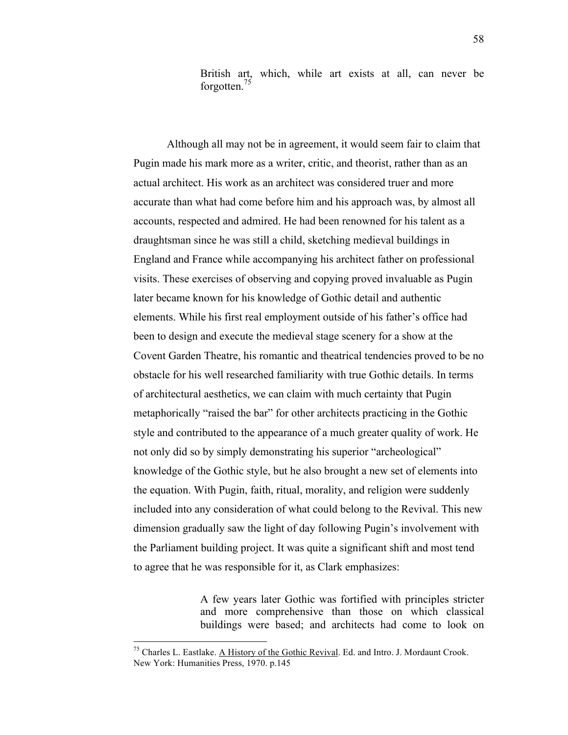British art, which, while art exists at all, can never be forgotten.<sup>75</sup>

Although all may not be in agreement, it would seem fair to claim that Pugin made his mark more as a writer, critic, and theorist, rather than as an actual architect. His work as an architect was considered truer and more accurate than what had come before him and his approach was, by almost all accounts, respected and admired. He had been renowned for his talent as a draughtsman since he was still a child, sketching medieval buildings in England and France while accompanying his architect father on professional visits. These exercises of observing and copying proved invaluable as Pugin later became known for his knowledge of Gothic detail and authentic elements. While his first real employment outside of his father's office had been to design and execute the medieval stage scenery for a show at the Covent Garden Theatre, his romantic and theatrical tendencies proved to be no obstacle for his well researched familiarity with true Gothic details. In terms of architectural aesthetics, we can claim with much certainty that Pugin metaphorically "raised the bar" for other architects practicing in the Gothic style and contributed to the appearance of a much greater quality of work. He not only did so by simply demonstrating his superior "archeological" knowledge of the Gothic style, but he also brought a new set of elements into the equation. With Pugin, faith, ritual, morality, and religion were suddenly included into any consideration of what could belong to the Revival. This new dimension gradually saw the light of day following Pugin's involvement with the Parliament building project. It was quite a significant shift and most tend to agree that he was responsible for it, as Clark emphasizes:

> A few years later Gothic was fortified with principles stricter and more comprehensive than those on which classical buildings were based; and architects had come to look on

 $<sup>75</sup>$  Charles L. Eastlake. A History of the Gothic Revival. Ed. and Intro. J. Mordaunt Crook.</sup> New York: Humanities Press, 1970. p.145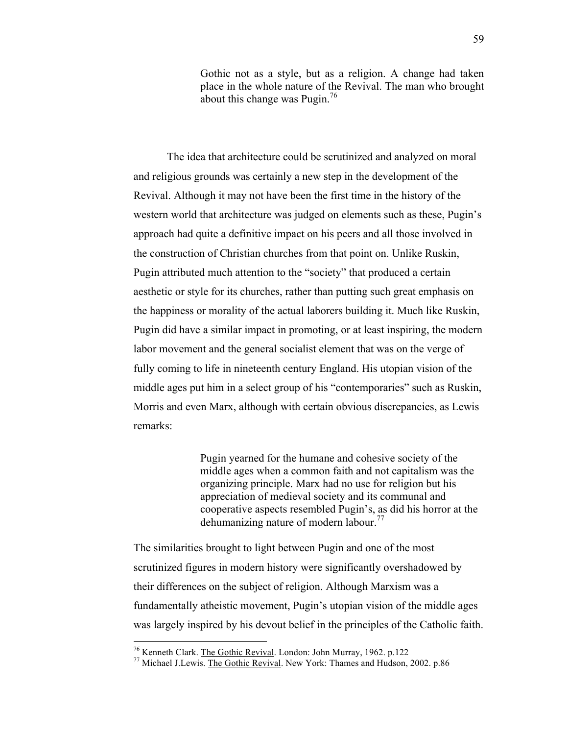Gothic not as a style, but as a religion. A change had taken place in the whole nature of the Revival. The man who brought about this change was Pugin.<sup>76</sup>

The idea that architecture could be scrutinized and analyzed on moral and religious grounds was certainly a new step in the development of the Revival. Although it may not have been the first time in the history of the western world that architecture was judged on elements such as these, Pugin's approach had quite a definitive impact on his peers and all those involved in the construction of Christian churches from that point on. Unlike Ruskin, Pugin attributed much attention to the "society" that produced a certain aesthetic or style for its churches, rather than putting such great emphasis on the happiness or morality of the actual laborers building it. Much like Ruskin, Pugin did have a similar impact in promoting, or at least inspiring, the modern labor movement and the general socialist element that was on the verge of fully coming to life in nineteenth century England. His utopian vision of the middle ages put him in a select group of his "contemporaries" such as Ruskin, Morris and even Marx, although with certain obvious discrepancies, as Lewis remarks:

> Pugin yearned for the humane and cohesive society of the middle ages when a common faith and not capitalism was the organizing principle. Marx had no use for religion but his appreciation of medieval society and its communal and cooperative aspects resembled Pugin's, as did his horror at the dehumanizing nature of modern labour.<sup>77</sup>

The similarities brought to light between Pugin and one of the most scrutinized figures in modern history were significantly overshadowed by their differences on the subject of religion. Although Marxism was a fundamentally atheistic movement, Pugin's utopian vision of the middle ages was largely inspired by his devout belief in the principles of the Catholic faith.

<sup>&</sup>lt;sup>76</sup> Kenneth Clark. The Gothic Revival. London: John Murray, 1962. p.122<br><sup>77</sup> Michael J.Lewis. The Gothic Revival. New York: Thames and Hudson, 2002. p.86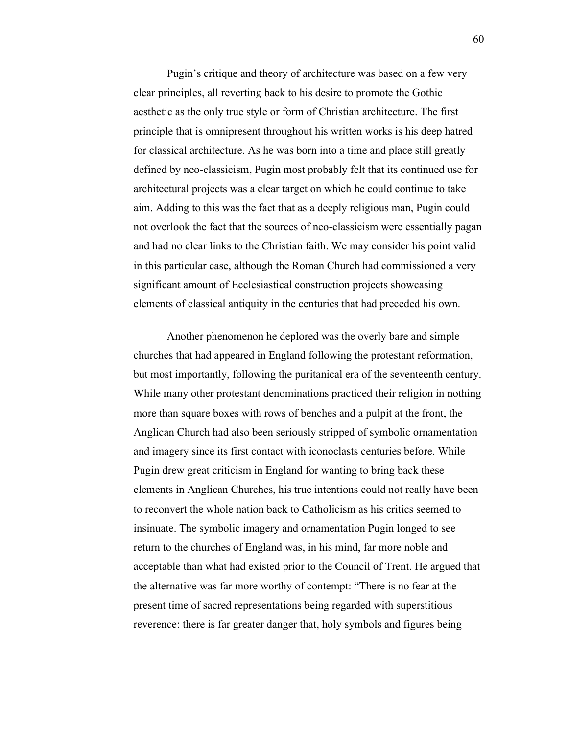Pugin's critique and theory of architecture was based on a few very clear principles, all reverting back to his desire to promote the Gothic aesthetic as the only true style or form of Christian architecture. The first principle that is omnipresent throughout his written works is his deep hatred for classical architecture. As he was born into a time and place still greatly defined by neo-classicism, Pugin most probably felt that its continued use for architectural projects was a clear target on which he could continue to take aim. Adding to this was the fact that as a deeply religious man, Pugin could not overlook the fact that the sources of neo-classicism were essentially pagan and had no clear links to the Christian faith. We may consider his point valid in this particular case, although the Roman Church had commissioned a very significant amount of Ecclesiastical construction projects showcasing elements of classical antiquity in the centuries that had preceded his own.

Another phenomenon he deplored was the overly bare and simple churches that had appeared in England following the protestant reformation, but most importantly, following the puritanical era of the seventeenth century. While many other protestant denominations practiced their religion in nothing more than square boxes with rows of benches and a pulpit at the front, the Anglican Church had also been seriously stripped of symbolic ornamentation and imagery since its first contact with iconoclasts centuries before. While Pugin drew great criticism in England for wanting to bring back these elements in Anglican Churches, his true intentions could not really have been to reconvert the whole nation back to Catholicism as his critics seemed to insinuate. The symbolic imagery and ornamentation Pugin longed to see return to the churches of England was, in his mind, far more noble and acceptable than what had existed prior to the Council of Trent. He argued that the alternative was far more worthy of contempt: "There is no fear at the present time of sacred representations being regarded with superstitious reverence: there is far greater danger that, holy symbols and figures being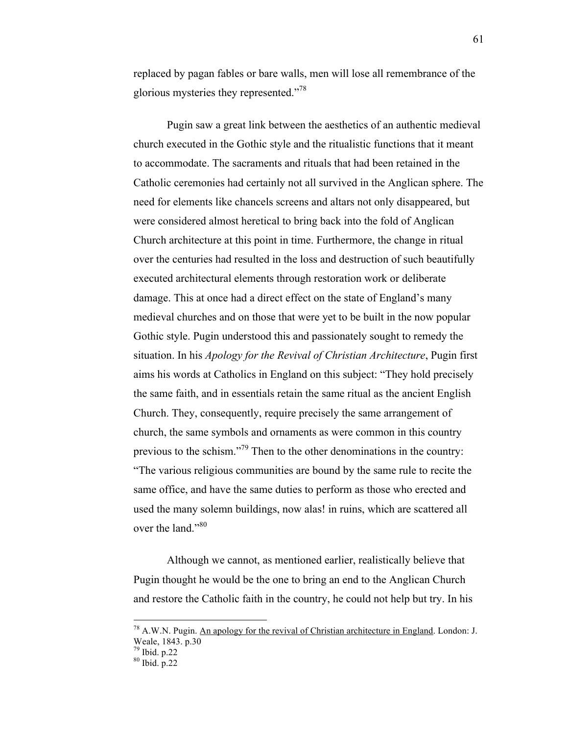replaced by pagan fables or bare walls, men will lose all remembrance of the glorious mysteries they represented."78

Pugin saw a great link between the aesthetics of an authentic medieval church executed in the Gothic style and the ritualistic functions that it meant to accommodate. The sacraments and rituals that had been retained in the Catholic ceremonies had certainly not all survived in the Anglican sphere. The need for elements like chancels screens and altars not only disappeared, but were considered almost heretical to bring back into the fold of Anglican Church architecture at this point in time. Furthermore, the change in ritual over the centuries had resulted in the loss and destruction of such beautifully executed architectural elements through restoration work or deliberate damage. This at once had a direct effect on the state of England's many medieval churches and on those that were yet to be built in the now popular Gothic style. Pugin understood this and passionately sought to remedy the situation. In his *Apology for the Revival of Christian Architecture*, Pugin first aims his words at Catholics in England on this subject: "They hold precisely the same faith, and in essentials retain the same ritual as the ancient English Church. They, consequently, require precisely the same arrangement of church, the same symbols and ornaments as were common in this country previous to the schism."79 Then to the other denominations in the country: "The various religious communities are bound by the same rule to recite the same office, and have the same duties to perform as those who erected and used the many solemn buildings, now alas! in ruins, which are scattered all over the land."<sup>80</sup>

Although we cannot, as mentioned earlier, realistically believe that Pugin thought he would be the one to bring an end to the Anglican Church and restore the Catholic faith in the country, he could not help but try. In his

 $^{78}$  A.W.N. Pugin. An apology for the revival of Christian architecture in England. London: J. Weale, 1843. p.30<br><sup>79</sup> Ibid. p.22

<sup>80</sup> Ibid. p.22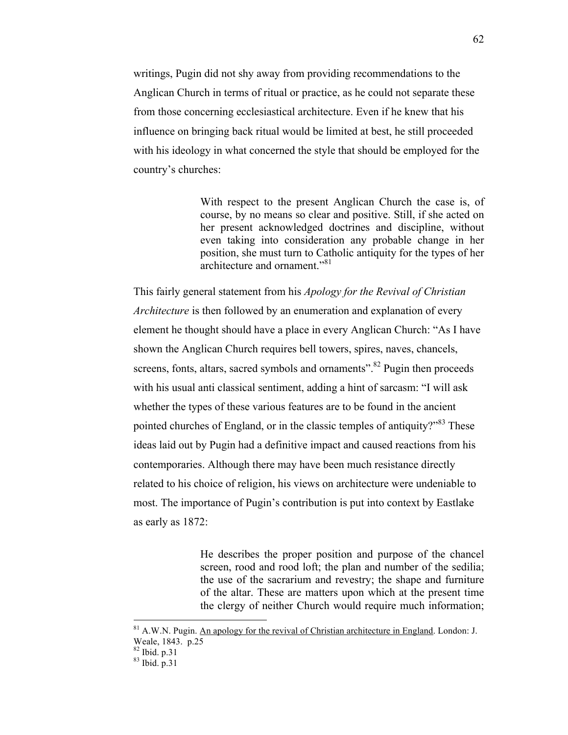writings, Pugin did not shy away from providing recommendations to the Anglican Church in terms of ritual or practice, as he could not separate these from those concerning ecclesiastical architecture. Even if he knew that his influence on bringing back ritual would be limited at best, he still proceeded with his ideology in what concerned the style that should be employed for the country's churches:

> With respect to the present Anglican Church the case is, of course, by no means so clear and positive. Still, if she acted on her present acknowledged doctrines and discipline, without even taking into consideration any probable change in her position, she must turn to Catholic antiquity for the types of her architecture and ornament."<sup>81</sup>

This fairly general statement from his *Apology for the Revival of Christian Architecture* is then followed by an enumeration and explanation of every element he thought should have a place in every Anglican Church: "As I have shown the Anglican Church requires bell towers, spires, naves, chancels, screens, fonts, altars, sacred symbols and ornaments".<sup>82</sup> Pugin then proceeds with his usual anti classical sentiment, adding a hint of sarcasm: "I will ask whether the types of these various features are to be found in the ancient pointed churches of England, or in the classic temples of antiquity?"<sup>83</sup> These ideas laid out by Pugin had a definitive impact and caused reactions from his contemporaries. Although there may have been much resistance directly related to his choice of religion, his views on architecture were undeniable to most. The importance of Pugin's contribution is put into context by Eastlake as early as 1872:

> He describes the proper position and purpose of the chancel screen, rood and rood loft; the plan and number of the sedilia; the use of the sacrarium and revestry; the shape and furniture of the altar. These are matters upon which at the present time the clergy of neither Church would require much information;

 $81$  A.W.N. Pugin. An apology for the revival of Christian architecture in England. London: J. Weale, 1843. p.25<br><sup>82</sup> Ibid. p.31

 $83$  Ibid. p. 31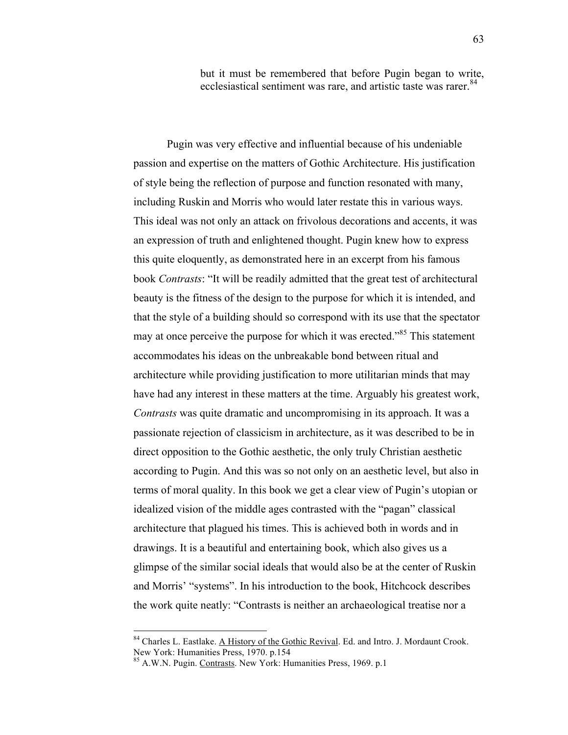but it must be remembered that before Pugin began to write, ecclesiastical sentiment was rare, and artistic taste was rarer.<sup>84</sup>

Pugin was very effective and influential because of his undeniable passion and expertise on the matters of Gothic Architecture. His justification of style being the reflection of purpose and function resonated with many, including Ruskin and Morris who would later restate this in various ways. This ideal was not only an attack on frivolous decorations and accents, it was an expression of truth and enlightened thought. Pugin knew how to express this quite eloquently, as demonstrated here in an excerpt from his famous book *Contrasts*: "It will be readily admitted that the great test of architectural beauty is the fitness of the design to the purpose for which it is intended, and that the style of a building should so correspond with its use that the spectator may at once perceive the purpose for which it was erected.<sup>385</sup> This statement accommodates his ideas on the unbreakable bond between ritual and architecture while providing justification to more utilitarian minds that may have had any interest in these matters at the time. Arguably his greatest work, *Contrasts* was quite dramatic and uncompromising in its approach. It was a passionate rejection of classicism in architecture, as it was described to be in direct opposition to the Gothic aesthetic, the only truly Christian aesthetic according to Pugin. And this was so not only on an aesthetic level, but also in terms of moral quality. In this book we get a clear view of Pugin's utopian or idealized vision of the middle ages contrasted with the "pagan" classical architecture that plagued his times. This is achieved both in words and in drawings. It is a beautiful and entertaining book, which also gives us a glimpse of the similar social ideals that would also be at the center of Ruskin and Morris' "systems". In his introduction to the book, Hitchcock describes the work quite neatly: "Contrasts is neither an archaeological treatise nor a

<sup>&</sup>lt;sup>84</sup> Charles L. Eastlake. A History of the Gothic Revival. Ed. and Intro. J. Mordaunt Crook. New York: Humanities Press, 1970. p.154<br><sup>85</sup> A.W.N. Pugin. Contrasts. New York: Humanities Press, 1969. p.1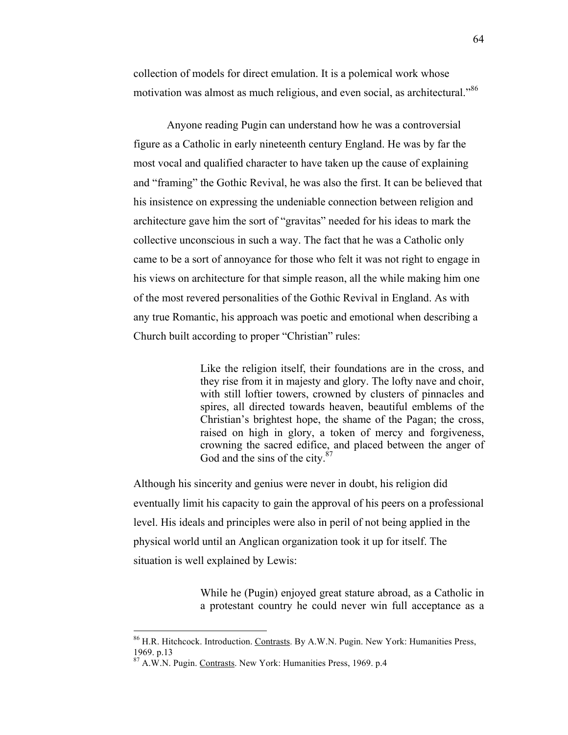collection of models for direct emulation. It is a polemical work whose motivation was almost as much religious, and even social, as architectural."<sup>86</sup>

Anyone reading Pugin can understand how he was a controversial figure as a Catholic in early nineteenth century England. He was by far the most vocal and qualified character to have taken up the cause of explaining and "framing" the Gothic Revival, he was also the first. It can be believed that his insistence on expressing the undeniable connection between religion and architecture gave him the sort of "gravitas" needed for his ideas to mark the collective unconscious in such a way. The fact that he was a Catholic only came to be a sort of annoyance for those who felt it was not right to engage in his views on architecture for that simple reason, all the while making him one of the most revered personalities of the Gothic Revival in England. As with any true Romantic, his approach was poetic and emotional when describing a Church built according to proper "Christian" rules:

> Like the religion itself, their foundations are in the cross, and they rise from it in majesty and glory. The lofty nave and choir, with still loftier towers, crowned by clusters of pinnacles and spires, all directed towards heaven, beautiful emblems of the Christian's brightest hope, the shame of the Pagan; the cross, raised on high in glory, a token of mercy and forgiveness, crowning the sacred edifice, and placed between the anger of God and the sins of the city. $87$

Although his sincerity and genius were never in doubt, his religion did eventually limit his capacity to gain the approval of his peers on a professional level. His ideals and principles were also in peril of not being applied in the physical world until an Anglican organization took it up for itself. The situation is well explained by Lewis:

> While he (Pugin) enjoyed great stature abroad, as a Catholic in a protestant country he could never win full acceptance as a

<sup>&</sup>lt;sup>86</sup> H.R. Hitchcock. Introduction. Contrasts. By A.W.N. Pugin. New York: Humanities Press, 1969. p.13

<sup>&</sup>lt;sup>87</sup> A.W.N. Pugin. Contrasts. New York: Humanities Press, 1969. p.4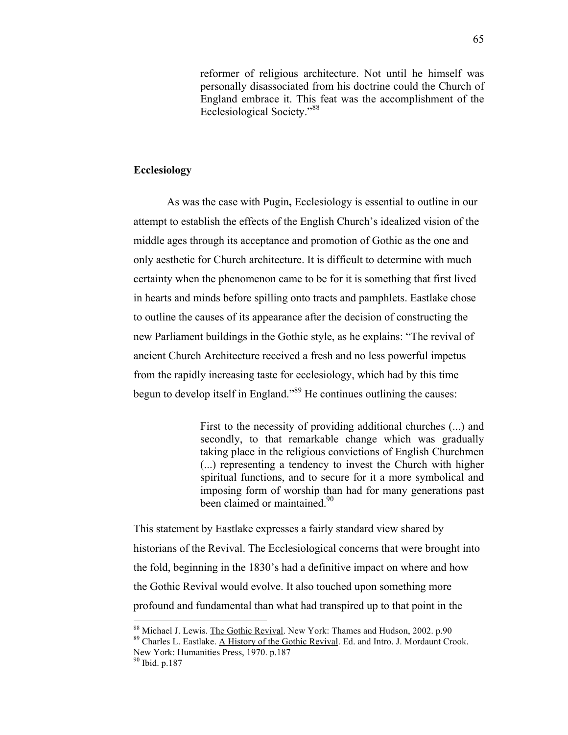reformer of religious architecture. Not until he himself was personally disassociated from his doctrine could the Church of England embrace it. This feat was the accomplishment of the Ecclesiological Society." 88

## **Ecclesiology**

As was the case with Pugin**,** Ecclesiology is essential to outline in our attempt to establish the effects of the English Church's idealized vision of the middle ages through its acceptance and promotion of Gothic as the one and only aesthetic for Church architecture. It is difficult to determine with much certainty when the phenomenon came to be for it is something that first lived in hearts and minds before spilling onto tracts and pamphlets. Eastlake chose to outline the causes of its appearance after the decision of constructing the new Parliament buildings in the Gothic style, as he explains: "The revival of ancient Church Architecture received a fresh and no less powerful impetus from the rapidly increasing taste for ecclesiology, which had by this time begun to develop itself in England."<sup>89</sup> He continues outlining the causes:

> First to the necessity of providing additional churches (...) and secondly, to that remarkable change which was gradually taking place in the religious convictions of English Churchmen (...) representing a tendency to invest the Church with higher spiritual functions, and to secure for it a more symbolical and imposing form of worship than had for many generations past been claimed or maintained.<sup>90</sup>

This statement by Eastlake expresses a fairly standard view shared by historians of the Revival. The Ecclesiological concerns that were brought into the fold, beginning in the 1830's had a definitive impact on where and how the Gothic Revival would evolve. It also touched upon something more profound and fundamental than what had transpired up to that point in the

<sup>&</sup>lt;sup>88</sup> Michael J. Lewis. The Gothic Revival. New York: Thames and Hudson, 2002. p.90<br><sup>89</sup> Charles L. Eastlake. <u>A History of the Gothic Revival</u>. Ed. and Intro. J. Mordaunt Crook.

New York: Humanities Press, 1970. p.187<br><sup>90</sup> Ibid. p.187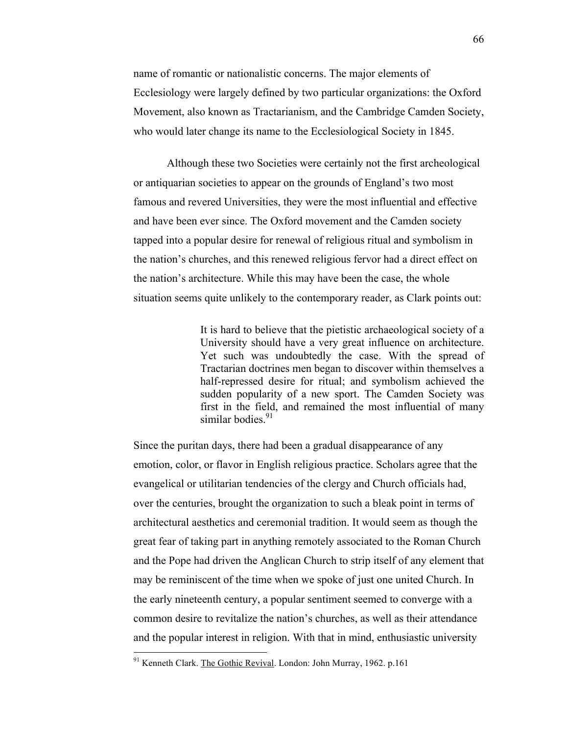name of romantic or nationalistic concerns. The major elements of Ecclesiology were largely defined by two particular organizations: the Oxford Movement, also known as Tractarianism, and the Cambridge Camden Society, who would later change its name to the Ecclesiological Society in 1845.

Although these two Societies were certainly not the first archeological or antiquarian societies to appear on the grounds of England's two most famous and revered Universities, they were the most influential and effective and have been ever since. The Oxford movement and the Camden society tapped into a popular desire for renewal of religious ritual and symbolism in the nation's churches, and this renewed religious fervor had a direct effect on the nation's architecture. While this may have been the case, the whole situation seems quite unlikely to the contemporary reader, as Clark points out:

> It is hard to believe that the pietistic archaeological society of a University should have a very great influence on architecture. Yet such was undoubtedly the case. With the spread of Tractarian doctrines men began to discover within themselves a half-repressed desire for ritual; and symbolism achieved the sudden popularity of a new sport. The Camden Society was first in the field, and remained the most influential of many similar bodies. $91$

Since the puritan days, there had been a gradual disappearance of any emotion, color, or flavor in English religious practice. Scholars agree that the evangelical or utilitarian tendencies of the clergy and Church officials had, over the centuries, brought the organization to such a bleak point in terms of architectural aesthetics and ceremonial tradition. It would seem as though the great fear of taking part in anything remotely associated to the Roman Church and the Pope had driven the Anglican Church to strip itself of any element that may be reminiscent of the time when we spoke of just one united Church. In the early nineteenth century, a popular sentiment seemed to converge with a common desire to revitalize the nation's churches, as well as their attendance and the popular interest in religion. With that in mind, enthusiastic university

 $91$  Kenneth Clark. The Gothic Revival. London: John Murray, 1962. p.161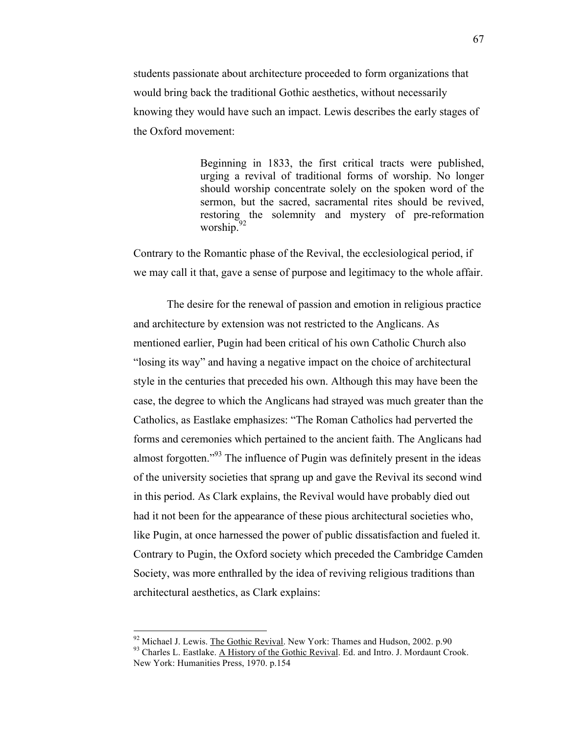students passionate about architecture proceeded to form organizations that would bring back the traditional Gothic aesthetics, without necessarily knowing they would have such an impact. Lewis describes the early stages of the Oxford movement:

> Beginning in 1833, the first critical tracts were published, urging a revival of traditional forms of worship. No longer should worship concentrate solely on the spoken word of the sermon, but the sacred, sacramental rites should be revived, restoring the solemnity and mystery of pre-reformation worship. $92$

Contrary to the Romantic phase of the Revival, the ecclesiological period, if we may call it that, gave a sense of purpose and legitimacy to the whole affair.

The desire for the renewal of passion and emotion in religious practice and architecture by extension was not restricted to the Anglicans. As mentioned earlier, Pugin had been critical of his own Catholic Church also "losing its way" and having a negative impact on the choice of architectural style in the centuries that preceded his own. Although this may have been the case, the degree to which the Anglicans had strayed was much greater than the Catholics, as Eastlake emphasizes: "The Roman Catholics had perverted the forms and ceremonies which pertained to the ancient faith. The Anglicans had almost forgotten."<sup>93</sup> The influence of Pugin was definitely present in the ideas of the university societies that sprang up and gave the Revival its second wind in this period. As Clark explains, the Revival would have probably died out had it not been for the appearance of these pious architectural societies who, like Pugin, at once harnessed the power of public dissatisfaction and fueled it. Contrary to Pugin, the Oxford society which preceded the Cambridge Camden Society, was more enthralled by the idea of reviving religious traditions than architectural aesthetics, as Clark explains:

<sup>&</sup>lt;sup>92</sup> Michael J. Lewis. <u>The Gothic Revival</u>. New York: Thames and Hudson, 2002. p.90<br><sup>93</sup> Charles L. Eastlake. A History of the Gothic Revival. Ed. and Intro. J. Mordaunt Crook.

New York: Humanities Press, 1970. p.154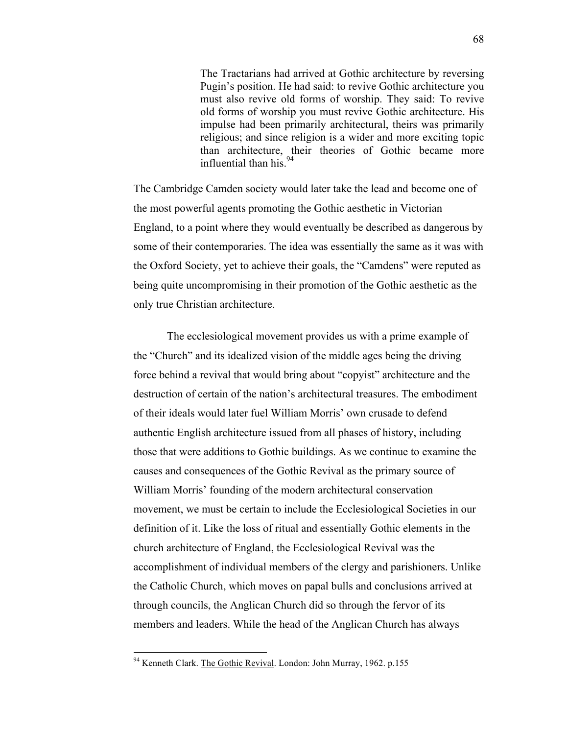The Tractarians had arrived at Gothic architecture by reversing Pugin's position. He had said: to revive Gothic architecture you must also revive old forms of worship. They said: To revive old forms of worship you must revive Gothic architecture. His impulse had been primarily architectural, theirs was primarily religious; and since religion is a wider and more exciting topic than architecture, their theories of Gothic became more influential than his<sup>94</sup>

The Cambridge Camden society would later take the lead and become one of the most powerful agents promoting the Gothic aesthetic in Victorian England, to a point where they would eventually be described as dangerous by some of their contemporaries. The idea was essentially the same as it was with the Oxford Society, yet to achieve their goals, the "Camdens" were reputed as being quite uncompromising in their promotion of the Gothic aesthetic as the only true Christian architecture.

The ecclesiological movement provides us with a prime example of the "Church" and its idealized vision of the middle ages being the driving force behind a revival that would bring about "copyist" architecture and the destruction of certain of the nation's architectural treasures. The embodiment of their ideals would later fuel William Morris' own crusade to defend authentic English architecture issued from all phases of history, including those that were additions to Gothic buildings. As we continue to examine the causes and consequences of the Gothic Revival as the primary source of William Morris' founding of the modern architectural conservation movement, we must be certain to include the Ecclesiological Societies in our definition of it. Like the loss of ritual and essentially Gothic elements in the church architecture of England, the Ecclesiological Revival was the accomplishment of individual members of the clergy and parishioners. Unlike the Catholic Church, which moves on papal bulls and conclusions arrived at through councils, the Anglican Church did so through the fervor of its members and leaders. While the head of the Anglican Church has always

<sup>&</sup>lt;sup>94</sup> Kenneth Clark. The Gothic Revival. London: John Murray, 1962. p.155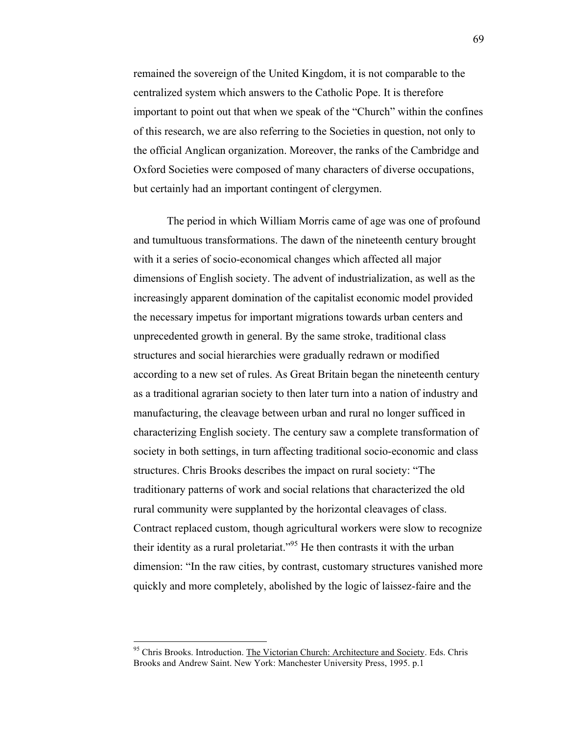remained the sovereign of the United Kingdom, it is not comparable to the centralized system which answers to the Catholic Pope. It is therefore important to point out that when we speak of the "Church" within the confines of this research, we are also referring to the Societies in question, not only to the official Anglican organization. Moreover, the ranks of the Cambridge and Oxford Societies were composed of many characters of diverse occupations, but certainly had an important contingent of clergymen.

The period in which William Morris came of age was one of profound and tumultuous transformations. The dawn of the nineteenth century brought with it a series of socio-economical changes which affected all major dimensions of English society. The advent of industrialization, as well as the increasingly apparent domination of the capitalist economic model provided the necessary impetus for important migrations towards urban centers and unprecedented growth in general. By the same stroke, traditional class structures and social hierarchies were gradually redrawn or modified according to a new set of rules. As Great Britain began the nineteenth century as a traditional agrarian society to then later turn into a nation of industry and manufacturing, the cleavage between urban and rural no longer sufficed in characterizing English society. The century saw a complete transformation of society in both settings, in turn affecting traditional socio-economic and class structures. Chris Brooks describes the impact on rural society: "The traditionary patterns of work and social relations that characterized the old rural community were supplanted by the horizontal cleavages of class. Contract replaced custom, though agricultural workers were slow to recognize their identity as a rural proletariat."95 He then contrasts it with the urban dimension: "In the raw cities, by contrast, customary structures vanished more quickly and more completely, abolished by the logic of laissez-faire and the

<sup>&</sup>lt;sup>95</sup> Chris Brooks. Introduction. The Victorian Church: Architecture and Society. Eds. Chris Brooks and Andrew Saint. New York: Manchester University Press, 1995. p.1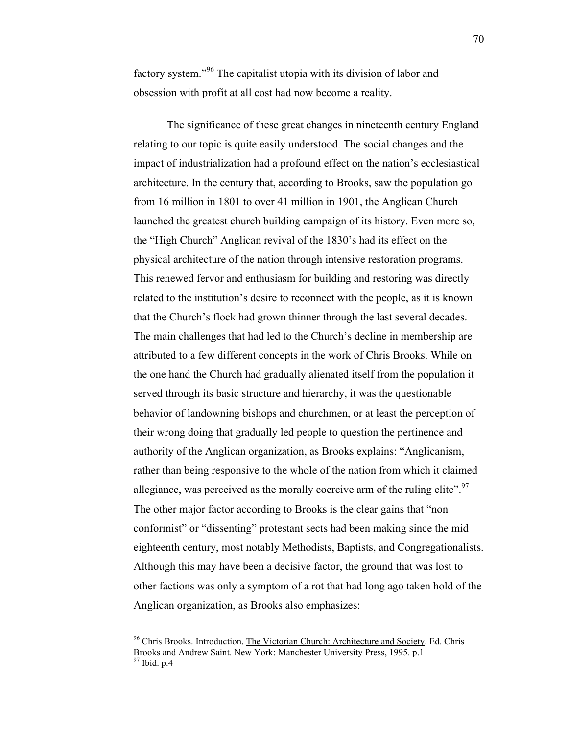factory system."96 The capitalist utopia with its division of labor and obsession with profit at all cost had now become a reality.

The significance of these great changes in nineteenth century England relating to our topic is quite easily understood. The social changes and the impact of industrialization had a profound effect on the nation's ecclesiastical architecture. In the century that, according to Brooks, saw the population go from 16 million in 1801 to over 41 million in 1901, the Anglican Church launched the greatest church building campaign of its history. Even more so, the "High Church" Anglican revival of the 1830's had its effect on the physical architecture of the nation through intensive restoration programs. This renewed fervor and enthusiasm for building and restoring was directly related to the institution's desire to reconnect with the people, as it is known that the Church's flock had grown thinner through the last several decades. The main challenges that had led to the Church's decline in membership are attributed to a few different concepts in the work of Chris Brooks. While on the one hand the Church had gradually alienated itself from the population it served through its basic structure and hierarchy, it was the questionable behavior of landowning bishops and churchmen, or at least the perception of their wrong doing that gradually led people to question the pertinence and authority of the Anglican organization, as Brooks explains: "Anglicanism, rather than being responsive to the whole of the nation from which it claimed allegiance, was perceived as the morally coercive arm of the ruling elite".<sup>97</sup> The other major factor according to Brooks is the clear gains that "non conformist" or "dissenting" protestant sects had been making since the mid eighteenth century, most notably Methodists, Baptists, and Congregationalists. Although this may have been a decisive factor, the ground that was lost to other factions was only a symptom of a rot that had long ago taken hold of the Anglican organization, as Brooks also emphasizes:

<sup>&</sup>lt;sup>96</sup> Chris Brooks. Introduction. The Victorian Church: Architecture and Society. Ed. Chris Brooks and Andrew Saint. New York: Manchester University Press, 1995. p.1 97 Ibid. p.4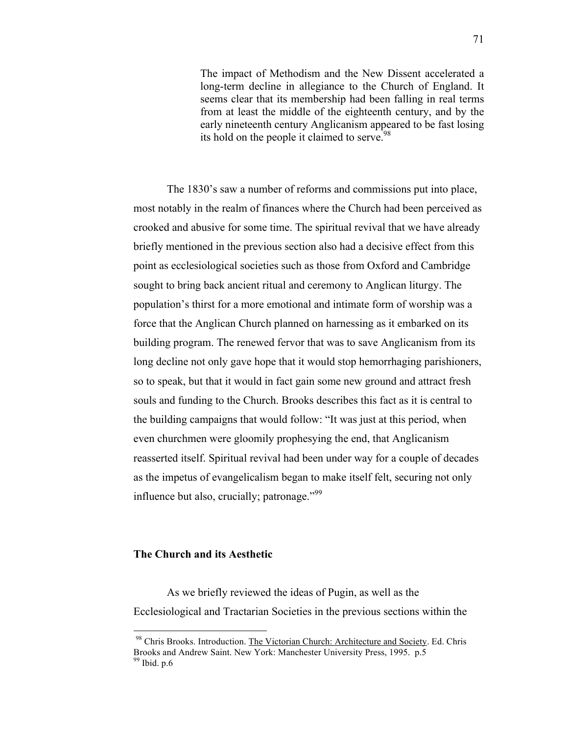The impact of Methodism and the New Dissent accelerated a long-term decline in allegiance to the Church of England. It seems clear that its membership had been falling in real terms from at least the middle of the eighteenth century, and by the early nineteenth century Anglicanism appeared to be fast losing its hold on the people it claimed to serve.<sup>98</sup>

The 1830's saw a number of reforms and commissions put into place, most notably in the realm of finances where the Church had been perceived as crooked and abusive for some time. The spiritual revival that we have already briefly mentioned in the previous section also had a decisive effect from this point as ecclesiological societies such as those from Oxford and Cambridge sought to bring back ancient ritual and ceremony to Anglican liturgy. The population's thirst for a more emotional and intimate form of worship was a force that the Anglican Church planned on harnessing as it embarked on its building program. The renewed fervor that was to save Anglicanism from its long decline not only gave hope that it would stop hemorrhaging parishioners, so to speak, but that it would in fact gain some new ground and attract fresh souls and funding to the Church. Brooks describes this fact as it is central to the building campaigns that would follow: "It was just at this period, when even churchmen were gloomily prophesying the end, that Anglicanism reasserted itself. Spiritual revival had been under way for a couple of decades as the impetus of evangelicalism began to make itself felt, securing not only influence but also, crucially; patronage."<sup>99</sup>

#### **The Church and its Aesthetic**

As we briefly reviewed the ideas of Pugin, as well as the Ecclesiological and Tractarian Societies in the previous sections within the

<sup>&</sup>lt;sup>98</sup> Chris Brooks. Introduction. The Victorian Church: Architecture and Society. Ed. Chris Brooks and Andrew Saint. New York: Manchester University Press, 1995. p.5<sup>99</sup> Ibid. p.6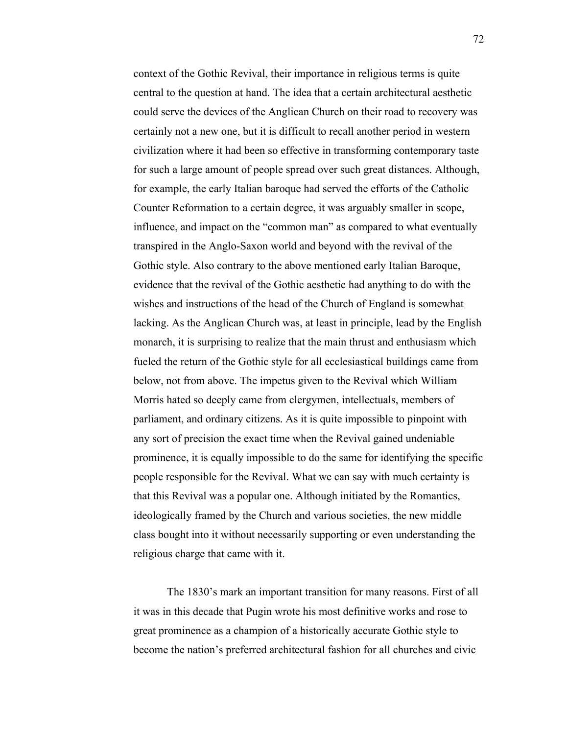context of the Gothic Revival, their importance in religious terms is quite central to the question at hand. The idea that a certain architectural aesthetic could serve the devices of the Anglican Church on their road to recovery was certainly not a new one, but it is difficult to recall another period in western civilization where it had been so effective in transforming contemporary taste for such a large amount of people spread over such great distances. Although, for example, the early Italian baroque had served the efforts of the Catholic Counter Reformation to a certain degree, it was arguably smaller in scope, influence, and impact on the "common man" as compared to what eventually transpired in the Anglo-Saxon world and beyond with the revival of the Gothic style. Also contrary to the above mentioned early Italian Baroque, evidence that the revival of the Gothic aesthetic had anything to do with the wishes and instructions of the head of the Church of England is somewhat lacking. As the Anglican Church was, at least in principle, lead by the English monarch, it is surprising to realize that the main thrust and enthusiasm which fueled the return of the Gothic style for all ecclesiastical buildings came from below, not from above. The impetus given to the Revival which William Morris hated so deeply came from clergymen, intellectuals, members of parliament, and ordinary citizens. As it is quite impossible to pinpoint with any sort of precision the exact time when the Revival gained undeniable prominence, it is equally impossible to do the same for identifying the specific people responsible for the Revival. What we can say with much certainty is that this Revival was a popular one. Although initiated by the Romantics, ideologically framed by the Church and various societies, the new middle class bought into it without necessarily supporting or even understanding the religious charge that came with it.

The 1830's mark an important transition for many reasons. First of all it was in this decade that Pugin wrote his most definitive works and rose to great prominence as a champion of a historically accurate Gothic style to become the nation's preferred architectural fashion for all churches and civic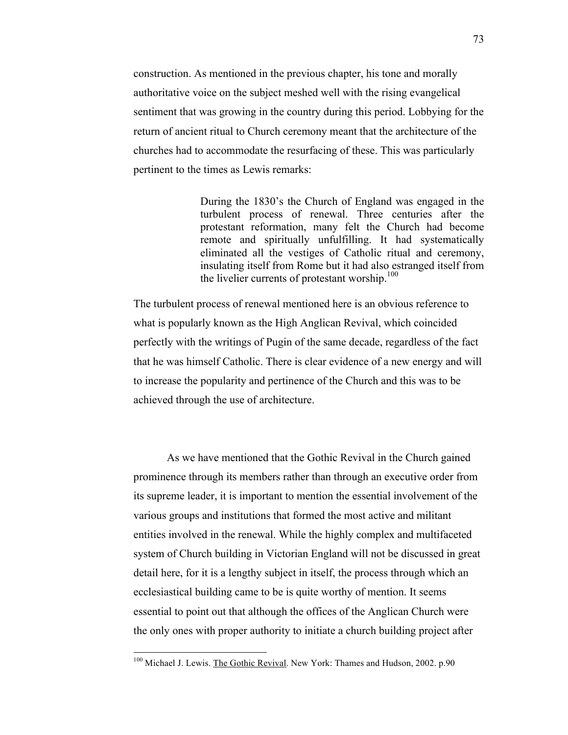construction. As mentioned in the previous chapter, his tone and morally authoritative voice on the subject meshed well with the rising evangelical sentiment that was growing in the country during this period. Lobbying for the return of ancient ritual to Church ceremony meant that the architecture of the churches had to accommodate the resurfacing of these. This was particularly pertinent to the times as Lewis remarks:

> During the 1830's the Church of England was engaged in the turbulent process of renewal. Three centuries after the protestant reformation, many felt the Church had become remote and spiritually unfulfilling. It had systematically eliminated all the vestiges of Catholic ritual and ceremony, insulating itself from Rome but it had also estranged itself from the livelier currents of protestant worship. $100$

The turbulent process of renewal mentioned here is an obvious reference to what is popularly known as the High Anglican Revival, which coincided perfectly with the writings of Pugin of the same decade, regardless of the fact that he was himself Catholic. There is clear evidence of a new energy and will to increase the popularity and pertinence of the Church and this was to be achieved through the use of architecture.

As we have mentioned that the Gothic Revival in the Church gained prominence through its members rather than through an executive order from its supreme leader, it is important to mention the essential involvement of the various groups and institutions that formed the most active and militant entities involved in the renewal. While the highly complex and multifaceted system of Church building in Victorian England will not be discussed in great detail here, for it is a lengthy subject in itself, the process through which an ecclesiastical building came to be is quite worthy of mention. It seems essential to point out that although the offices of the Anglican Church were the only ones with proper authority to initiate a church building project after

<sup>&</sup>lt;sup>100</sup> Michael J. Lewis. The Gothic Revival. New York: Thames and Hudson, 2002. p.90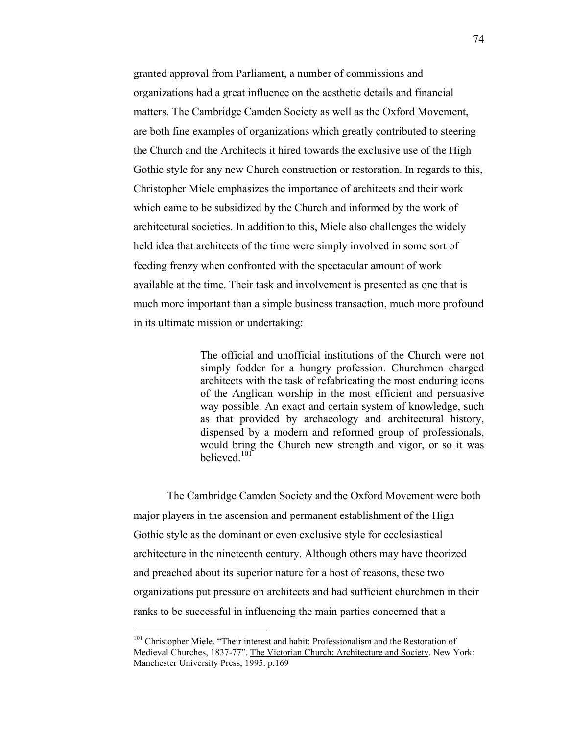granted approval from Parliament, a number of commissions and organizations had a great influence on the aesthetic details and financial matters. The Cambridge Camden Society as well as the Oxford Movement, are both fine examples of organizations which greatly contributed to steering the Church and the Architects it hired towards the exclusive use of the High Gothic style for any new Church construction or restoration. In regards to this, Christopher Miele emphasizes the importance of architects and their work which came to be subsidized by the Church and informed by the work of architectural societies. In addition to this, Miele also challenges the widely held idea that architects of the time were simply involved in some sort of feeding frenzy when confronted with the spectacular amount of work available at the time. Their task and involvement is presented as one that is much more important than a simple business transaction, much more profound in its ultimate mission or undertaking:

> The official and unofficial institutions of the Church were not simply fodder for a hungry profession. Churchmen charged architects with the task of refabricating the most enduring icons of the Anglican worship in the most efficient and persuasive way possible. An exact and certain system of knowledge, such as that provided by archaeology and architectural history, dispensed by a modern and reformed group of professionals, would bring the Church new strength and vigor, or so it was believed.<sup>101</sup>

The Cambridge Camden Society and the Oxford Movement were both major players in the ascension and permanent establishment of the High Gothic style as the dominant or even exclusive style for ecclesiastical architecture in the nineteenth century. Although others may have theorized and preached about its superior nature for a host of reasons, these two organizations put pressure on architects and had sufficient churchmen in their ranks to be successful in influencing the main parties concerned that a

<sup>&</sup>lt;sup>101</sup> Christopher Miele. "Their interest and habit: Professionalism and the Restoration of Medieval Churches, 1837-77". The Victorian Church: Architecture and Society. New York: Manchester University Press, 1995. p.169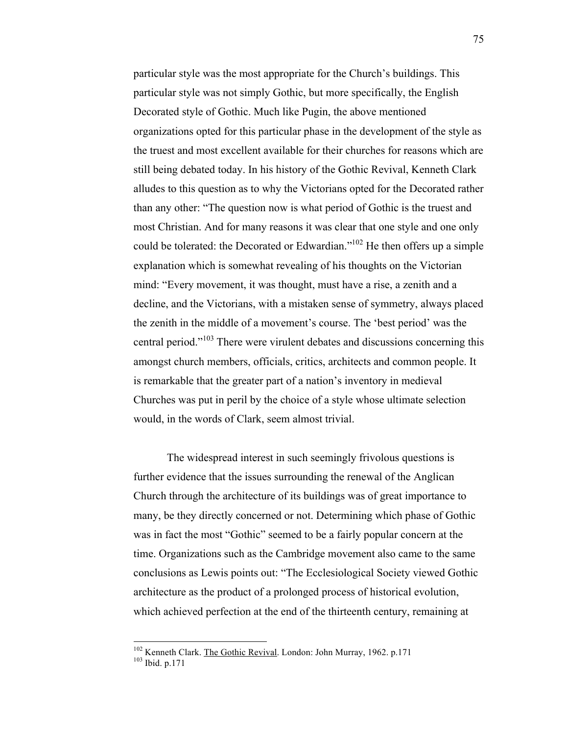particular style was the most appropriate for the Church's buildings. This particular style was not simply Gothic, but more specifically, the English Decorated style of Gothic. Much like Pugin, the above mentioned organizations opted for this particular phase in the development of the style as the truest and most excellent available for their churches for reasons which are still being debated today. In his history of the Gothic Revival, Kenneth Clark alludes to this question as to why the Victorians opted for the Decorated rather than any other: "The question now is what period of Gothic is the truest and most Christian. And for many reasons it was clear that one style and one only could be tolerated: the Decorated or Edwardian."<sup>102</sup> He then offers up a simple explanation which is somewhat revealing of his thoughts on the Victorian mind: "Every movement, it was thought, must have a rise, a zenith and a decline, and the Victorians, with a mistaken sense of symmetry, always placed the zenith in the middle of a movement's course. The 'best period' was the central period."<sup>103</sup> There were virulent debates and discussions concerning this amongst church members, officials, critics, architects and common people. It is remarkable that the greater part of a nation's inventory in medieval Churches was put in peril by the choice of a style whose ultimate selection would, in the words of Clark, seem almost trivial.

The widespread interest in such seemingly frivolous questions is further evidence that the issues surrounding the renewal of the Anglican Church through the architecture of its buildings was of great importance to many, be they directly concerned or not. Determining which phase of Gothic was in fact the most "Gothic" seemed to be a fairly popular concern at the time. Organizations such as the Cambridge movement also came to the same conclusions as Lewis points out: "The Ecclesiological Society viewed Gothic architecture as the product of a prolonged process of historical evolution, which achieved perfection at the end of the thirteenth century, remaining at

<sup>&</sup>lt;sup>102</sup> Kenneth Clark. <u>The Gothic Revival</u>. London: John Murray, 1962. p.171 <sup>103</sup> Ibid. p.171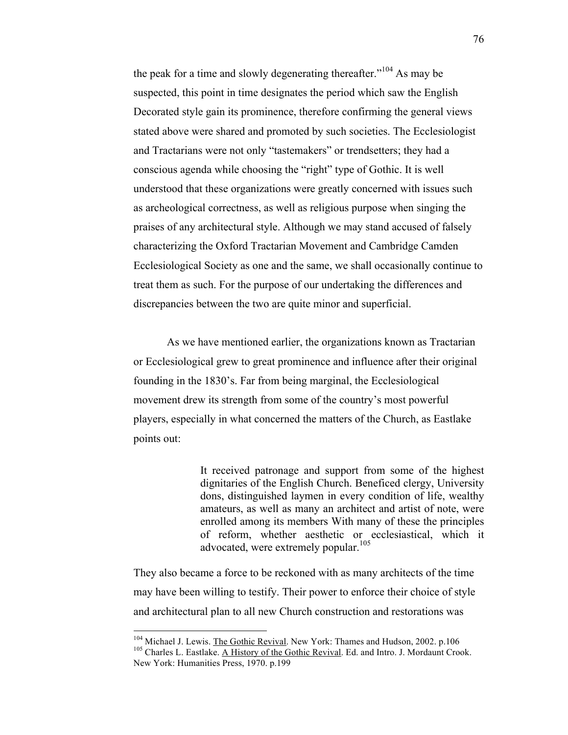the peak for a time and slowly degenerating thereafter."<sup>104</sup> As may be suspected, this point in time designates the period which saw the English Decorated style gain its prominence, therefore confirming the general views stated above were shared and promoted by such societies. The Ecclesiologist and Tractarians were not only "tastemakers" or trendsetters; they had a conscious agenda while choosing the "right" type of Gothic. It is well understood that these organizations were greatly concerned with issues such as archeological correctness, as well as religious purpose when singing the praises of any architectural style. Although we may stand accused of falsely characterizing the Oxford Tractarian Movement and Cambridge Camden Ecclesiological Society as one and the same, we shall occasionally continue to treat them as such. For the purpose of our undertaking the differences and discrepancies between the two are quite minor and superficial.

As we have mentioned earlier, the organizations known as Tractarian or Ecclesiological grew to great prominence and influence after their original founding in the 1830's. Far from being marginal, the Ecclesiological movement drew its strength from some of the country's most powerful players, especially in what concerned the matters of the Church, as Eastlake points out:

> It received patronage and support from some of the highest dignitaries of the English Church. Beneficed clergy, University dons, distinguished laymen in every condition of life, wealthy amateurs, as well as many an architect and artist of note, were enrolled among its members With many of these the principles of reform, whether aesthetic or ecclesiastical, which it advocated, were extremely popular.<sup>105</sup>

They also became a force to be reckoned with as many architects of the time may have been willing to testify. Their power to enforce their choice of style and architectural plan to all new Church construction and restorations was

<sup>&</sup>lt;sup>104</sup> Michael J. Lewis. The Gothic Revival. New York: Thames and Hudson, 2002. p.106<br><sup>105</sup> Charles L. Eastlake. <u>A History of the Gothic Revival</u>. Ed. and Intro. J. Mordaunt Crook. New York: Humanities Press, 1970. p.199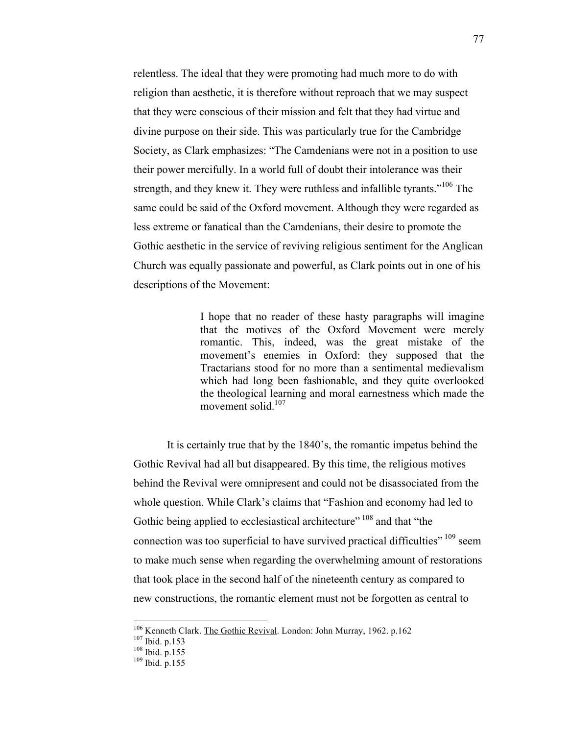relentless. The ideal that they were promoting had much more to do with religion than aesthetic, it is therefore without reproach that we may suspect that they were conscious of their mission and felt that they had virtue and divine purpose on their side. This was particularly true for the Cambridge Society, as Clark emphasizes: "The Camdenians were not in a position to use their power mercifully. In a world full of doubt their intolerance was their strength, and they knew it. They were ruthless and infallible tyrants."<sup>106</sup> The same could be said of the Oxford movement. Although they were regarded as less extreme or fanatical than the Camdenians, their desire to promote the Gothic aesthetic in the service of reviving religious sentiment for the Anglican Church was equally passionate and powerful, as Clark points out in one of his descriptions of the Movement:

> I hope that no reader of these hasty paragraphs will imagine that the motives of the Oxford Movement were merely romantic. This, indeed, was the great mistake of the movement's enemies in Oxford: they supposed that the Tractarians stood for no more than a sentimental medievalism which had long been fashionable, and they quite overlooked the theological learning and moral earnestness which made the movement solid.<sup>107</sup>

It is certainly true that by the 1840's, the romantic impetus behind the Gothic Revival had all but disappeared. By this time, the religious motives behind the Revival were omnipresent and could not be disassociated from the whole question. While Clark's claims that "Fashion and economy had led to Gothic being applied to ecclesiastical architecture" <sup>108</sup> and that "the connection was too superficial to have survived practical difficulties" <sup>109</sup> seem to make much sense when regarding the overwhelming amount of restorations that took place in the second half of the nineteenth century as compared to new constructions, the romantic element must not be forgotten as central to

<sup>&</sup>lt;sup>106</sup> Kenneth Clark. <u>The Gothic Revival</u>. London: John Murray, 1962. p.162<br><sup>107</sup> Ibid. p.153<br><sup>108</sup> Ibid. p.155<br><sup>109</sup> Ibid. p.155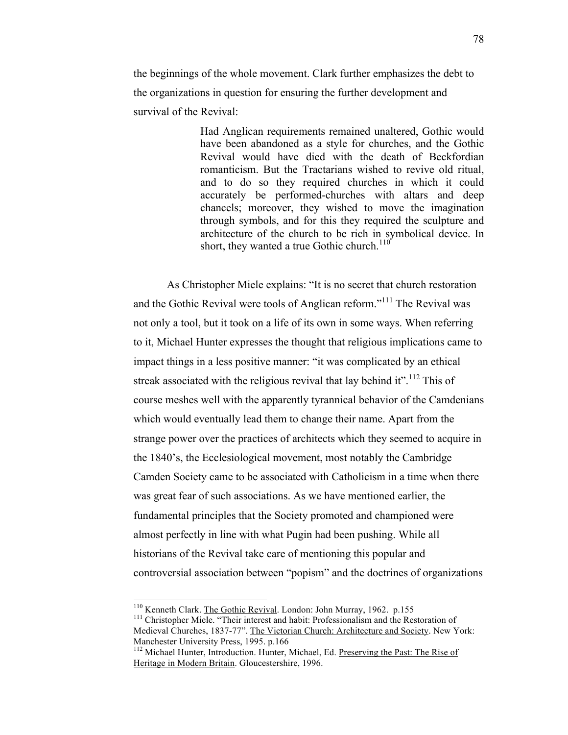the beginnings of the whole movement. Clark further emphasizes the debt to the organizations in question for ensuring the further development and survival of the Revival:

> Had Anglican requirements remained unaltered, Gothic would have been abandoned as a style for churches, and the Gothic Revival would have died with the death of Beckfordian romanticism. But the Tractarians wished to revive old ritual, and to do so they required churches in which it could accurately be performed-churches with altars and deep chancels; moreover, they wished to move the imagination through symbols, and for this they required the sculpture and architecture of the church to be rich in symbolical device. In short, they wanted a true Gothic church. $110^7$

As Christopher Miele explains: "It is no secret that church restoration and the Gothic Revival were tools of Anglican reform."<sup>111</sup> The Revival was not only a tool, but it took on a life of its own in some ways. When referring to it, Michael Hunter expresses the thought that religious implications came to impact things in a less positive manner: "it was complicated by an ethical streak associated with the religious revival that lay behind it".<sup>112</sup> This of course meshes well with the apparently tyrannical behavior of the Camdenians which would eventually lead them to change their name. Apart from the strange power over the practices of architects which they seemed to acquire in the 1840's, the Ecclesiological movement, most notably the Cambridge Camden Society came to be associated with Catholicism in a time when there was great fear of such associations. As we have mentioned earlier, the fundamental principles that the Society promoted and championed were almost perfectly in line with what Pugin had been pushing. While all historians of the Revival take care of mentioning this popular and controversial association between "popism" and the doctrines of organizations

<sup>&</sup>lt;sup>110</sup> Kenneth Clark. <u>The Gothic Revival</u>. London: John Murray, 1962. p.155  $111$  Christopher Miele. "Their interest and habit: Professionalism and the Restoration of Medieval Churches, 1837-77". The Victorian Church: Architecture and Society. New York: Manchester University Press, 1995. p.166

<sup>&</sup>lt;sup>112</sup> Michael Hunter, Introduction. Hunter, Michael, Ed. Preserving the Past: The Rise of Heritage in Modern Britain. Gloucestershire, 1996.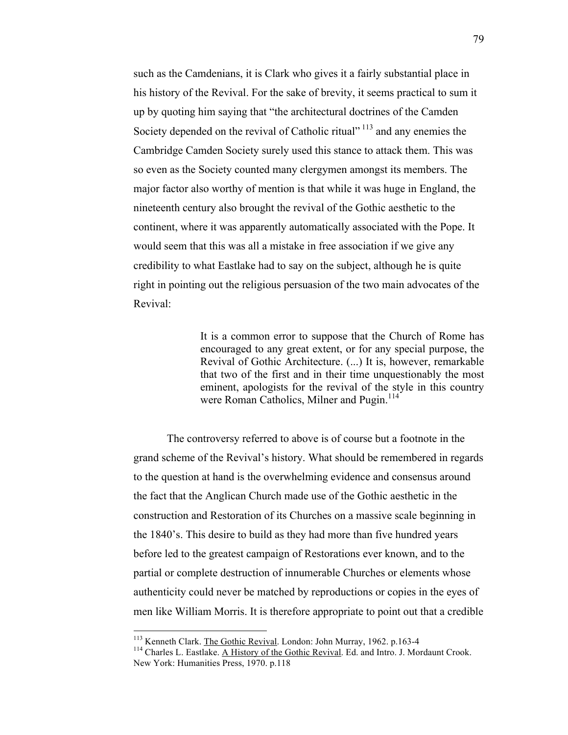such as the Camdenians, it is Clark who gives it a fairly substantial place in his history of the Revival. For the sake of brevity, it seems practical to sum it up by quoting him saying that "the architectural doctrines of the Camden Society depended on the revival of Catholic ritual"<sup>113</sup> and any enemies the Cambridge Camden Society surely used this stance to attack them. This was so even as the Society counted many clergymen amongst its members. The major factor also worthy of mention is that while it was huge in England, the nineteenth century also brought the revival of the Gothic aesthetic to the continent, where it was apparently automatically associated with the Pope. It would seem that this was all a mistake in free association if we give any credibility to what Eastlake had to say on the subject, although he is quite right in pointing out the religious persuasion of the two main advocates of the Revival:

> It is a common error to suppose that the Church of Rome has encouraged to any great extent, or for any special purpose, the Revival of Gothic Architecture. (...) It is, however, remarkable that two of the first and in their time unquestionably the most eminent, apologists for the revival of the style in this country were Roman Catholics, Milner and Pugin.<sup>114</sup>

The controversy referred to above is of course but a footnote in the grand scheme of the Revival's history. What should be remembered in regards to the question at hand is the overwhelming evidence and consensus around the fact that the Anglican Church made use of the Gothic aesthetic in the construction and Restoration of its Churches on a massive scale beginning in the 1840's. This desire to build as they had more than five hundred years before led to the greatest campaign of Restorations ever known, and to the partial or complete destruction of innumerable Churches or elements whose authenticity could never be matched by reproductions or copies in the eyes of men like William Morris. It is therefore appropriate to point out that a credible

<sup>&</sup>lt;sup>113</sup> Kenneth Clark. The Gothic Revival. London: John Murray, 1962. p.163-4  $114$  Charles L. Eastlake. A History of the Gothic Revival. Ed. and Intro. J. Mordaunt Crook. New York: Humanities Press, 1970. p.118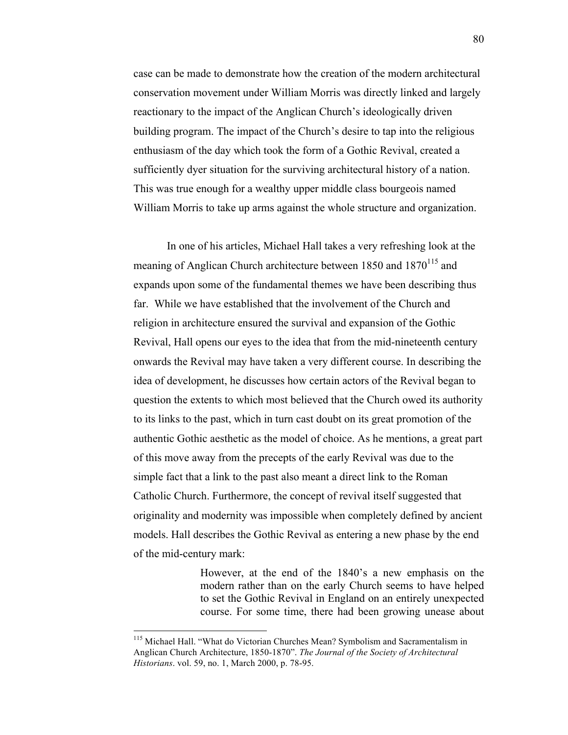case can be made to demonstrate how the creation of the modern architectural conservation movement under William Morris was directly linked and largely reactionary to the impact of the Anglican Church's ideologically driven building program. The impact of the Church's desire to tap into the religious enthusiasm of the day which took the form of a Gothic Revival, created a sufficiently dyer situation for the surviving architectural history of a nation. This was true enough for a wealthy upper middle class bourgeois named William Morris to take up arms against the whole structure and organization.

In one of his articles, Michael Hall takes a very refreshing look at the meaning of Anglican Church architecture between  $1850$  and  $1870^{115}$  and expands upon some of the fundamental themes we have been describing thus far. While we have established that the involvement of the Church and religion in architecture ensured the survival and expansion of the Gothic Revival, Hall opens our eyes to the idea that from the mid-nineteenth century onwards the Revival may have taken a very different course. In describing the idea of development, he discusses how certain actors of the Revival began to question the extents to which most believed that the Church owed its authority to its links to the past, which in turn cast doubt on its great promotion of the authentic Gothic aesthetic as the model of choice. As he mentions, a great part of this move away from the precepts of the early Revival was due to the simple fact that a link to the past also meant a direct link to the Roman Catholic Church. Furthermore, the concept of revival itself suggested that originality and modernity was impossible when completely defined by ancient models. Hall describes the Gothic Revival as entering a new phase by the end of the mid-century mark:

> However, at the end of the 1840's a new emphasis on the modern rather than on the early Church seems to have helped to set the Gothic Revival in England on an entirely unexpected course. For some time, there had been growing unease about

<sup>&</sup>lt;sup>115</sup> Michael Hall. "What do Victorian Churches Mean? Symbolism and Sacramentalism in Anglican Church Architecture, 1850-1870". *The Journal of the Society of Architectural Historians*. vol. 59, no. 1, March 2000, p. 78-95.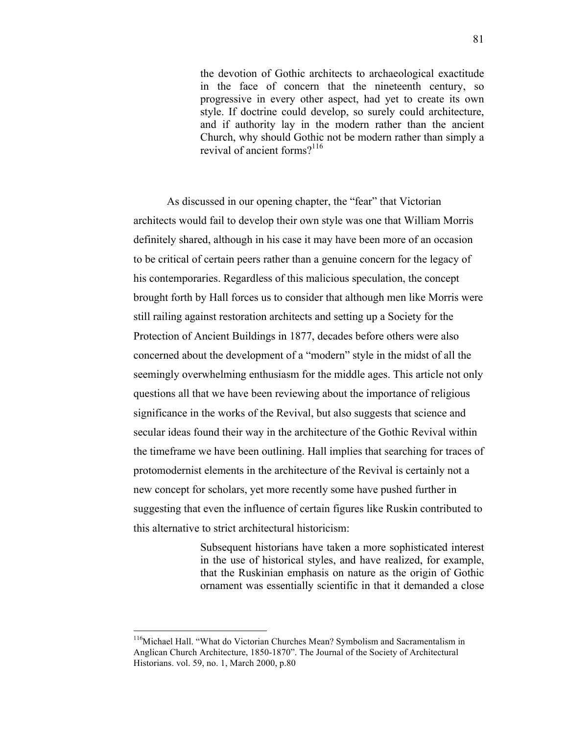the devotion of Gothic architects to archaeological exactitude in the face of concern that the nineteenth century, so progressive in every other aspect, had yet to create its own style. If doctrine could develop, so surely could architecture, and if authority lay in the modern rather than the ancient Church, why should Gothic not be modern rather than simply a revival of ancient forms<sup> $2^{116}$ </sup>

As discussed in our opening chapter, the "fear" that Victorian architects would fail to develop their own style was one that William Morris definitely shared, although in his case it may have been more of an occasion to be critical of certain peers rather than a genuine concern for the legacy of his contemporaries. Regardless of this malicious speculation, the concept brought forth by Hall forces us to consider that although men like Morris were still railing against restoration architects and setting up a Society for the Protection of Ancient Buildings in 1877, decades before others were also concerned about the development of a "modern" style in the midst of all the seemingly overwhelming enthusiasm for the middle ages. This article not only questions all that we have been reviewing about the importance of religious significance in the works of the Revival, but also suggests that science and secular ideas found their way in the architecture of the Gothic Revival within the timeframe we have been outlining. Hall implies that searching for traces of protomodernist elements in the architecture of the Revival is certainly not a new concept for scholars, yet more recently some have pushed further in suggesting that even the influence of certain figures like Ruskin contributed to this alternative to strict architectural historicism:

> Subsequent historians have taken a more sophisticated interest in the use of historical styles, and have realized, for example, that the Ruskinian emphasis on nature as the origin of Gothic ornament was essentially scientific in that it demanded a close

<sup>&</sup>lt;sup>116</sup>Michael Hall. "What do Victorian Churches Mean? Symbolism and Sacramentalism in Anglican Church Architecture, 1850-1870". The Journal of the Society of Architectural Historians. vol. 59, no. 1, March 2000, p.80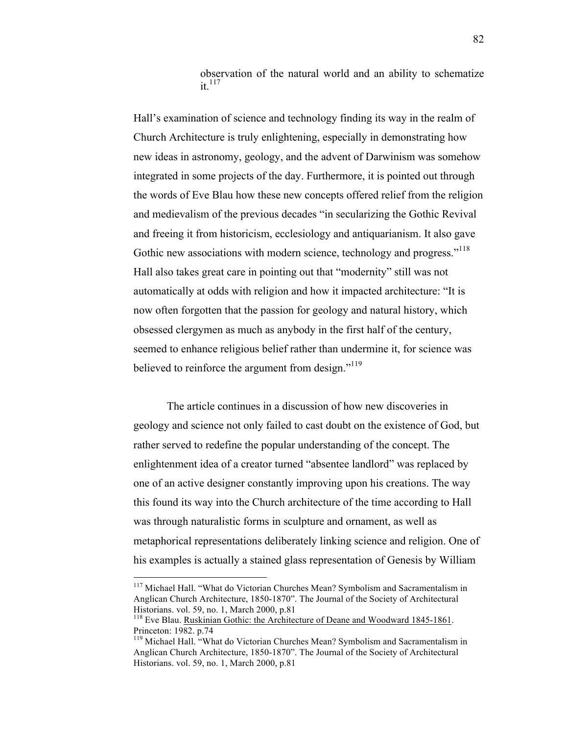observation of the natural world and an ability to schematize  $it<sup>117</sup>$ 

Hall's examination of science and technology finding its way in the realm of Church Architecture is truly enlightening, especially in demonstrating how new ideas in astronomy, geology, and the advent of Darwinism was somehow integrated in some projects of the day. Furthermore, it is pointed out through the words of Eve Blau how these new concepts offered relief from the religion and medievalism of the previous decades "in secularizing the Gothic Revival and freeing it from historicism, ecclesiology and antiquarianism. It also gave Gothic new associations with modern science, technology and progress."<sup>118</sup> Hall also takes great care in pointing out that "modernity" still was not automatically at odds with religion and how it impacted architecture: "It is now often forgotten that the passion for geology and natural history, which obsessed clergymen as much as anybody in the first half of the century, seemed to enhance religious belief rather than undermine it, for science was believed to reinforce the argument from design."<sup>119</sup>

The article continues in a discussion of how new discoveries in geology and science not only failed to cast doubt on the existence of God, but rather served to redefine the popular understanding of the concept. The enlightenment idea of a creator turned "absentee landlord" was replaced by one of an active designer constantly improving upon his creations. The way this found its way into the Church architecture of the time according to Hall was through naturalistic forms in sculpture and ornament, as well as metaphorical representations deliberately linking science and religion. One of his examples is actually a stained glass representation of Genesis by William

<sup>&</sup>lt;sup>117</sup> Michael Hall. "What do Victorian Churches Mean? Symbolism and Sacramentalism in Anglican Church Architecture, 1850-1870". The Journal of the Society of Architectural Historians. vol. 59, no. 1, March 2000, p.81

<sup>&</sup>lt;sup>118</sup> Eve Blau. Ruskinian Gothic: the Architecture of Deane and Woodward 1845-1861. Princeton: 1982. p.74

<sup>&</sup>lt;sup>119</sup> Michael Hall. "What do Victorian Churches Mean? Symbolism and Sacramentalism in Anglican Church Architecture, 1850-1870". The Journal of the Society of Architectural Historians. vol. 59, no. 1, March 2000, p.81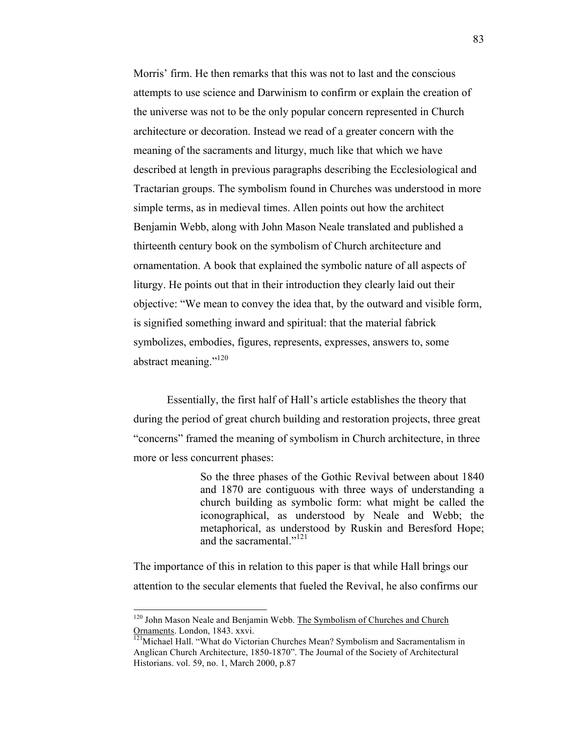Morris' firm. He then remarks that this was not to last and the conscious attempts to use science and Darwinism to confirm or explain the creation of the universe was not to be the only popular concern represented in Church architecture or decoration. Instead we read of a greater concern with the meaning of the sacraments and liturgy, much like that which we have described at length in previous paragraphs describing the Ecclesiological and Tractarian groups. The symbolism found in Churches was understood in more simple terms, as in medieval times. Allen points out how the architect Benjamin Webb, along with John Mason Neale translated and published a thirteenth century book on the symbolism of Church architecture and ornamentation. A book that explained the symbolic nature of all aspects of liturgy. He points out that in their introduction they clearly laid out their objective: "We mean to convey the idea that, by the outward and visible form, is signified something inward and spiritual: that the material fabrick symbolizes, embodies, figures, represents, expresses, answers to, some abstract meaning."<sup>120</sup>

Essentially, the first half of Hall's article establishes the theory that during the period of great church building and restoration projects, three great "concerns" framed the meaning of symbolism in Church architecture, in three more or less concurrent phases:

> So the three phases of the Gothic Revival between about 1840 and 1870 are contiguous with three ways of understanding a church building as symbolic form: what might be called the iconographical, as understood by Neale and Webb; the metaphorical, as understood by Ruskin and Beresford Hope; and the sacramental."<sup>121</sup>

The importance of this in relation to this paper is that while Hall brings our attention to the secular elements that fueled the Revival, he also confirms our

<sup>&</sup>lt;sup>120</sup> John Mason Neale and Benjamin Webb. The Symbolism of Churches and Church Ornaments. London, 1843. xxvi.<br><sup>121</sup>Michael Hall. "What do Victorian Churches Mean? Symbolism and Sacramentalism in

Anglican Church Architecture, 1850-1870". The Journal of the Society of Architectural Historians. vol. 59, no. 1, March 2000, p.87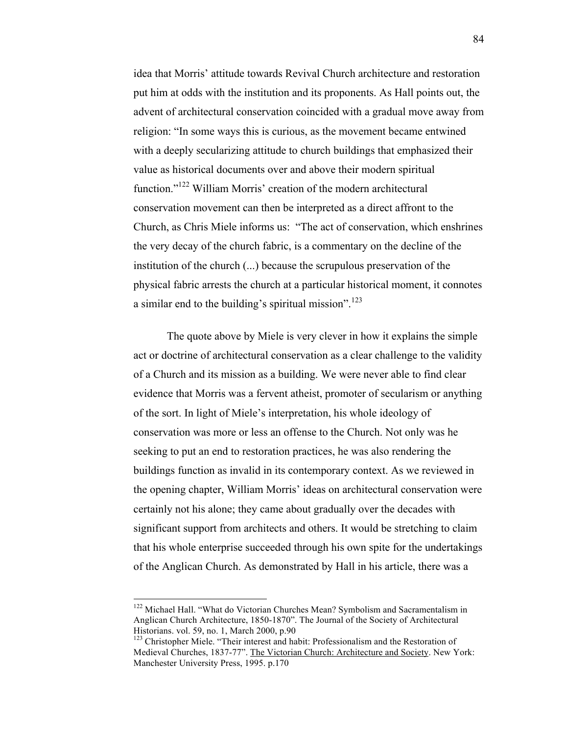idea that Morris' attitude towards Revival Church architecture and restoration put him at odds with the institution and its proponents. As Hall points out, the advent of architectural conservation coincided with a gradual move away from religion: "In some ways this is curious, as the movement became entwined with a deeply secularizing attitude to church buildings that emphasized their value as historical documents over and above their modern spiritual function."<sup>122</sup> William Morris' creation of the modern architectural conservation movement can then be interpreted as a direct affront to the Church, as Chris Miele informs us: "The act of conservation, which enshrines the very decay of the church fabric, is a commentary on the decline of the institution of the church (...) because the scrupulous preservation of the physical fabric arrests the church at a particular historical moment, it connotes a similar end to the building's spiritual mission".<sup>123</sup>

The quote above by Miele is very clever in how it explains the simple act or doctrine of architectural conservation as a clear challenge to the validity of a Church and its mission as a building. We were never able to find clear evidence that Morris was a fervent atheist, promoter of secularism or anything of the sort. In light of Miele's interpretation, his whole ideology of conservation was more or less an offense to the Church. Not only was he seeking to put an end to restoration practices, he was also rendering the buildings function as invalid in its contemporary context. As we reviewed in the opening chapter, William Morris' ideas on architectural conservation were certainly not his alone; they came about gradually over the decades with significant support from architects and others. It would be stretching to claim that his whole enterprise succeeded through his own spite for the undertakings of the Anglican Church. As demonstrated by Hall in his article, there was a

<sup>&</sup>lt;sup>122</sup> Michael Hall. "What do Victorian Churches Mean? Symbolism and Sacramentalism in Anglican Church Architecture, 1850-1870". The Journal of the Society of Architectural Historians. vol. 59, no. 1, March 2000, p.90<br><sup>123</sup> Christopher Miele. "Their interest and habit: Professionalism and the Restoration of

Medieval Churches, 1837-77". The Victorian Church: Architecture and Society. New York: Manchester University Press, 1995. p.170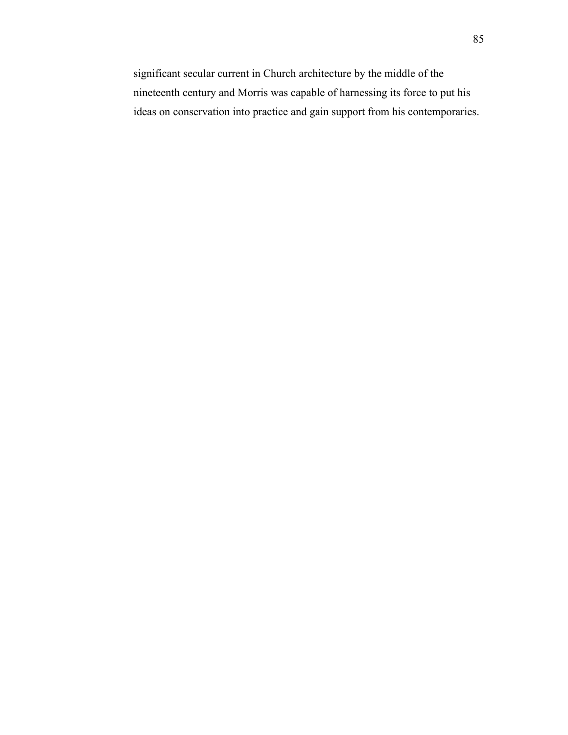significant secular current in Church architecture by the middle of the nineteenth century and Morris was capable of harnessing its force to put his ideas on conservation into practice and gain support from his contemporaries.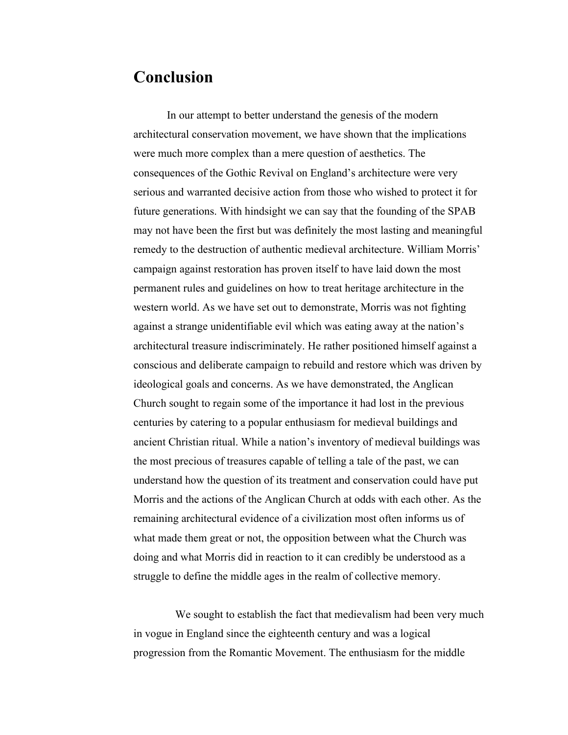# **Conclusion**

In our attempt to better understand the genesis of the modern architectural conservation movement, we have shown that the implications were much more complex than a mere question of aesthetics. The consequences of the Gothic Revival on England's architecture were very serious and warranted decisive action from those who wished to protect it for future generations. With hindsight we can say that the founding of the SPAB may not have been the first but was definitely the most lasting and meaningful remedy to the destruction of authentic medieval architecture. William Morris' campaign against restoration has proven itself to have laid down the most permanent rules and guidelines on how to treat heritage architecture in the western world. As we have set out to demonstrate, Morris was not fighting against a strange unidentifiable evil which was eating away at the nation's architectural treasure indiscriminately. He rather positioned himself against a conscious and deliberate campaign to rebuild and restore which was driven by ideological goals and concerns. As we have demonstrated, the Anglican Church sought to regain some of the importance it had lost in the previous centuries by catering to a popular enthusiasm for medieval buildings and ancient Christian ritual. While a nation's inventory of medieval buildings was the most precious of treasures capable of telling a tale of the past, we can understand how the question of its treatment and conservation could have put Morris and the actions of the Anglican Church at odds with each other. As the remaining architectural evidence of a civilization most often informs us of what made them great or not, the opposition between what the Church was doing and what Morris did in reaction to it can credibly be understood as a struggle to define the middle ages in the realm of collective memory.

We sought to establish the fact that medievalism had been very much in vogue in England since the eighteenth century and was a logical progression from the Romantic Movement. The enthusiasm for the middle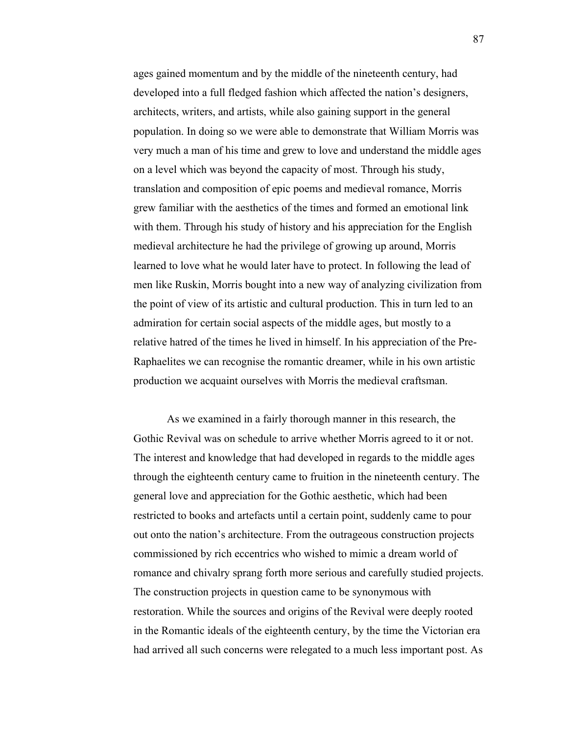ages gained momentum and by the middle of the nineteenth century, had developed into a full fledged fashion which affected the nation's designers, architects, writers, and artists, while also gaining support in the general population. In doing so we were able to demonstrate that William Morris was very much a man of his time and grew to love and understand the middle ages on a level which was beyond the capacity of most. Through his study, translation and composition of epic poems and medieval romance, Morris grew familiar with the aesthetics of the times and formed an emotional link with them. Through his study of history and his appreciation for the English medieval architecture he had the privilege of growing up around, Morris learned to love what he would later have to protect. In following the lead of men like Ruskin, Morris bought into a new way of analyzing civilization from the point of view of its artistic and cultural production. This in turn led to an admiration for certain social aspects of the middle ages, but mostly to a relative hatred of the times he lived in himself. In his appreciation of the Pre-Raphaelites we can recognise the romantic dreamer, while in his own artistic production we acquaint ourselves with Morris the medieval craftsman.

As we examined in a fairly thorough manner in this research, the Gothic Revival was on schedule to arrive whether Morris agreed to it or not. The interest and knowledge that had developed in regards to the middle ages through the eighteenth century came to fruition in the nineteenth century. The general love and appreciation for the Gothic aesthetic, which had been restricted to books and artefacts until a certain point, suddenly came to pour out onto the nation's architecture. From the outrageous construction projects commissioned by rich eccentrics who wished to mimic a dream world of romance and chivalry sprang forth more serious and carefully studied projects. The construction projects in question came to be synonymous with restoration. While the sources and origins of the Revival were deeply rooted in the Romantic ideals of the eighteenth century, by the time the Victorian era had arrived all such concerns were relegated to a much less important post. As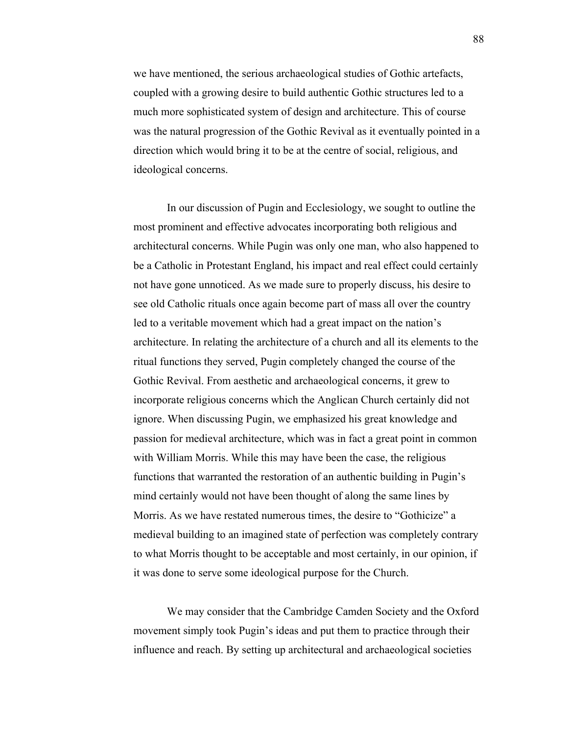we have mentioned, the serious archaeological studies of Gothic artefacts, coupled with a growing desire to build authentic Gothic structures led to a much more sophisticated system of design and architecture. This of course was the natural progression of the Gothic Revival as it eventually pointed in a direction which would bring it to be at the centre of social, religious, and ideological concerns.

In our discussion of Pugin and Ecclesiology, we sought to outline the most prominent and effective advocates incorporating both religious and architectural concerns. While Pugin was only one man, who also happened to be a Catholic in Protestant England, his impact and real effect could certainly not have gone unnoticed. As we made sure to properly discuss, his desire to see old Catholic rituals once again become part of mass all over the country led to a veritable movement which had a great impact on the nation's architecture. In relating the architecture of a church and all its elements to the ritual functions they served, Pugin completely changed the course of the Gothic Revival. From aesthetic and archaeological concerns, it grew to incorporate religious concerns which the Anglican Church certainly did not ignore. When discussing Pugin, we emphasized his great knowledge and passion for medieval architecture, which was in fact a great point in common with William Morris. While this may have been the case, the religious functions that warranted the restoration of an authentic building in Pugin's mind certainly would not have been thought of along the same lines by Morris. As we have restated numerous times, the desire to "Gothicize" a medieval building to an imagined state of perfection was completely contrary to what Morris thought to be acceptable and most certainly, in our opinion, if it was done to serve some ideological purpose for the Church.

We may consider that the Cambridge Camden Society and the Oxford movement simply took Pugin's ideas and put them to practice through their influence and reach. By setting up architectural and archaeological societies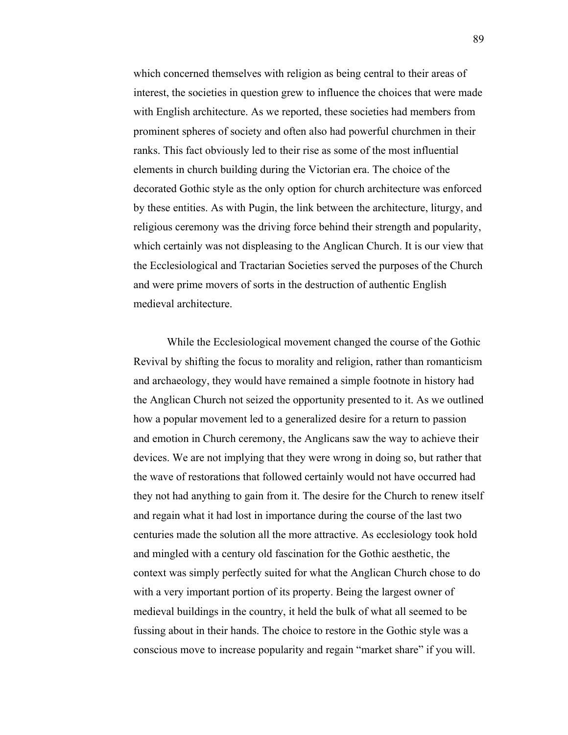which concerned themselves with religion as being central to their areas of interest, the societies in question grew to influence the choices that were made with English architecture. As we reported, these societies had members from prominent spheres of society and often also had powerful churchmen in their ranks. This fact obviously led to their rise as some of the most influential elements in church building during the Victorian era. The choice of the decorated Gothic style as the only option for church architecture was enforced by these entities. As with Pugin, the link between the architecture, liturgy, and religious ceremony was the driving force behind their strength and popularity, which certainly was not displeasing to the Anglican Church. It is our view that the Ecclesiological and Tractarian Societies served the purposes of the Church and were prime movers of sorts in the destruction of authentic English medieval architecture.

While the Ecclesiological movement changed the course of the Gothic Revival by shifting the focus to morality and religion, rather than romanticism and archaeology, they would have remained a simple footnote in history had the Anglican Church not seized the opportunity presented to it. As we outlined how a popular movement led to a generalized desire for a return to passion and emotion in Church ceremony, the Anglicans saw the way to achieve their devices. We are not implying that they were wrong in doing so, but rather that the wave of restorations that followed certainly would not have occurred had they not had anything to gain from it. The desire for the Church to renew itself and regain what it had lost in importance during the course of the last two centuries made the solution all the more attractive. As ecclesiology took hold and mingled with a century old fascination for the Gothic aesthetic, the context was simply perfectly suited for what the Anglican Church chose to do with a very important portion of its property. Being the largest owner of medieval buildings in the country, it held the bulk of what all seemed to be fussing about in their hands. The choice to restore in the Gothic style was a conscious move to increase popularity and regain "market share" if you will.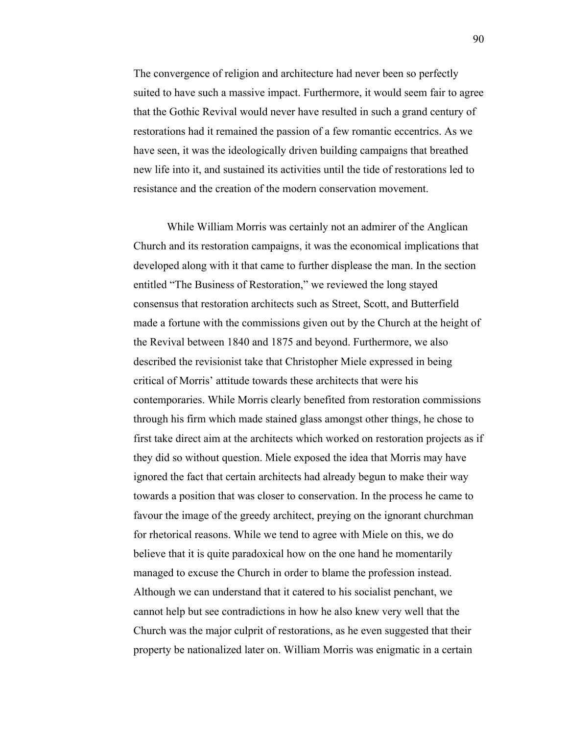The convergence of religion and architecture had never been so perfectly suited to have such a massive impact. Furthermore, it would seem fair to agree that the Gothic Revival would never have resulted in such a grand century of restorations had it remained the passion of a few romantic eccentrics. As we have seen, it was the ideologically driven building campaigns that breathed new life into it, and sustained its activities until the tide of restorations led to resistance and the creation of the modern conservation movement.

While William Morris was certainly not an admirer of the Anglican Church and its restoration campaigns, it was the economical implications that developed along with it that came to further displease the man. In the section entitled "The Business of Restoration," we reviewed the long stayed consensus that restoration architects such as Street, Scott, and Butterfield made a fortune with the commissions given out by the Church at the height of the Revival between 1840 and 1875 and beyond. Furthermore, we also described the revisionist take that Christopher Miele expressed in being critical of Morris' attitude towards these architects that were his contemporaries. While Morris clearly benefited from restoration commissions through his firm which made stained glass amongst other things, he chose to first take direct aim at the architects which worked on restoration projects as if they did so without question. Miele exposed the idea that Morris may have ignored the fact that certain architects had already begun to make their way towards a position that was closer to conservation. In the process he came to favour the image of the greedy architect, preying on the ignorant churchman for rhetorical reasons. While we tend to agree with Miele on this, we do believe that it is quite paradoxical how on the one hand he momentarily managed to excuse the Church in order to blame the profession instead. Although we can understand that it catered to his socialist penchant, we cannot help but see contradictions in how he also knew very well that the Church was the major culprit of restorations, as he even suggested that their property be nationalized later on. William Morris was enigmatic in a certain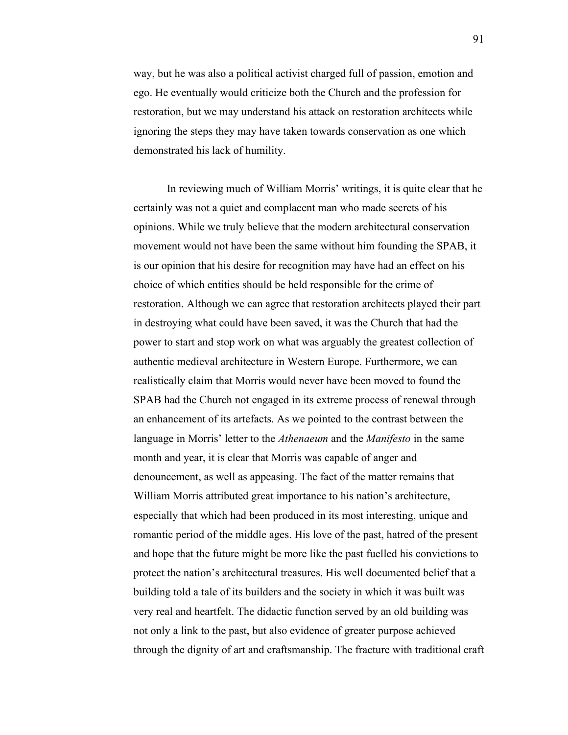way, but he was also a political activist charged full of passion, emotion and ego. He eventually would criticize both the Church and the profession for restoration, but we may understand his attack on restoration architects while ignoring the steps they may have taken towards conservation as one which demonstrated his lack of humility.

In reviewing much of William Morris' writings, it is quite clear that he certainly was not a quiet and complacent man who made secrets of his opinions. While we truly believe that the modern architectural conservation movement would not have been the same without him founding the SPAB, it is our opinion that his desire for recognition may have had an effect on his choice of which entities should be held responsible for the crime of restoration. Although we can agree that restoration architects played their part in destroying what could have been saved, it was the Church that had the power to start and stop work on what was arguably the greatest collection of authentic medieval architecture in Western Europe. Furthermore, we can realistically claim that Morris would never have been moved to found the SPAB had the Church not engaged in its extreme process of renewal through an enhancement of its artefacts. As we pointed to the contrast between the language in Morris' letter to the *Athenaeum* and the *Manifesto* in the same month and year, it is clear that Morris was capable of anger and denouncement, as well as appeasing. The fact of the matter remains that William Morris attributed great importance to his nation's architecture, especially that which had been produced in its most interesting, unique and romantic period of the middle ages. His love of the past, hatred of the present and hope that the future might be more like the past fuelled his convictions to protect the nation's architectural treasures. His well documented belief that a building told a tale of its builders and the society in which it was built was very real and heartfelt. The didactic function served by an old building was not only a link to the past, but also evidence of greater purpose achieved through the dignity of art and craftsmanship. The fracture with traditional craft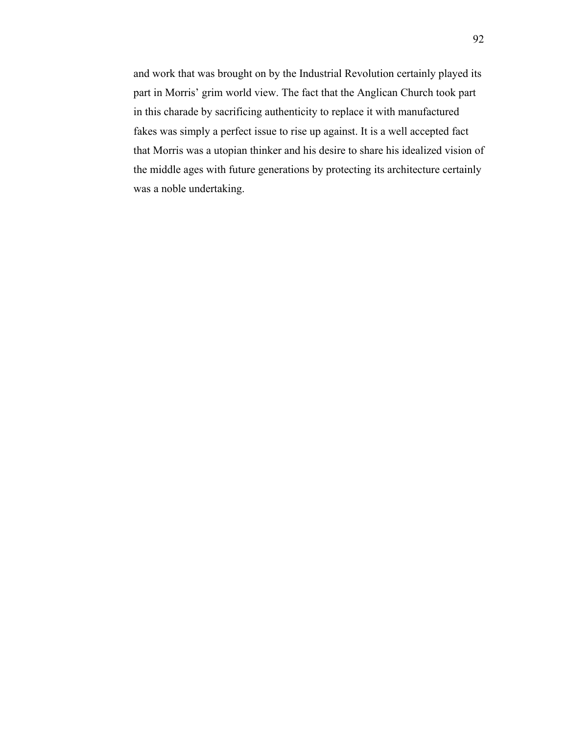and work that was brought on by the Industrial Revolution certainly played its part in Morris' grim world view. The fact that the Anglican Church took part in this charade by sacrificing authenticity to replace it with manufactured fakes was simply a perfect issue to rise up against. It is a well accepted fact that Morris was a utopian thinker and his desire to share his idealized vision of the middle ages with future generations by protecting its architecture certainly was a noble undertaking.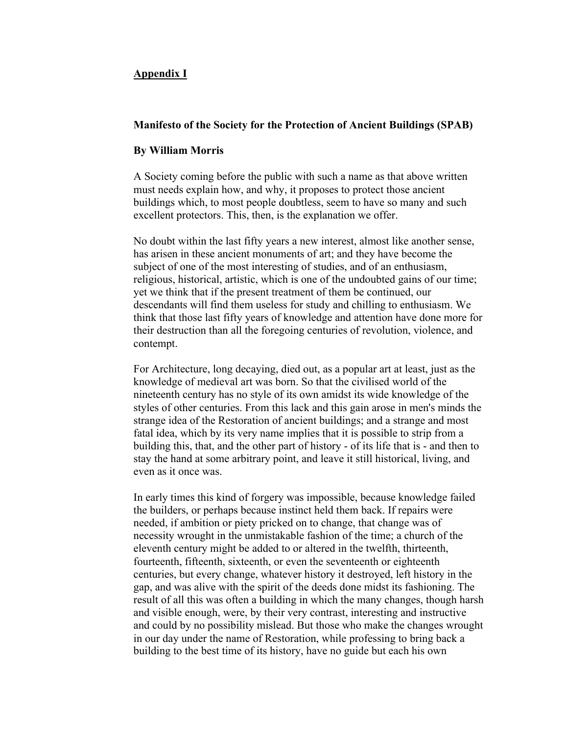# **Appendix I**

## **Manifesto of the Society for the Protection of Ancient Buildings (SPAB)**

### **By William Morris**

A Society coming before the public with such a name as that above written must needs explain how, and why, it proposes to protect those ancient buildings which, to most people doubtless, seem to have so many and such excellent protectors. This, then, is the explanation we offer.

No doubt within the last fifty years a new interest, almost like another sense, has arisen in these ancient monuments of art; and they have become the subject of one of the most interesting of studies, and of an enthusiasm, religious, historical, artistic, which is one of the undoubted gains of our time; yet we think that if the present treatment of them be continued, our descendants will find them useless for study and chilling to enthusiasm. We think that those last fifty years of knowledge and attention have done more for their destruction than all the foregoing centuries of revolution, violence, and contempt.

For Architecture, long decaying, died out, as a popular art at least, just as the knowledge of medieval art was born. So that the civilised world of the nineteenth century has no style of its own amidst its wide knowledge of the styles of other centuries. From this lack and this gain arose in men's minds the strange idea of the Restoration of ancient buildings; and a strange and most fatal idea, which by its very name implies that it is possible to strip from a building this, that, and the other part of history - of its life that is - and then to stay the hand at some arbitrary point, and leave it still historical, living, and even as it once was.

In early times this kind of forgery was impossible, because knowledge failed the builders, or perhaps because instinct held them back. If repairs were needed, if ambition or piety pricked on to change, that change was of necessity wrought in the unmistakable fashion of the time; a church of the eleventh century might be added to or altered in the twelfth, thirteenth, fourteenth, fifteenth, sixteenth, or even the seventeenth or eighteenth centuries, but every change, whatever history it destroyed, left history in the gap, and was alive with the spirit of the deeds done midst its fashioning. The result of all this was often a building in which the many changes, though harsh and visible enough, were, by their very contrast, interesting and instructive and could by no possibility mislead. But those who make the changes wrought in our day under the name of Restoration, while professing to bring back a building to the best time of its history, have no guide but each his own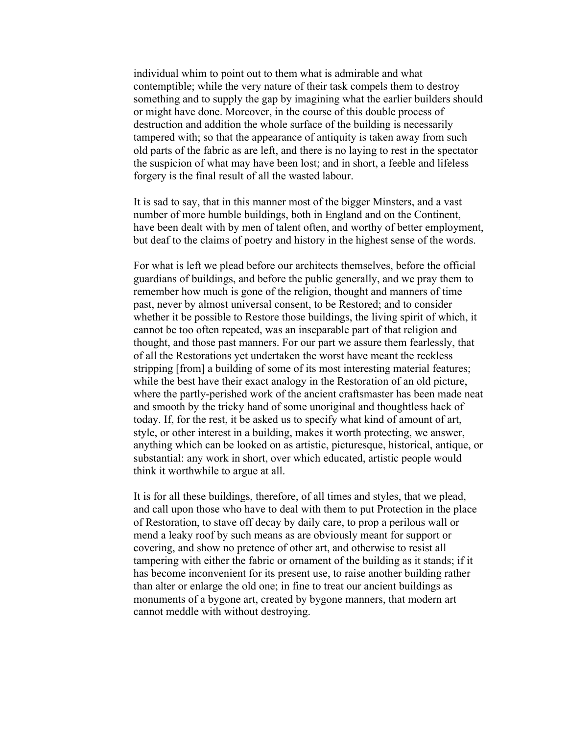individual whim to point out to them what is admirable and what contemptible; while the very nature of their task compels them to destroy something and to supply the gap by imagining what the earlier builders should or might have done. Moreover, in the course of this double process of destruction and addition the whole surface of the building is necessarily tampered with; so that the appearance of antiquity is taken away from such old parts of the fabric as are left, and there is no laying to rest in the spectator the suspicion of what may have been lost; and in short, a feeble and lifeless forgery is the final result of all the wasted labour.

It is sad to say, that in this manner most of the bigger Minsters, and a vast number of more humble buildings, both in England and on the Continent, have been dealt with by men of talent often, and worthy of better employment, but deaf to the claims of poetry and history in the highest sense of the words.

For what is left we plead before our architects themselves, before the official guardians of buildings, and before the public generally, and we pray them to remember how much is gone of the religion, thought and manners of time past, never by almost universal consent, to be Restored; and to consider whether it be possible to Restore those buildings, the living spirit of which, it cannot be too often repeated, was an inseparable part of that religion and thought, and those past manners. For our part we assure them fearlessly, that of all the Restorations yet undertaken the worst have meant the reckless stripping [from] a building of some of its most interesting material features; while the best have their exact analogy in the Restoration of an old picture, where the partly-perished work of the ancient craftsmaster has been made neat and smooth by the tricky hand of some unoriginal and thoughtless hack of today. If, for the rest, it be asked us to specify what kind of amount of art, style, or other interest in a building, makes it worth protecting, we answer, anything which can be looked on as artistic, picturesque, historical, antique, or substantial: any work in short, over which educated, artistic people would think it worthwhile to argue at all.

It is for all these buildings, therefore, of all times and styles, that we plead, and call upon those who have to deal with them to put Protection in the place of Restoration, to stave off decay by daily care, to prop a perilous wall or mend a leaky roof by such means as are obviously meant for support or covering, and show no pretence of other art, and otherwise to resist all tampering with either the fabric or ornament of the building as it stands; if it has become inconvenient for its present use, to raise another building rather than alter or enlarge the old one; in fine to treat our ancient buildings as monuments of a bygone art, created by bygone manners, that modern art cannot meddle with without destroying.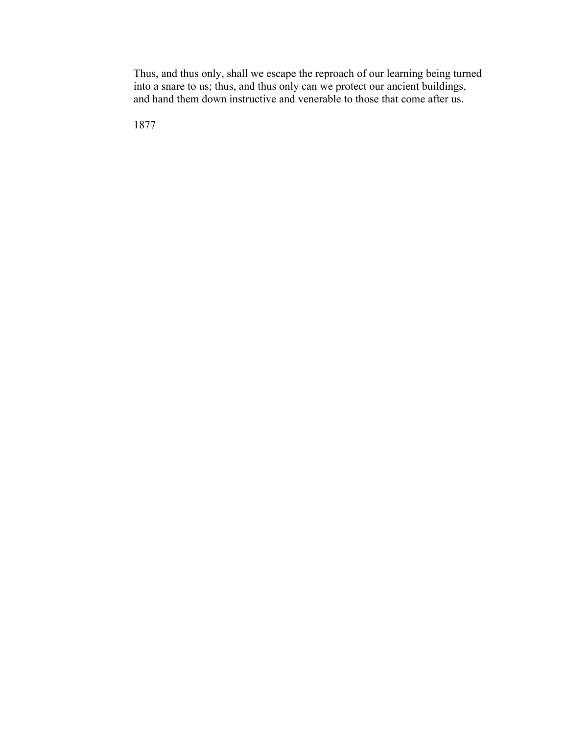Thus, and thus only, shall we escape the reproach of our learning being turned into a snare to us; thus, and thus only can we protect our ancient buildings, and hand them down instructive and venerable to those that come after us.

1877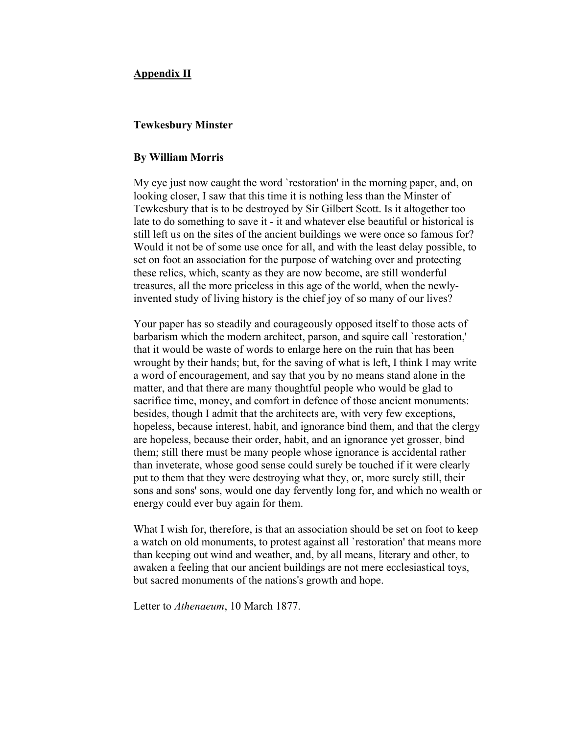## **Appendix II**

#### **Tewkesbury Minster**

#### **By William Morris**

My eye just now caught the word `restoration' in the morning paper, and, on looking closer, I saw that this time it is nothing less than the Minster of Tewkesbury that is to be destroyed by Sir Gilbert Scott. Is it altogether too late to do something to save it - it and whatever else beautiful or historical is still left us on the sites of the ancient buildings we were once so famous for? Would it not be of some use once for all, and with the least delay possible, to set on foot an association for the purpose of watching over and protecting these relics, which, scanty as they are now become, are still wonderful treasures, all the more priceless in this age of the world, when the newlyinvented study of living history is the chief joy of so many of our lives?

Your paper has so steadily and courageously opposed itself to those acts of barbarism which the modern architect, parson, and squire call `restoration,' that it would be waste of words to enlarge here on the ruin that has been wrought by their hands; but, for the saving of what is left, I think I may write a word of encouragement, and say that you by no means stand alone in the matter, and that there are many thoughtful people who would be glad to sacrifice time, money, and comfort in defence of those ancient monuments: besides, though I admit that the architects are, with very few exceptions, hopeless, because interest, habit, and ignorance bind them, and that the clergy are hopeless, because their order, habit, and an ignorance yet grosser, bind them; still there must be many people whose ignorance is accidental rather than inveterate, whose good sense could surely be touched if it were clearly put to them that they were destroying what they, or, more surely still, their sons and sons' sons, would one day fervently long for, and which no wealth or energy could ever buy again for them.

What I wish for, therefore, is that an association should be set on foot to keep a watch on old monuments, to protest against all `restoration' that means more than keeping out wind and weather, and, by all means, literary and other, to awaken a feeling that our ancient buildings are not mere ecclesiastical toys, but sacred monuments of the nations's growth and hope.

Letter to *Athenaeum*, 10 March 1877.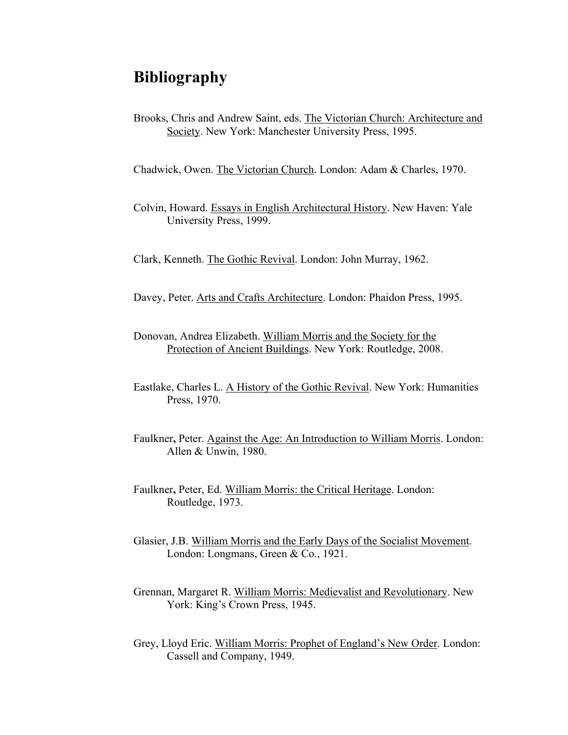# **Bibliography**

Brooks, Chris and Andrew Saint, eds. The Victorian Church: Architecture and Society. New York: Manchester University Press, 1995.

Chadwick, Owen. The Victorian Church. London: Adam & Charles, 1970.

Colvin, Howard. Essays in English Architectural History. New Haven: Yale University Press, 1999.

Clark, Kenneth. The Gothic Revival. London: John Murray, 1962.

Davey, Peter. Arts and Crafts Architecture. London: Phaidon Press, 1995.

Donovan, Andrea Elizabeth. William Morris and the Society for the Protection of Ancient Buildings. New York: Routledge, 2008.

- Eastlake, Charles L. A History of the Gothic Revival. New York: Humanities Press, 1970.
- Faulkner**,** Peter. Against the Age: An Introduction to William Morris. London: Allen & Unwin, 1980.

Faulkner**,** Peter, Ed. William Morris: the Critical Heritage. London: Routledge, 1973.

Glasier, J.B. William Morris and the Early Days of the Socialist Movement. London: Longmans, Green & Co., 1921.

Grennan, Margaret R. William Morris: Medievalist and Revolutionary. New York: King's Crown Press, 1945.

Grey, Lloyd Eric. William Morris: Prophet of England's New Order. London: Cassell and Company, 1949.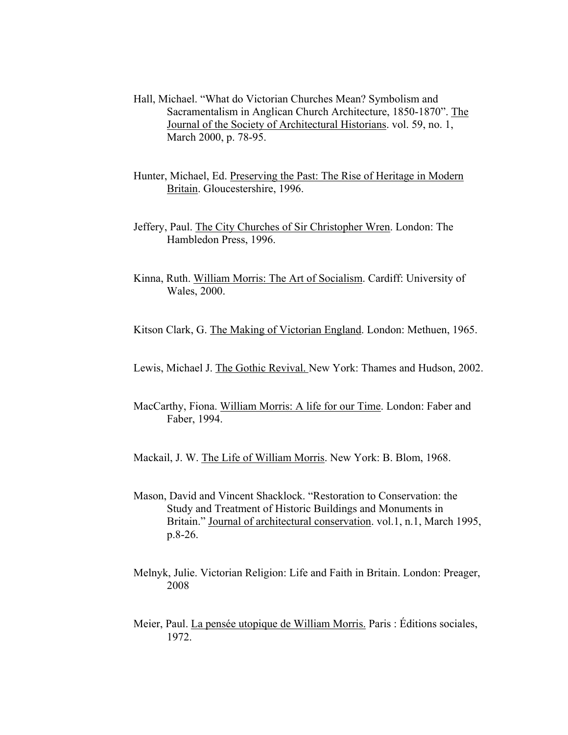- Hall, Michael. "What do Victorian Churches Mean? Symbolism and Sacramentalism in Anglican Church Architecture, 1850-1870". The Journal of the Society of Architectural Historians. vol. 59, no. 1, March 2000, p. 78-95.
- Hunter, Michael, Ed. Preserving the Past: The Rise of Heritage in Modern Britain. Gloucestershire, 1996.
- Jeffery, Paul. The City Churches of Sir Christopher Wren. London: The Hambledon Press, 1996.
- Kinna, Ruth. William Morris: The Art of Socialism. Cardiff: University of Wales, 2000.

Kitson Clark, G. The Making of Victorian England. London: Methuen, 1965.

Lewis, Michael J. The Gothic Revival. New York: Thames and Hudson, 2002.

MacCarthy, Fiona. William Morris: A life for our Time. London: Faber and Faber, 1994.

Mackail, J. W. The Life of William Morris. New York: B. Blom, 1968.

- Mason, David and Vincent Shacklock. "Restoration to Conservation: the Study and Treatment of Historic Buildings and Monuments in Britain." Journal of architectural conservation. vol.1, n.1, March 1995, p.8-26.
- Melnyk, Julie. Victorian Religion: Life and Faith in Britain. London: Preager, 2008
- Meier, Paul. La pensée utopique de William Morris. Paris : Éditions sociales, 1972.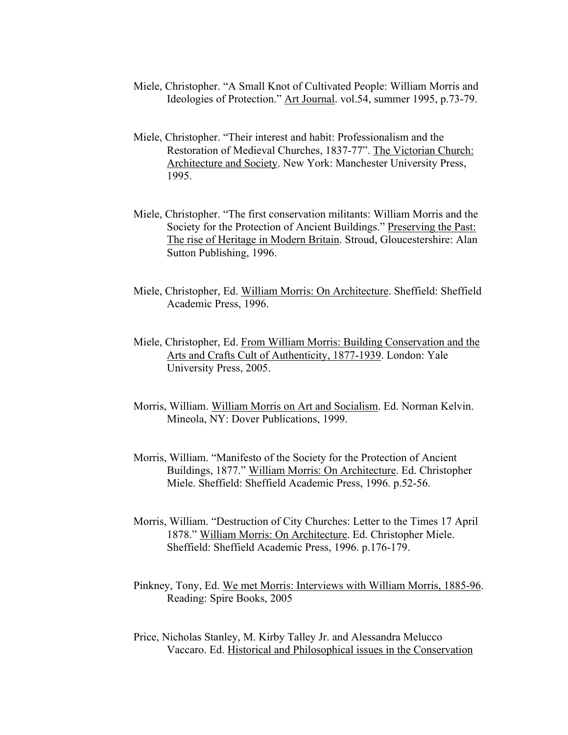- Miele, Christopher. "A Small Knot of Cultivated People: William Morris and Ideologies of Protection." Art Journal. vol.54, summer 1995, p.73-79.
- Miele, Christopher. "Their interest and habit: Professionalism and the Restoration of Medieval Churches, 1837-77". The Victorian Church: Architecture and Society. New York: Manchester University Press, 1995.
- Miele, Christopher. "The first conservation militants: William Morris and the Society for the Protection of Ancient Buildings." Preserving the Past: The rise of Heritage in Modern Britain. Stroud, Gloucestershire: Alan Sutton Publishing, 1996.
- Miele, Christopher, Ed. William Morris: On Architecture. Sheffield: Sheffield Academic Press, 1996.
- Miele, Christopher, Ed. From William Morris: Building Conservation and the Arts and Crafts Cult of Authenticity, 1877-1939. London: Yale University Press, 2005.
- Morris, William. William Morris on Art and Socialism. Ed. Norman Kelvin. Mineola, NY: Dover Publications, 1999.
- Morris, William. "Manifesto of the Society for the Protection of Ancient Buildings, 1877." William Morris: On Architecture. Ed. Christopher Miele. Sheffield: Sheffield Academic Press, 1996. p.52-56.
- Morris, William. "Destruction of City Churches: Letter to the Times 17 April 1878." William Morris: On Architecture. Ed. Christopher Miele. Sheffield: Sheffield Academic Press, 1996. p.176-179.
- Pinkney, Tony, Ed. We met Morris: Interviews with William Morris, 1885-96. Reading: Spire Books, 2005
- Price, Nicholas Stanley, M. Kirby Talley Jr. and Alessandra Melucco Vaccaro. Ed. Historical and Philosophical issues in the Conservation